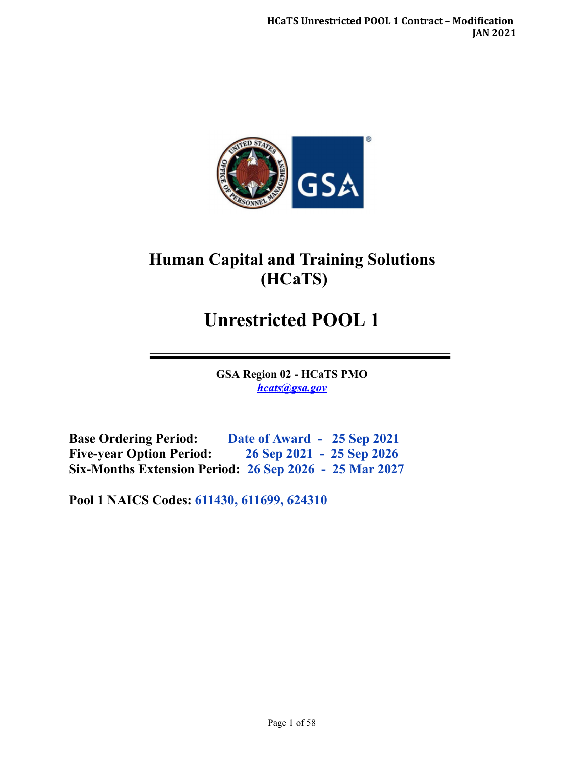

# **Human Capital and Training Solutions (HCaTS)**

# **Unrestricted POOL 1**

**GSA Region 02 - HCaTS PMO**  *[hcats@gsa.gov](mailto:hcats@gsa.gov)* 

**Base Ordering Period: Date of Award - 25 Sep 2021 Five-year Option Period: 26 Sep 2021 - 25 Sep 2026 Six-Months Extension Period: 26 Sep 2026 - 25 Mar 2027**

**Pool 1 NAICS Codes: 611430, 611699, 624310**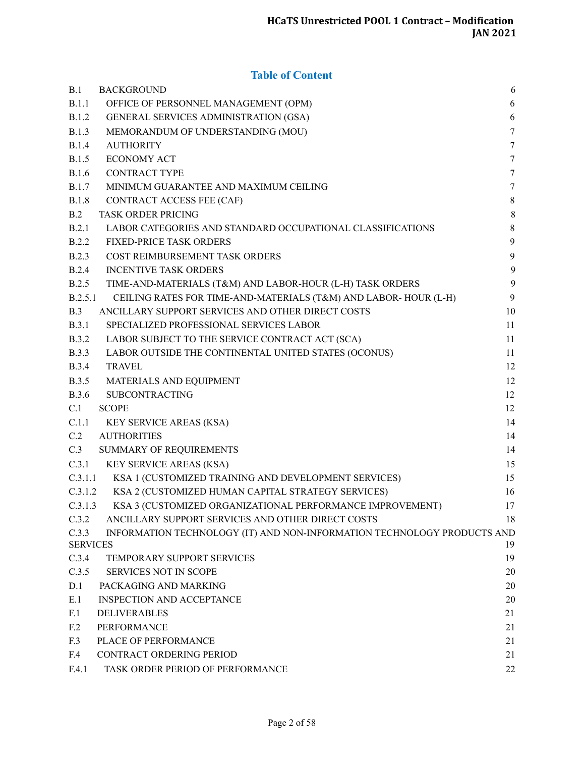## **Table of Content**

| B.1             | <b>BACKGROUND</b>                                                       | 6                |
|-----------------|-------------------------------------------------------------------------|------------------|
| B.1.1           | OFFICE OF PERSONNEL MANAGEMENT (OPM)                                    | 6                |
| <b>B.1.2</b>    | GENERAL SERVICES ADMINISTRATION (GSA)                                   | 6                |
| <b>B.1.3</b>    | MEMORANDUM OF UNDERSTANDING (MOU)                                       | $\tau$           |
| <b>B.1.4</b>    | <b>AUTHORITY</b>                                                        | $\overline{7}$   |
| <b>B.1.5</b>    | <b>ECONOMY ACT</b>                                                      | $\tau$           |
| <b>B.1.6</b>    | <b>CONTRACT TYPE</b>                                                    | $\tau$           |
| <b>B.1.7</b>    | MINIMUM GUARANTEE AND MAXIMUM CEILING                                   | $7\phantom{.0}$  |
| <b>B.1.8</b>    | CONTRACT ACCESS FEE (CAF)                                               | $\,8\,$          |
| B.2             | <b>TASK ORDER PRICING</b>                                               | $\,8\,$          |
| B.2.1           | LABOR CATEGORIES AND STANDARD OCCUPATIONAL CLASSIFICATIONS              | $\,8\,$          |
| <b>B.2.2</b>    | <b>FIXED-PRICE TASK ORDERS</b>                                          | $\boldsymbol{9}$ |
| <b>B.2.3</b>    | COST REIMBURSEMENT TASK ORDERS                                          | $\boldsymbol{9}$ |
| <b>B.2.4</b>    | <b>INCENTIVE TASK ORDERS</b>                                            | $\boldsymbol{9}$ |
| <b>B.2.5</b>    | TIME-AND-MATERIALS (T&M) AND LABOR-HOUR (L-H) TASK ORDERS               | 9                |
| B.2.5.1         | CEILING RATES FOR TIME-AND-MATERIALS (T&M) AND LABOR-HOUR (L-H)         | $\overline{9}$   |
| B.3             | ANCILLARY SUPPORT SERVICES AND OTHER DIRECT COSTS                       | 10               |
| B.3.1           | SPECIALIZED PROFESSIONAL SERVICES LABOR                                 | 11               |
| <b>B.3.2</b>    | LABOR SUBJECT TO THE SERVICE CONTRACT ACT (SCA)                         | 11               |
| <b>B.3.3</b>    | LABOR OUTSIDE THE CONTINENTAL UNITED STATES (OCONUS)                    | 11               |
| <b>B.3.4</b>    | <b>TRAVEL</b>                                                           | 12               |
| <b>B.3.5</b>    | MATERIALS AND EQUIPMENT                                                 | 12               |
| <b>B.3.6</b>    | <b>SUBCONTRACTING</b>                                                   | 12               |
| C.1             | <b>SCOPE</b>                                                            | 12               |
| C.1.1           | KEY SERVICE AREAS (KSA)                                                 | 14               |
| C.2             | <b>AUTHORITIES</b>                                                      | 14               |
| C.3             | SUMMARY OF REQUIREMENTS                                                 | 14               |
| C.3.1           | <b>KEY SERVICE AREAS (KSA)</b>                                          | 15               |
| C.3.1.1         | KSA 1 (CUSTOMIZED TRAINING AND DEVELOPMENT SERVICES)                    | 15               |
| C.3.1.2         | KSA 2 (CUSTOMIZED HUMAN CAPITAL STRATEGY SERVICES)                      | 16               |
| C.3.1.3         | KSA 3 (CUSTOMIZED ORGANIZATIONAL PERFORMANCE IMPROVEMENT)               | 17               |
| C.3.2           | ANCILLARY SUPPORT SERVICES AND OTHER DIRECT COSTS                       | 18               |
| C.3.3           | INFORMATION TECHNOLOGY (IT) AND NON-INFORMATION TECHNOLOGY PRODUCTS AND |                  |
| <b>SERVICES</b> |                                                                         | 19               |
| C.3.4           | TEMPORARY SUPPORT SERVICES                                              | 19               |
| C.3.5           | <b>SERVICES NOT IN SCOPE</b>                                            | 20               |
| D.1             | PACKAGING AND MARKING                                                   | 20               |
| E.1             | <b>INSPECTION AND ACCEPTANCE</b>                                        | 20               |
| F.1             | <b>DELIVERABLES</b>                                                     | 21               |
| F.2             | PERFORMANCE                                                             | 21               |
| F.3             | PLACE OF PERFORMANCE                                                    | 21               |
| F.4             | CONTRACT ORDERING PERIOD                                                | 21               |
| F.4.1           | TASK ORDER PERIOD OF PERFORMANCE                                        | 22               |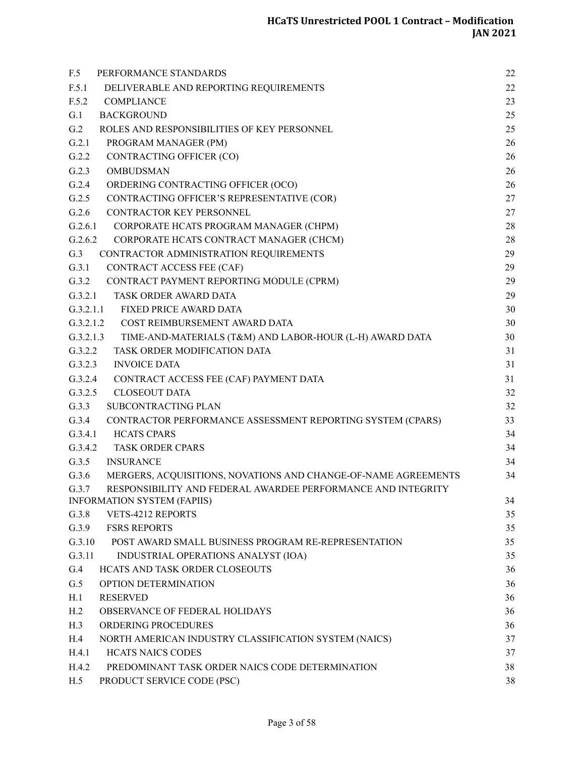| F.5<br>PERFORMANCE STANDARDS                                            | 22 |
|-------------------------------------------------------------------------|----|
| F.5.1<br>DELIVERABLE AND REPORTING REQUIREMENTS                         | 22 |
| F.5.2<br><b>COMPLIANCE</b>                                              | 23 |
| G.1<br><b>BACKGROUND</b>                                                | 25 |
| G.2<br>ROLES AND RESPONSIBILITIES OF KEY PERSONNEL                      | 25 |
| G.2.1<br>PROGRAM MANAGER (PM)                                           | 26 |
| G.2.2<br>CONTRACTING OFFICER (CO)                                       | 26 |
| G.2.3<br><b>OMBUDSMAN</b>                                               | 26 |
| G.2.4<br>ORDERING CONTRACTING OFFICER (OCO)                             | 26 |
| G.2.5<br>CONTRACTING OFFICER'S REPRESENTATIVE (COR)                     | 27 |
| G.2.6<br>CONTRACTOR KEY PERSONNEL                                       | 27 |
| G.2.6.1<br>CORPORATE HCATS PROGRAM MANAGER (CHPM)                       | 28 |
| G.2.6.2<br>CORPORATE HCATS CONTRACT MANAGER (CHCM)                      | 28 |
| G.3<br>CONTRACTOR ADMINISTRATION REQUIREMENTS                           | 29 |
| G.3.1<br>CONTRACT ACCESS FEE (CAF)                                      | 29 |
| G.3.2 CONTRACT PAYMENT REPORTING MODULE (CPRM)                          | 29 |
| G.3.2.1<br>TASK ORDER AWARD DATA                                        | 29 |
| G.3.2.1.1<br><b>FIXED PRICE AWARD DATA</b>                              | 30 |
| COST REIMBURSEMENT AWARD DATA<br>G.3.2.1.2                              | 30 |
| G.3.2.1.3<br>TIME-AND-MATERIALS (T&M) AND LABOR-HOUR (L-H) AWARD DATA   | 30 |
| G.3.2.2<br>TASK ORDER MODIFICATION DATA                                 | 31 |
| G.3.2.3<br><b>INVOICE DATA</b>                                          | 31 |
| G.3.2.4<br>CONTRACT ACCESS FEE (CAF) PAYMENT DATA                       | 31 |
| G.3.2.5<br><b>CLOSEOUT DATA</b>                                         | 32 |
| G.3.3<br>SUBCONTRACTING PLAN                                            | 32 |
| G.3.4<br>CONTRACTOR PERFORMANCE ASSESSMENT REPORTING SYSTEM (CPARS)     | 33 |
| G.3.4.1<br><b>HCATS CPARS</b>                                           | 34 |
| G.3.4.2<br><b>TASK ORDER CPARS</b>                                      | 34 |
| G.3.5<br><b>INSURANCE</b>                                               | 34 |
| G.3.6<br>MERGERS, ACQUISITIONS, NOVATIONS AND CHANGE-OF-NAME AGREEMENTS | 34 |
| RESPONSIBILITY AND FEDERAL AWARDEE PERFORMANCE AND INTEGRITY<br>G.3.7   |    |
| <b>INFORMATION SYSTEM (FAPIIS)</b>                                      | 34 |
| G.3.8<br>VETS-4212 REPORTS                                              | 35 |
| G.3.9<br><b>FSRS REPORTS</b>                                            | 35 |
| G.3.10<br>POST AWARD SMALL BUSINESS PROGRAM RE-REPRESENTATION           | 35 |
| G.3.11<br>INDUSTRIAL OPERATIONS ANALYST (IOA)                           | 35 |
| G.4<br>HCATS AND TASK ORDER CLOSEOUTS                                   | 36 |
| G.5<br>OPTION DETERMINATION                                             | 36 |
| H.1<br><b>RESERVED</b>                                                  | 36 |
| H.2<br>OBSERVANCE OF FEDERAL HOLIDAYS                                   | 36 |
| ORDERING PROCEDURES<br>H.3                                              | 36 |
| H.4<br>NORTH AMERICAN INDUSTRY CLASSIFICATION SYSTEM (NAICS)            | 37 |
| H.4.1<br><b>HCATS NAICS CODES</b>                                       | 37 |
| H.4.2<br>PREDOMINANT TASK ORDER NAICS CODE DETERMINATION                | 38 |
| H.5<br>PRODUCT SERVICE CODE (PSC)                                       | 38 |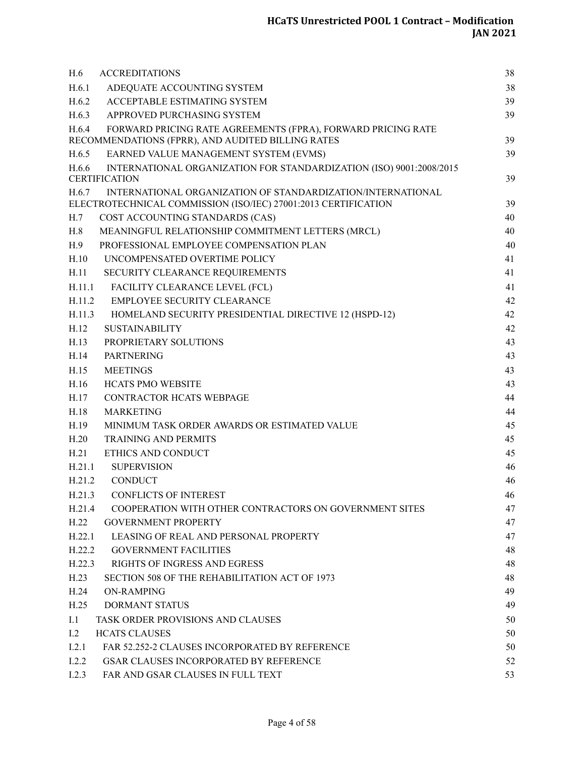| H.6<br><b>ACCREDITATIONS</b>                                                                                                           | 38 |
|----------------------------------------------------------------------------------------------------------------------------------------|----|
| H.6.1<br>ADEQUATE ACCOUNTING SYSTEM                                                                                                    | 38 |
| H.6.2<br>ACCEPTABLE ESTIMATING SYSTEM                                                                                                  | 39 |
| H.6.3<br>APPROVED PURCHASING SYSTEM                                                                                                    | 39 |
| H.6.4<br>FORWARD PRICING RATE AGREEMENTS (FPRA), FORWARD PRICING RATE                                                                  |    |
| RECOMMENDATIONS (FPRR), AND AUDITED BILLING RATES                                                                                      | 39 |
| H.6.5<br>EARNED VALUE MANAGEMENT SYSTEM (EVMS)                                                                                         | 39 |
| H.6.6<br>INTERNATIONAL ORGANIZATION FOR STANDARDIZATION (ISO) 9001:2008/2015<br><b>CERTIFICATION</b>                                   | 39 |
| H.6.7<br>INTERNATIONAL ORGANIZATION OF STANDARDIZATION/INTERNATIONAL<br>ELECTROTECHNICAL COMMISSION (ISO/IEC) 27001:2013 CERTIFICATION | 39 |
| H.7<br>COST ACCOUNTING STANDARDS (CAS)                                                                                                 | 40 |
| MEANINGFUL RELATIONSHIP COMMITMENT LETTERS (MRCL)<br>H.8                                                                               | 40 |
| H.9<br>PROFESSIONAL EMPLOYEE COMPENSATION PLAN                                                                                         | 40 |
| H.10<br>UNCOMPENSATED OVERTIME POLICY                                                                                                  | 41 |
| H.11<br>SECURITY CLEARANCE REQUIREMENTS                                                                                                | 41 |
| FACILITY CLEARANCE LEVEL (FCL)<br>H.11.1                                                                                               | 41 |
| H.11.2<br><b>EMPLOYEE SECURITY CLEARANCE</b>                                                                                           | 42 |
| H.11.3<br>HOMELAND SECURITY PRESIDENTIAL DIRECTIVE 12 (HSPD-12)                                                                        | 42 |
| H.12<br><b>SUSTAINABILITY</b>                                                                                                          | 42 |
| H.13<br>PROPRIETARY SOLUTIONS                                                                                                          | 43 |
| <b>PARTNERING</b><br>H.14                                                                                                              | 43 |
| H.15<br><b>MEETINGS</b>                                                                                                                | 43 |
| H.16<br><b>HCATS PMO WEBSITE</b>                                                                                                       | 43 |
| H.17<br>CONTRACTOR HCATS WEBPAGE                                                                                                       | 44 |
| H.18<br><b>MARKETING</b>                                                                                                               | 44 |
| H.19<br>MINIMUM TASK ORDER AWARDS OR ESTIMATED VALUE                                                                                   | 45 |
| H.20<br><b>TRAINING AND PERMITS</b>                                                                                                    | 45 |
| H.21<br>ETHICS AND CONDUCT                                                                                                             | 45 |
| H.21.1<br><b>SUPERVISION</b>                                                                                                           | 46 |
| H.21.2<br><b>CONDUCT</b>                                                                                                               | 46 |
| H.21.3<br><b>CONFLICTS OF INTEREST</b>                                                                                                 | 46 |
| H.21.4<br>COOPERATION WITH OTHER CONTRACTORS ON GOVERNMENT SITES                                                                       | 47 |
| H.22<br><b>GOVERNMENT PROPERTY</b>                                                                                                     | 47 |
| LEASING OF REAL AND PERSONAL PROPERTY<br>H.22.1                                                                                        | 47 |
| H.22.2<br><b>GOVERNMENT FACILITIES</b>                                                                                                 | 48 |
| RIGHTS OF INGRESS AND EGRESS<br>H.22.3                                                                                                 | 48 |
| H.23<br><b>SECTION 508 OF THE REHABILITATION ACT OF 1973</b>                                                                           | 48 |
| <b>ON-RAMPING</b><br>H.24                                                                                                              | 49 |
| <b>DORMANT STATUS</b><br>H.25                                                                                                          | 49 |
| <b>TASK ORDER PROVISIONS AND CLAUSES</b><br>1.1                                                                                        | 50 |
| <b>HCATS CLAUSES</b><br>1.2                                                                                                            | 50 |
| I.2.1<br>FAR 52.252-2 CLAUSES INCORPORATED BY REFERENCE                                                                                | 50 |
| GSAR CLAUSES INCORPORATED BY REFERENCE<br>1.2.2                                                                                        | 52 |
| I.2.3<br>FAR AND GSAR CLAUSES IN FULL TEXT                                                                                             | 53 |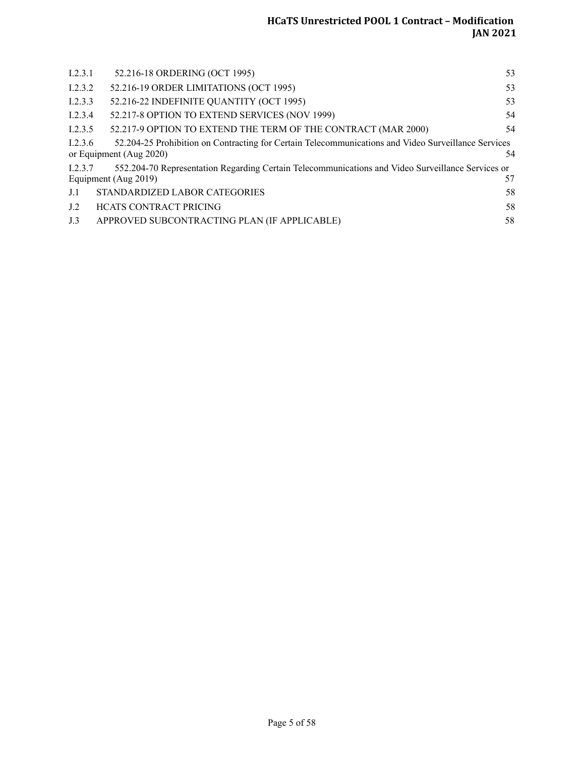| I.2.3.1 | 52.216-18 ORDERING (OCT 1995)                                                                       | 53 |
|---------|-----------------------------------------------------------------------------------------------------|----|
| 1.2.3.2 | 52.216-19 ORDER LIMITATIONS (OCT 1995)                                                              | 53 |
| 1.2.3.3 | 52.216-22 INDEFINITE QUANTITY (OCT 1995)                                                            | 53 |
| 1.2.3.4 | 52.217-8 OPTION TO EXTEND SERVICES (NOV 1999)                                                       | 54 |
| 1.2.3.5 | 52.217-9 OPTION TO EXTEND THE TERM OF THE CONTRACT (MAR 2000)                                       | 54 |
| 1.2.3.6 | 52.204-25 Prohibition on Contracting for Certain Telecommunications and Video Surveillance Services |    |
|         | or Equipment (Aug 2020)                                                                             | 54 |
| I.2.3.7 | 552.204-70 Representation Regarding Certain Telecommunications and Video Surveillance Services or   |    |
|         | Equipment (Aug 2019)                                                                                | 57 |
| J.1     | STANDARDIZED LABOR CATEGORIES                                                                       | 58 |
| J.2     | HCATS CONTRACT PRICING                                                                              | 58 |
| J.3     | APPROVED SUBCONTRACTING PLAN (IF APPLICABLE)                                                        | 58 |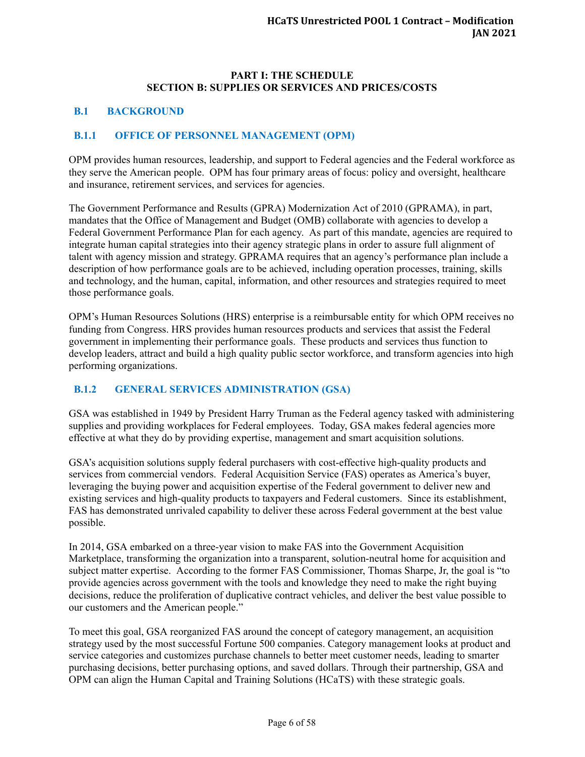#### **PART I: THE SCHEDULE SECTION B: SUPPLIES OR SERVICES AND PRICES/COSTS**

#### <span id="page-5-0"></span>**B.1 BACKGROUND**

#### <span id="page-5-1"></span>**B.1.1 OFFICE OF PERSONNEL MANAGEMENT (OPM)**

OPM provides human resources, leadership, and support to Federal agencies and the Federal workforce as they serve the American people. OPM has four primary areas of focus: policy and oversight, healthcare and insurance, retirement services, and services for agencies.

The Government Performance and Results (GPRA) Modernization Act of 2010 (GPRAMA), in part, mandates that the Office of Management and Budget (OMB) collaborate with agencies to develop a Federal Government Performance Plan for each agency. As part of this mandate, agencies are required to integrate human capital strategies into their agency strategic plans in order to assure full alignment of talent with agency mission and strategy. GPRAMA requires that an agency's performance plan include a description of how performance goals are to be achieved, including operation processes, training, skills and technology, and the human, capital, information, and other resources and strategies required to meet those performance goals.

OPM's Human Resources Solutions (HRS) enterprise is a reimbursable entity for which OPM receives no funding from Congress. HRS provides human resources products and services that assist the Federal government in implementing their performance goals. These products and services thus function to develop leaders, attract and build a high quality public sector workforce, and transform agencies into high performing organizations.

### <span id="page-5-2"></span>**B.1.2 GENERAL SERVICES ADMINISTRATION (GSA)**

GSA was established in 1949 by President Harry Truman as the Federal agency tasked with administering supplies and providing workplaces for Federal employees. Today, GSA makes federal agencies more effective at what they do by providing expertise, management and smart acquisition solutions.

GSA's acquisition solutions supply federal purchasers with cost-effective high-quality products and services from commercial vendors. Federal Acquisition Service (FAS) operates as America's buyer, leveraging the buying power and acquisition expertise of the Federal government to deliver new and existing services and high-quality products to taxpayers and Federal customers. Since its establishment, FAS has demonstrated unrivaled capability to deliver these across Federal government at the best value possible.

In 2014, GSA embarked on a three-year vision to make FAS into the Government Acquisition Marketplace, transforming the organization into a transparent, solution-neutral home for acquisition and subject matter expertise. According to the former FAS Commissioner, Thomas Sharpe, Jr, the goal is "to provide agencies across government with the tools and knowledge they need to make the right buying decisions, reduce the proliferation of duplicative contract vehicles, and deliver the best value possible to our customers and the American people."

To meet this goal, GSA reorganized FAS around the concept of category management, an acquisition strategy used by the most successful Fortune 500 companies. Category management looks at product and service categories and customizes purchase channels to better meet customer needs, leading to smarter purchasing decisions, better purchasing options, and saved dollars. Through their partnership, GSA and OPM can align the Human Capital and Training Solutions (HCaTS) with these strategic goals.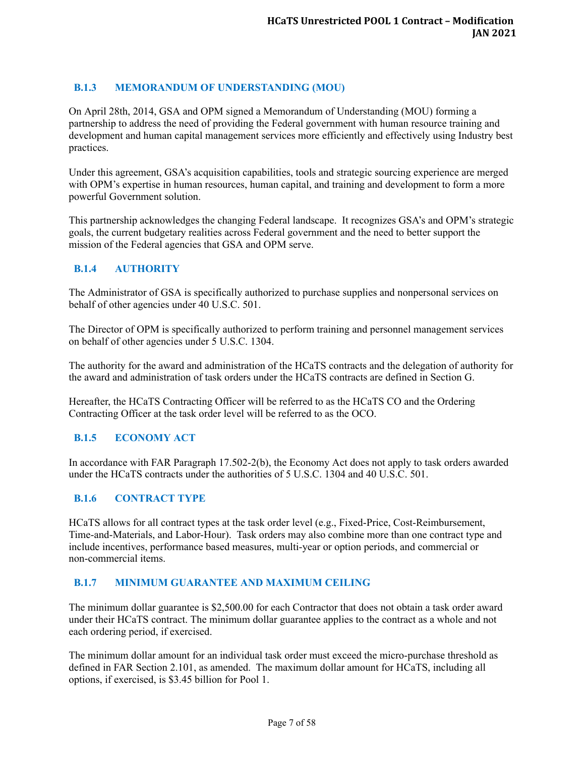## <span id="page-6-0"></span>**B.1.3 MEMORANDUM OF UNDERSTANDING (MOU)**

On April 28th, 2014, GSA and OPM signed a Memorandum of Understanding (MOU) forming a partnership to address the need of providing the Federal government with human resource training and development and human capital management services more efficiently and effectively using Industry best practices.

Under this agreement, GSA's acquisition capabilities, tools and strategic sourcing experience are merged with OPM's expertise in human resources, human capital, and training and development to form a more powerful Government solution.

This partnership acknowledges the changing Federal landscape. It recognizes GSA's and OPM's strategic goals, the current budgetary realities across Federal government and the need to better support the mission of the Federal agencies that GSA and OPM serve.

### <span id="page-6-1"></span>**B.1.4 AUTHORITY**

The Administrator of GSA is specifically authorized to purchase supplies and nonpersonal services on behalf of other agencies under 40 U.S.C. 501.

The Director of OPM is specifically authorized to perform training and personnel management services on behalf of other agencies under 5 U.S.C. 1304.

The authority for the award and administration of the HCaTS contracts and the delegation of authority for the award and administration of task orders under the HCaTS contracts are defined in Section G.

Hereafter, the HCaTS Contracting Officer will be referred to as the HCaTS CO and the Ordering Contracting Officer at the task order level will be referred to as the OCO.

#### <span id="page-6-2"></span>**B.1.5 ECONOMY ACT**

In accordance with FAR Paragraph 17.502-2(b), the Economy Act does not apply to task orders awarded under the HCaTS contracts under the authorities of 5 U.S.C. 1304 and 40 U.S.C. 501.

#### <span id="page-6-3"></span>**B.1.6 CONTRACT TYPE**

HCaTS allows for all contract types at the task order level (e.g., Fixed-Price, Cost-Reimbursement, Time-and-Materials, and Labor-Hour). Task orders may also combine more than one contract type and include incentives, performance based measures, multi-year or option periods, and commercial or non-commercial items.

#### <span id="page-6-4"></span>**B.1.7 MINIMUM GUARANTEE AND MAXIMUM CEILING**

The minimum dollar guarantee is \$2,500.00 for each Contractor that does not obtain a task order award under their HCaTS contract. The minimum dollar guarantee applies to the contract as a whole and not each ordering period, if exercised.

The minimum dollar amount for an individual task order must exceed the micro-purchase threshold as defined in FAR Section 2.101, as amended. The maximum dollar amount for HCaTS, including all options, if exercised, is \$3.45 billion for Pool 1.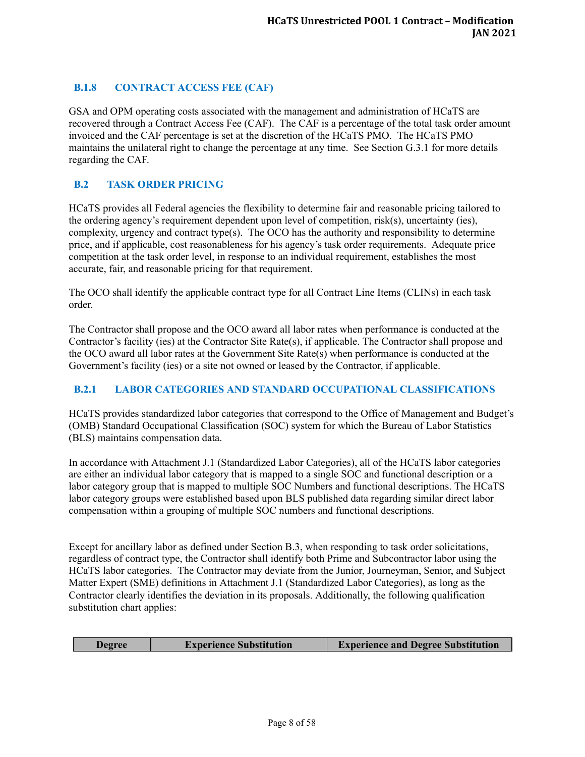## <span id="page-7-0"></span>**B.1.8 CONTRACT ACCESS FEE (CAF)**

GSA and OPM operating costs associated with the management and administration of HCaTS are recovered through a Contract Access Fee (CAF). The CAF is a percentage of the total task order amount invoiced and the CAF percentage is set at the discretion of the HCaTS PMO. The HCaTS PMO maintains the unilateral right to change the percentage at any time. See Section G.3.1 for more details regarding the CAF.

#### <span id="page-7-1"></span>**B.2 TASK ORDER PRICING**

HCaTS provides all Federal agencies the flexibility to determine fair and reasonable pricing tailored to the ordering agency's requirement dependent upon level of competition, risk(s), uncertainty (ies), complexity, urgency and contract type(s). The OCO has the authority and responsibility to determine price, and if applicable, cost reasonableness for his agency's task order requirements. Adequate price competition at the task order level, in response to an individual requirement, establishes the most accurate, fair, and reasonable pricing for that requirement.

The OCO shall identify the applicable contract type for all Contract Line Items (CLINs) in each task order.

The Contractor shall propose and the OCO award all labor rates when performance is conducted at the Contractor's facility (ies) at the Contractor Site Rate(s), if applicable. The Contractor shall propose and the OCO award all labor rates at the Government Site Rate(s) when performance is conducted at the Government's facility (ies) or a site not owned or leased by the Contractor, if applicable.

#### <span id="page-7-2"></span>**B.2.1 LABOR CATEGORIES AND STANDARD OCCUPATIONAL CLASSIFICATIONS**

HCaTS provides standardized labor categories that correspond to the Office of Management and Budget's (OMB) Standard Occupational Classification (SOC) system for which the Bureau of Labor Statistics (BLS) maintains compensation data.

In accordance with Attachment J.1 (Standardized Labor Categories), all of the HCaTS labor categories are either an individual labor category that is mapped to a single SOC and functional description or a labor category group that is mapped to multiple SOC Numbers and functional descriptions. The HCaTS labor category groups were established based upon BLS published data regarding similar direct labor compensation within a grouping of multiple SOC numbers and functional descriptions.

Except for ancillary labor as defined under Section B.3, when responding to task order solicitations, regardless of contract type, the Contractor shall identify both Prime and Subcontractor labor using the HCaTS labor categories. The Contractor may deviate from the Junior, Journeyman, Senior, and Subject Matter Expert (SME) definitions in Attachment J.1 (Standardized Labor Categories), as long as the Contractor clearly identifies the deviation in its proposals. Additionally, the following qualification substitution chart applies:

|  | <b>Degree</b> | <b>Experience Substitution</b> | <b>Experience and Degree Substitution</b> |
|--|---------------|--------------------------------|-------------------------------------------|
|--|---------------|--------------------------------|-------------------------------------------|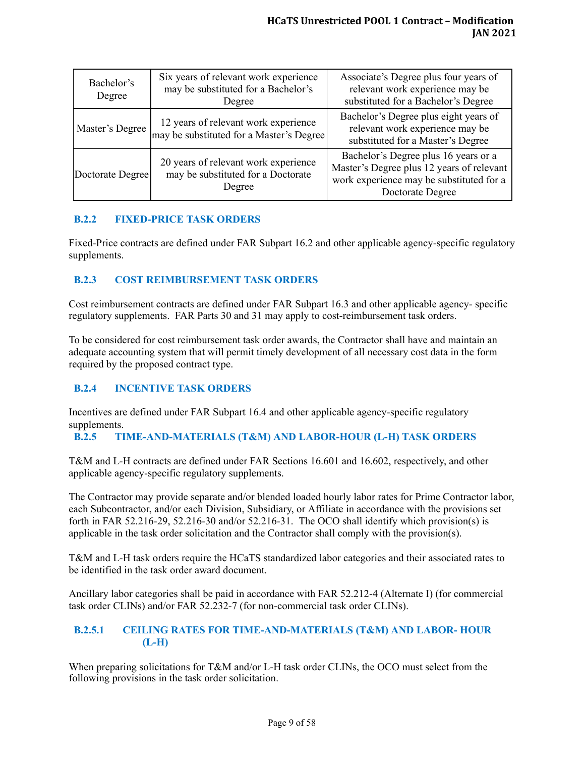| Six years of relevant work experience<br>Bachelor's<br>may be substituted for a Bachelor's<br>Degree<br>Degree |                                                                                      | Associate's Degree plus four years of<br>relevant work experience may be<br>substituted for a Bachelor's Degree                                   |  |
|----------------------------------------------------------------------------------------------------------------|--------------------------------------------------------------------------------------|---------------------------------------------------------------------------------------------------------------------------------------------------|--|
| Master's Degree                                                                                                | 12 years of relevant work experience<br>may be substituted for a Master's Degree     | Bachelor's Degree plus eight years of<br>relevant work experience may be<br>substituted for a Master's Degree                                     |  |
| Doctorate Degree                                                                                               | 20 years of relevant work experience<br>may be substituted for a Doctorate<br>Degree | Bachelor's Degree plus 16 years or a<br>Master's Degree plus 12 years of relevant<br>work experience may be substituted for a<br>Doctorate Degree |  |

### <span id="page-8-0"></span>**B.2.2 FIXED-PRICE TASK ORDERS**

Fixed-Price contracts are defined under FAR Subpart 16.2 and other applicable agency-specific regulatory supplements.

#### <span id="page-8-1"></span>**B.2.3 COST REIMBURSEMENT TASK ORDERS**

Cost reimbursement contracts are defined under FAR Subpart 16.3 and other applicable agency- specific regulatory supplements. FAR Parts 30 and 31 may apply to cost-reimbursement task orders.

To be considered for cost reimbursement task order awards, the Contractor shall have and maintain an adequate accounting system that will permit timely development of all necessary cost data in the form required by the proposed contract type.

### <span id="page-8-2"></span>**B.2.4 INCENTIVE TASK ORDERS**

Incentives are defined under FAR Subpart 16.4 and other applicable agency-specific regulatory supplements.

#### <span id="page-8-3"></span>**B.2.5 TIME-AND-MATERIALS (T&M) AND LABOR-HOUR (L-H) TASK ORDERS**

T&M and L-H contracts are defined under FAR Sections 16.601 and 16.602, respectively, and other applicable agency-specific regulatory supplements.

The Contractor may provide separate and/or blended loaded hourly labor rates for Prime Contractor labor, each Subcontractor, and/or each Division, Subsidiary, or Affiliate in accordance with the provisions set forth in FAR 52.216-29, 52.216-30 and/or 52.216-31. The OCO shall identify which provision(s) is applicable in the task order solicitation and the Contractor shall comply with the provision(s).

T&M and L-H task orders require the HCaTS standardized labor categories and their associated rates to be identified in the task order award document.

Ancillary labor categories shall be paid in accordance with FAR 52.212-4 (Alternate I) (for commercial task order CLINs) and/or FAR 52.232-7 (for non-commercial task order CLINs).

#### <span id="page-8-4"></span>**B.2.5.1 CEILING RATES FOR TIME-AND-MATERIALS (T&M) AND LABOR- HOUR (L-H)**

When preparing solicitations for T&M and/or L-H task order CLINs, the OCO must select from the following provisions in the task order solicitation.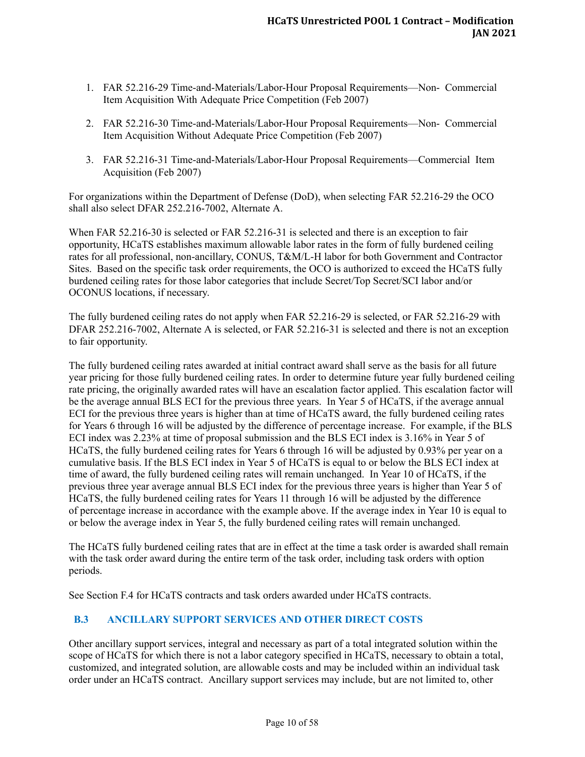- 1. FAR 52.216-29 Time-and-Materials/Labor-Hour Proposal Requirements—Non- Commercial Item Acquisition With Adequate Price Competition (Feb 2007)
- 2. FAR 52.216-30 Time-and-Materials/Labor-Hour Proposal Requirements—Non- Commercial Item Acquisition Without Adequate Price Competition (Feb 2007)
- 3. FAR 52.216-31 Time-and-Materials/Labor-Hour Proposal Requirements—Commercial Item Acquisition (Feb 2007)

For organizations within the Department of Defense (DoD), when selecting FAR 52.216-29 the OCO shall also select DFAR 252.216-7002, Alternate A.

When FAR 52.216-30 is selected or FAR 52.216-31 is selected and there is an exception to fair opportunity, HCaTS establishes maximum allowable labor rates in the form of fully burdened ceiling rates for all professional, non-ancillary, CONUS, T&M/L-H labor for both Government and Contractor Sites. Based on the specific task order requirements, the OCO is authorized to exceed the HCaTS fully burdened ceiling rates for those labor categories that include Secret/Top Secret/SCI labor and/or OCONUS locations, if necessary.

The fully burdened ceiling rates do not apply when FAR 52.216-29 is selected, or FAR 52.216-29 with DFAR 252.216-7002, Alternate A is selected, or FAR 52.216-31 is selected and there is not an exception to fair opportunity.

The fully burdened ceiling rates awarded at initial contract award shall serve as the basis for all future year pricing for those fully burdened ceiling rates. In order to determine future year fully burdened ceiling rate pricing, the originally awarded rates will have an escalation factor applied. This escalation factor will be the average annual BLS ECI for the previous three years. In Year 5 of HCaTS, if the average annual ECI for the previous three years is higher than at time of HCaTS award, the fully burdened ceiling rates for Years 6 through 16 will be adjusted by the difference of percentage increase. For example, if the BLS ECI index was 2.23% at time of proposal submission and the BLS ECI index is 3.16% in Year 5 of HCaTS, the fully burdened ceiling rates for Years 6 through 16 will be adjusted by 0.93% per year on a cumulative basis. If the BLS ECI index in Year 5 of HCaTS is equal to or below the BLS ECI index at time of award, the fully burdened ceiling rates will remain unchanged. In Year 10 of HCaTS, if the previous three year average annual BLS ECI index for the previous three years is higher than Year 5 of HCaTS, the fully burdened ceiling rates for Years 11 through 16 will be adjusted by the difference of percentage increase in accordance with the example above. If the average index in Year 10 is equal to or below the average index in Year 5, the fully burdened ceiling rates will remain unchanged.

The HCaTS fully burdened ceiling rates that are in effect at the time a task order is awarded shall remain with the task order award during the entire term of the task order, including task orders with option periods.

See Section F.4 for HCaTS contracts and task orders awarded under HCaTS contracts.

### <span id="page-9-0"></span>**B.3 ANCILLARY SUPPORT SERVICES AND OTHER DIRECT COSTS**

Other ancillary support services, integral and necessary as part of a total integrated solution within the scope of HCaTS for which there is not a labor category specified in HCaTS, necessary to obtain a total, customized, and integrated solution, are allowable costs and may be included within an individual task order under an HCaTS contract. Ancillary support services may include, but are not limited to, other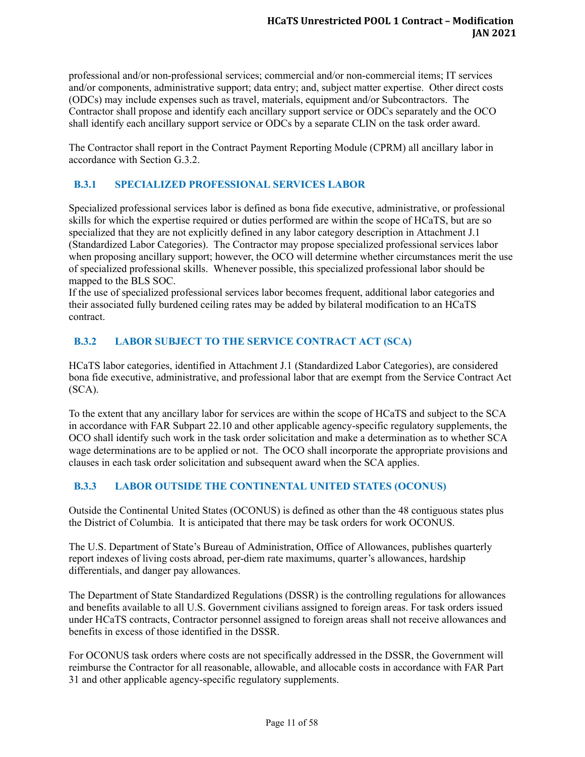professional and/or non-professional services; commercial and/or non-commercial items; IT services and/or components, administrative support; data entry; and, subject matter expertise. Other direct costs (ODCs) may include expenses such as travel, materials, equipment and/or Subcontractors. The Contractor shall propose and identify each ancillary support service or ODCs separately and the OCO shall identify each ancillary support service or ODCs by a separate CLIN on the task order award.

The Contractor shall report in the Contract Payment Reporting Module (CPRM) all ancillary labor in accordance with Section G.3.2.

## <span id="page-10-0"></span>**B.3.1 SPECIALIZED PROFESSIONAL SERVICES LABOR**

Specialized professional services labor is defined as bona fide executive, administrative, or professional skills for which the expertise required or duties performed are within the scope of HCaTS, but are so specialized that they are not explicitly defined in any labor category description in Attachment J.1 (Standardized Labor Categories). The Contractor may propose specialized professional services labor when proposing ancillary support; however, the OCO will determine whether circumstances merit the use of specialized professional skills. Whenever possible, this specialized professional labor should be mapped to the BLS SOC.

If the use of specialized professional services labor becomes frequent, additional labor categories and their associated fully burdened ceiling rates may be added by bilateral modification to an HCaTS contract.

## <span id="page-10-1"></span>**B.3.2 LABOR SUBJECT TO THE SERVICE CONTRACT ACT (SCA)**

HCaTS labor categories, identified in Attachment J.1 (Standardized Labor Categories), are considered bona fide executive, administrative, and professional labor that are exempt from the Service Contract Act (SCA).

To the extent that any ancillary labor for services are within the scope of HCaTS and subject to the SCA in accordance with FAR Subpart 22.10 and other applicable agency-specific regulatory supplements, the OCO shall identify such work in the task order solicitation and make a determination as to whether SCA wage determinations are to be applied or not. The OCO shall incorporate the appropriate provisions and clauses in each task order solicitation and subsequent award when the SCA applies.

### <span id="page-10-2"></span>**B.3.3 LABOR OUTSIDE THE CONTINENTAL UNITED STATES (OCONUS)**

Outside the Continental United States (OCONUS) is defined as other than the 48 contiguous states plus the District of Columbia. It is anticipated that there may be task orders for work OCONUS.

The U.S. Department of State's Bureau of Administration, Office of Allowances, publishes quarterly report indexes of living costs abroad, per-diem rate maximums, quarter's allowances, hardship differentials, and danger pay allowances.

The Department of State Standardized Regulations (DSSR) is the controlling regulations for allowances and benefits available to all U.S. Government civilians assigned to foreign areas. For task orders issued under HCaTS contracts, Contractor personnel assigned to foreign areas shall not receive allowances and benefits in excess of those identified in the DSSR.

For OCONUS task orders where costs are not specifically addressed in the DSSR, the Government will reimburse the Contractor for all reasonable, allowable, and allocable costs in accordance with FAR Part 31 and other applicable agency-specific regulatory supplements.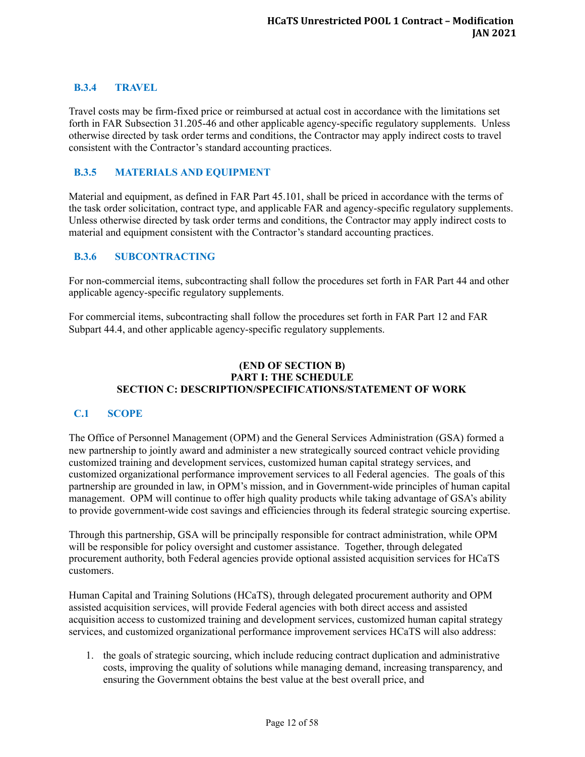## <span id="page-11-0"></span>**B.3.4 TRAVEL**

Travel costs may be firm-fixed price or reimbursed at actual cost in accordance with the limitations set forth in FAR Subsection 31.205-46 and other applicable agency-specific regulatory supplements. Unless otherwise directed by task order terms and conditions, the Contractor may apply indirect costs to travel consistent with the Contractor's standard accounting practices.

#### <span id="page-11-1"></span>**B.3.5 MATERIALS AND EQUIPMENT**

Material and equipment, as defined in FAR Part 45.101, shall be priced in accordance with the terms of the task order solicitation, contract type, and applicable FAR and agency-specific regulatory supplements. Unless otherwise directed by task order terms and conditions, the Contractor may apply indirect costs to material and equipment consistent with the Contractor's standard accounting practices.

#### <span id="page-11-2"></span>**B.3.6 SUBCONTRACTING**

For non-commercial items, subcontracting shall follow the procedures set forth in FAR Part 44 and other applicable agency-specific regulatory supplements.

For commercial items, subcontracting shall follow the procedures set forth in FAR Part 12 and FAR Subpart 44.4, and other applicable agency-specific regulatory supplements.

#### **(END OF SECTION B) PART I: THE SCHEDULE SECTION C: DESCRIPTION/SPECIFICATIONS/STATEMENT OF WORK**

#### <span id="page-11-3"></span>**C.1 SCOPE**

The Office of Personnel Management (OPM) and the General Services Administration (GSA) formed a new partnership to jointly award and administer a new strategically sourced contract vehicle providing customized training and development services, customized human capital strategy services, and customized organizational performance improvement services to all Federal agencies. The goals of this partnership are grounded in law, in OPM's mission, and in Government-wide principles of human capital management. OPM will continue to offer high quality products while taking advantage of GSA's ability to provide government-wide cost savings and efficiencies through its federal strategic sourcing expertise.

Through this partnership, GSA will be principally responsible for contract administration, while OPM will be responsible for policy oversight and customer assistance. Together, through delegated procurement authority, both Federal agencies provide optional assisted acquisition services for HCaTS customers.

Human Capital and Training Solutions (HCaTS), through delegated procurement authority and OPM assisted acquisition services, will provide Federal agencies with both direct access and assisted acquisition access to customized training and development services, customized human capital strategy services, and customized organizational performance improvement services HCaTS will also address:

1. the goals of strategic sourcing, which include reducing contract duplication and administrative costs, improving the quality of solutions while managing demand, increasing transparency, and ensuring the Government obtains the best value at the best overall price, and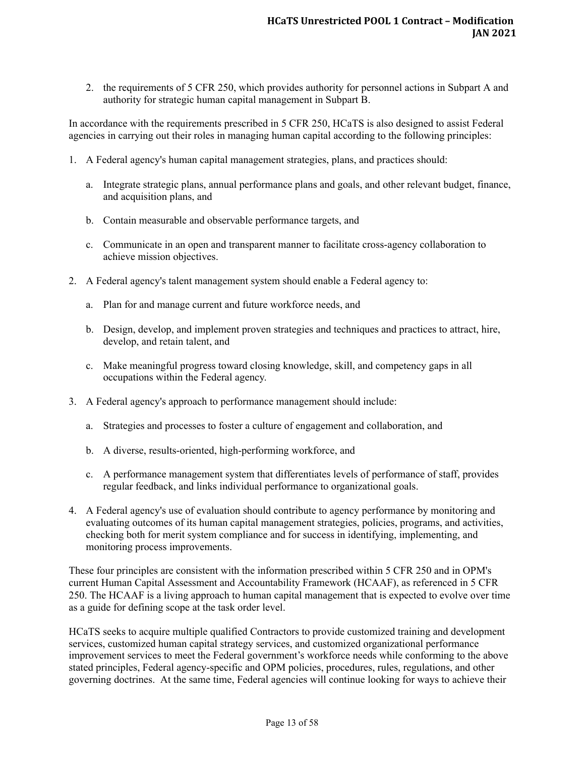2. the requirements of 5 CFR 250, which provides authority for personnel actions in Subpart A and authority for strategic human capital management in Subpart B.

In accordance with the requirements prescribed in 5 CFR 250, HCaTS is also designed to assist Federal agencies in carrying out their roles in managing human capital according to the following principles:

- 1. A Federal agency's human capital management strategies, plans, and practices should:
	- a. Integrate strategic plans, annual performance plans and goals, and other relevant budget, finance, and acquisition plans, and
	- b. Contain measurable and observable performance targets, and
	- c. Communicate in an open and transparent manner to facilitate cross-agency collaboration to achieve mission objectives.
- 2. A Federal agency's talent management system should enable a Federal agency to:
	- a. Plan for and manage current and future workforce needs, and
	- b. Design, develop, and implement proven strategies and techniques and practices to attract, hire, develop, and retain talent, and
	- c. Make meaningful progress toward closing knowledge, skill, and competency gaps in all occupations within the Federal agency.
- 3. A Federal agency's approach to performance management should include:
	- a. Strategies and processes to foster a culture of engagement and collaboration, and
	- b. A diverse, results-oriented, high-performing workforce, and
	- c. A performance management system that differentiates levels of performance of staff, provides regular feedback, and links individual performance to organizational goals.
- 4. A Federal agency's use of evaluation should contribute to agency performance by monitoring and evaluating outcomes of its human capital management strategies, policies, programs, and activities, checking both for merit system compliance and for success in identifying, implementing, and monitoring process improvements.

These four principles are consistent with the information prescribed within 5 CFR 250 and in OPM's current Human Capital Assessment and Accountability Framework (HCAAF), as referenced in 5 CFR 250. The HCAAF is a living approach to human capital management that is expected to evolve over time as a guide for defining scope at the task order level.

HCaTS seeks to acquire multiple qualified Contractors to provide customized training and development services, customized human capital strategy services, and customized organizational performance improvement services to meet the Federal government's workforce needs while conforming to the above stated principles, Federal agency-specific and OPM policies, procedures, rules, regulations, and other governing doctrines. At the same time, Federal agencies will continue looking for ways to achieve their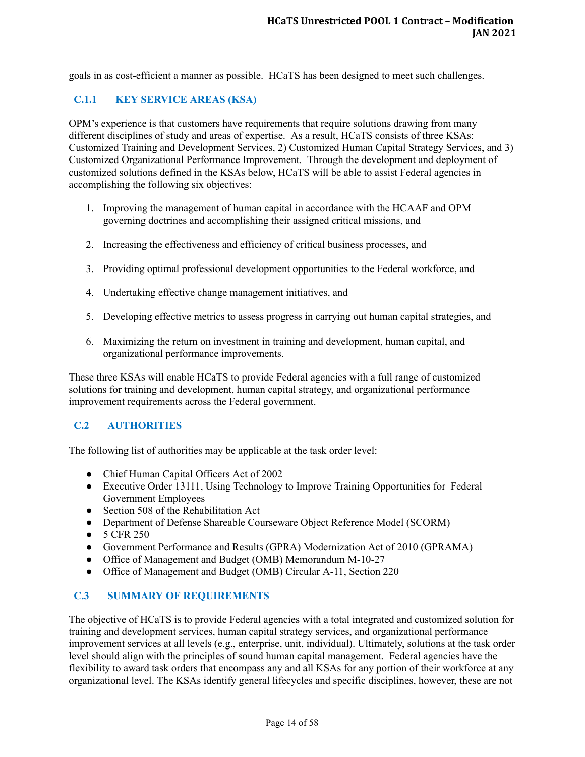goals in as cost-efficient a manner as possible. HCaTS has been designed to meet such challenges.

## <span id="page-13-0"></span>**C.1.1 KEY SERVICE AREAS (KSA)**

OPM's experience is that customers have requirements that require solutions drawing from many different disciplines of study and areas of expertise. As a result, HCaTS consists of three KSAs: Customized Training and Development Services, 2) Customized Human Capital Strategy Services, and 3) Customized Organizational Performance Improvement. Through the development and deployment of customized solutions defined in the KSAs below, HCaTS will be able to assist Federal agencies in accomplishing the following six objectives:

- 1. Improving the management of human capital in accordance with the HCAAF and OPM governing doctrines and accomplishing their assigned critical missions, and
- 2. Increasing the effectiveness and efficiency of critical business processes, and
- 3. Providing optimal professional development opportunities to the Federal workforce, and
- 4. Undertaking effective change management initiatives, and
- 5. Developing effective metrics to assess progress in carrying out human capital strategies, and
- 6. Maximizing the return on investment in training and development, human capital, and organizational performance improvements.

These three KSAs will enable HCaTS to provide Federal agencies with a full range of customized solutions for training and development, human capital strategy, and organizational performance improvement requirements across the Federal government.

### <span id="page-13-1"></span>**C.2 AUTHORITIES**

The following list of authorities may be applicable at the task order level:

- Chief Human Capital Officers Act of 2002
- Executive Order 13111, Using Technology to Improve Training Opportunities for Federal Government Employees
- Section 508 of the Rehabilitation Act
- Department of Defense Shareable Courseware Object Reference Model (SCORM)
- 5 CFR 250
- Government Performance and Results (GPRA) Modernization Act of 2010 (GPRAMA)
- Office of Management and Budget (OMB) Memorandum M-10-27
- Office of Management and Budget (OMB) Circular A-11, Section 220

#### <span id="page-13-2"></span>**C.3 SUMMARY OF REQUIREMENTS**

The objective of HCaTS is to provide Federal agencies with a total integrated and customized solution for training and development services, human capital strategy services, and organizational performance improvement services at all levels (e.g., enterprise, unit, individual). Ultimately, solutions at the task order level should align with the principles of sound human capital management. Federal agencies have the flexibility to award task orders that encompass any and all KSAs for any portion of their workforce at any organizational level. The KSAs identify general lifecycles and specific disciplines, however, these are not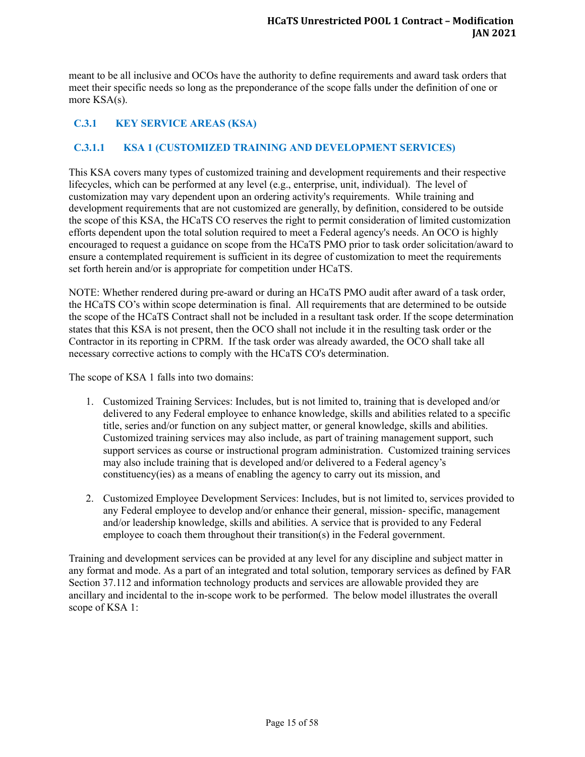meant to be all inclusive and OCOs have the authority to define requirements and award task orders that meet their specific needs so long as the preponderance of the scope falls under the definition of one or more KSA(s).

## <span id="page-14-0"></span>**C.3.1 KEY SERVICE AREAS (KSA)**

## <span id="page-14-1"></span>**C.3.1.1 KSA 1 (CUSTOMIZED TRAINING AND DEVELOPMENT SERVICES)**

This KSA covers many types of customized training and development requirements and their respective lifecycles, which can be performed at any level (e.g., enterprise, unit, individual). The level of customization may vary dependent upon an ordering activity's requirements. While training and development requirements that are not customized are generally, by definition, considered to be outside the scope of this KSA, the HCaTS CO reserves the right to permit consideration of limited customization efforts dependent upon the total solution required to meet a Federal agency's needs. An OCO is highly encouraged to request a guidance on scope from the HCaTS PMO prior to task order solicitation/award to ensure a contemplated requirement is sufficient in its degree of customization to meet the requirements set forth herein and/or is appropriate for competition under HCaTS.

NOTE: Whether rendered during pre-award or during an HCaTS PMO audit after award of a task order, the HCaTS CO's within scope determination is final. All requirements that are determined to be outside the scope of the HCaTS Contract shall not be included in a resultant task order. If the scope determination states that this KSA is not present, then the OCO shall not include it in the resulting task order or the Contractor in its reporting in CPRM. If the task order was already awarded, the OCO shall take all necessary corrective actions to comply with the HCaTS CO's determination.

The scope of KSA 1 falls into two domains:

- 1. Customized Training Services: Includes, but is not limited to, training that is developed and/or delivered to any Federal employee to enhance knowledge, skills and abilities related to a specific title, series and/or function on any subject matter, or general knowledge, skills and abilities. Customized training services may also include, as part of training management support, such support services as course or instructional program administration. Customized training services may also include training that is developed and/or delivered to a Federal agency's constituency(ies) as a means of enabling the agency to carry out its mission, and
- 2. Customized Employee Development Services: Includes, but is not limited to, services provided to any Federal employee to develop and/or enhance their general, mission- specific, management and/or leadership knowledge, skills and abilities. A service that is provided to any Federal employee to coach them throughout their transition(s) in the Federal government.

Training and development services can be provided at any level for any discipline and subject matter in any format and mode. As a part of an integrated and total solution, temporary services as defined by FAR Section 37.112 and information technology products and services are allowable provided they are ancillary and incidental to the in-scope work to be performed. The below model illustrates the overall scope of KSA 1: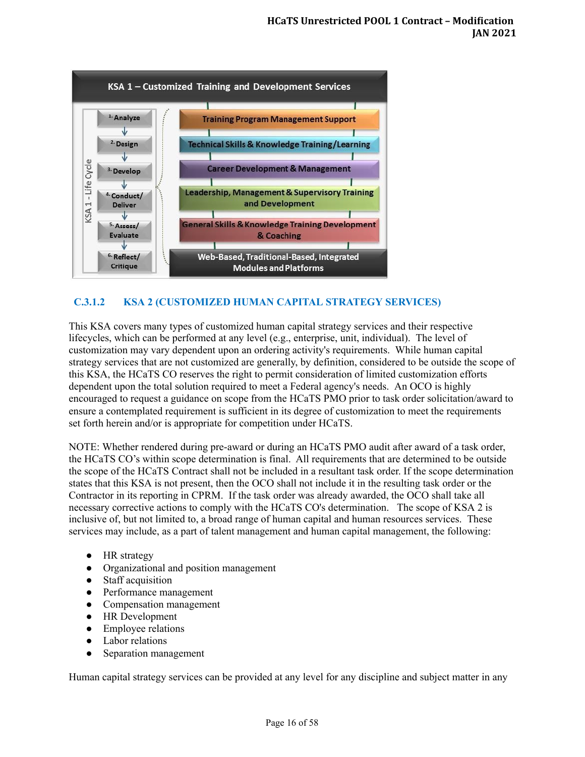

### <span id="page-15-0"></span>**C.3.1.2 KSA 2 (CUSTOMIZED HUMAN CAPITAL STRATEGY SERVICES)**

This KSA covers many types of customized human capital strategy services and their respective lifecycles, which can be performed at any level (e.g., enterprise, unit, individual). The level of customization may vary dependent upon an ordering activity's requirements. While human capital strategy services that are not customized are generally, by definition, considered to be outside the scope of this KSA, the HCaTS CO reserves the right to permit consideration of limited customization efforts dependent upon the total solution required to meet a Federal agency's needs. An OCO is highly encouraged to request a guidance on scope from the HCaTS PMO prior to task order solicitation/award to ensure a contemplated requirement is sufficient in its degree of customization to meet the requirements set forth herein and/or is appropriate for competition under HCaTS.

NOTE: Whether rendered during pre-award or during an HCaTS PMO audit after award of a task order, the HCaTS CO's within scope determination is final. All requirements that are determined to be outside the scope of the HCaTS Contract shall not be included in a resultant task order. If the scope determination states that this KSA is not present, then the OCO shall not include it in the resulting task order or the Contractor in its reporting in CPRM. If the task order was already awarded, the OCO shall take all necessary corrective actions to comply with the HCaTS CO's determination. The scope of KSA 2 is inclusive of, but not limited to, a broad range of human capital and human resources services. These services may include, as a part of talent management and human capital management, the following:

- HR strategy
- Organizational and position management
- Staff acquisition
- Performance management
- Compensation management
- HR Development
- Employee relations
- Labor relations
- Separation management

Human capital strategy services can be provided at any level for any discipline and subject matter in any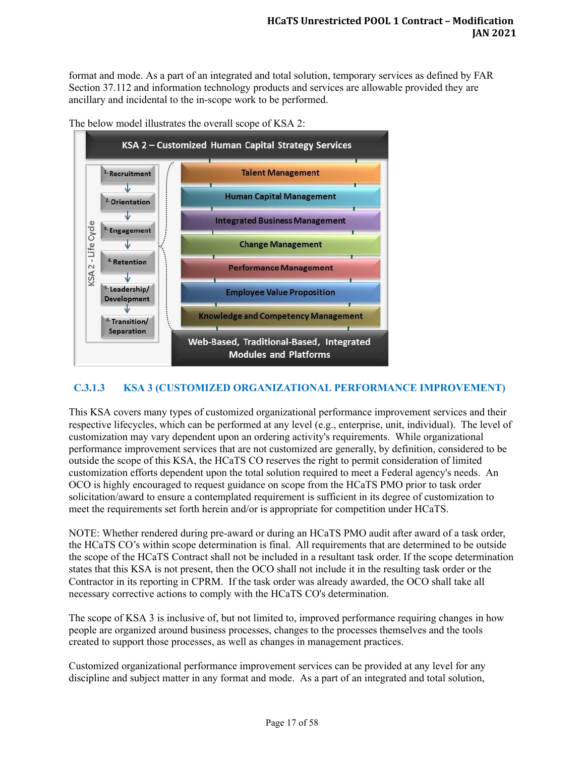format and mode. As a part of an integrated and total solution, temporary services as defined by FAR Section 37.112 and information technology products and services are allowable provided they are ancillary and incidental to the in-scope work to be performed.





### <span id="page-16-0"></span>**C.3.1.3 KSA 3 (CUSTOMIZED ORGANIZATIONAL PERFORMANCE IMPROVEMENT)**

This KSA covers many types of customized organizational performance improvement services and their respective lifecycles, which can be performed at any level (e.g., enterprise, unit, individual). The level of customization may vary dependent upon an ordering activity's requirements. While organizational performance improvement services that are not customized are generally, by definition, considered to be outside the scope of this KSA, the HCaTS CO reserves the right to permit consideration of limited customization efforts dependent upon the total solution required to meet a Federal agency's needs. An OCO is highly encouraged to request guidance on scope from the HCaTS PMO prior to task order solicitation/award to ensure a contemplated requirement is sufficient in its degree of customization to meet the requirements set forth herein and/or is appropriate for competition under HCaTS.

NOTE: Whether rendered during pre-award or during an HCaTS PMO audit after award of a task order, the HCaTS CO's within scope determination is final. All requirements that are determined to be outside the scope of the HCaTS Contract shall not be included in a resultant task order. If the scope determination states that this KSA is not present, then the OCO shall not include it in the resulting task order or the Contractor in its reporting in CPRM. If the task order was already awarded, the OCO shall take all necessary corrective actions to comply with the HCaTS CO's determination.

The scope of KSA 3 is inclusive of, but not limited to, improved performance requiring changes in how people are organized around business processes, changes to the processes themselves and the tools created to support those processes, as well as changes in management practices.

Customized organizational performance improvement services can be provided at any level for any discipline and subject matter in any format and mode. As a part of an integrated and total solution,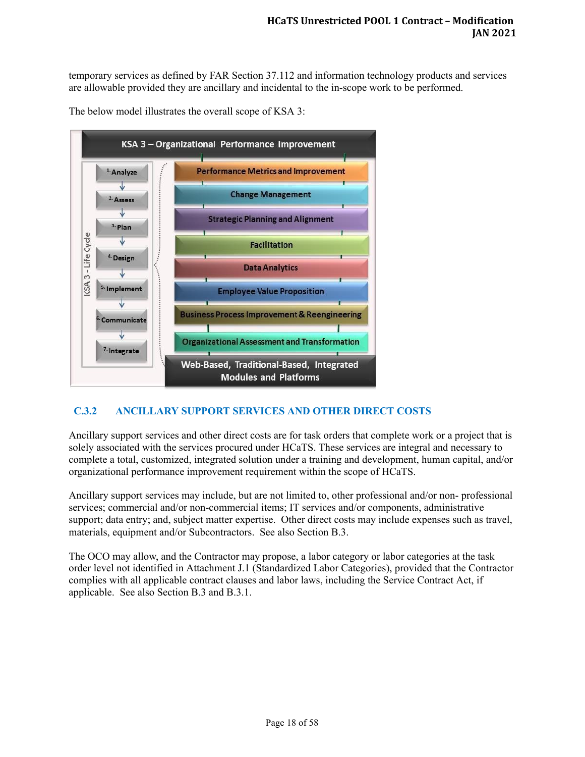temporary services as defined by FAR Section 37.112 and information technology products and services are allowable provided they are ancillary and incidental to the in-scope work to be performed.

The below model illustrates the overall scope of KSA 3:



### <span id="page-17-0"></span>**C.3.2 ANCILLARY SUPPORT SERVICES AND OTHER DIRECT COSTS**

Ancillary support services and other direct costs are for task orders that complete work or a project that is solely associated with the services procured under HCaTS. These services are integral and necessary to complete a total, customized, integrated solution under a training and development, human capital, and/or organizational performance improvement requirement within the scope of HCaTS.

Ancillary support services may include, but are not limited to, other professional and/or non- professional services; commercial and/or non-commercial items; IT services and/or components, administrative support; data entry; and, subject matter expertise. Other direct costs may include expenses such as travel, materials, equipment and/or Subcontractors. See also Section B.3.

The OCO may allow, and the Contractor may propose, a labor category or labor categories at the task order level not identified in Attachment J.1 (Standardized Labor Categories), provided that the Contractor complies with all applicable contract clauses and labor laws, including the Service Contract Act, if applicable. See also Section B.3 and B.3.1.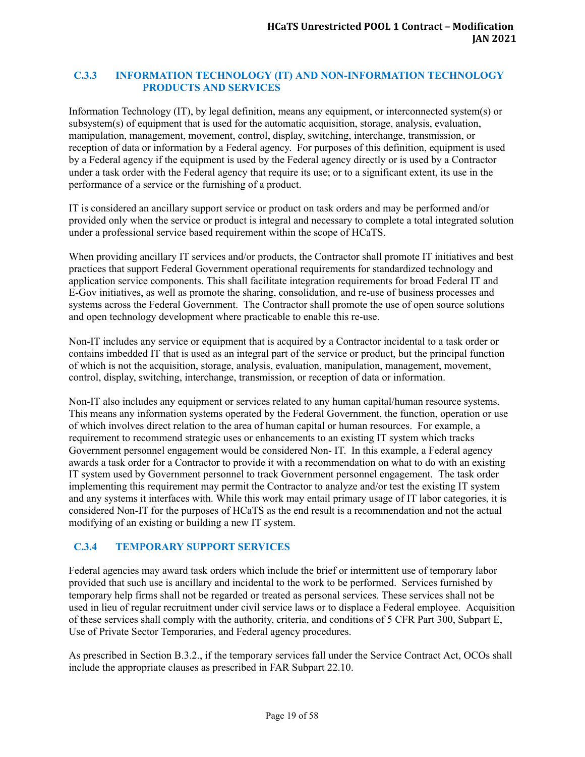#### <span id="page-18-0"></span>**C.3.3 INFORMATION TECHNOLOGY (IT) AND NON-INFORMATION TECHNOLOGY PRODUCTS AND SERVICES**

Information Technology (IT), by legal definition, means any equipment, or interconnected system(s) or subsystem(s) of equipment that is used for the automatic acquisition, storage, analysis, evaluation, manipulation, management, movement, control, display, switching, interchange, transmission, or reception of data or information by a Federal agency. For purposes of this definition, equipment is used by a Federal agency if the equipment is used by the Federal agency directly or is used by a Contractor under a task order with the Federal agency that require its use; or to a significant extent, its use in the performance of a service or the furnishing of a product.

IT is considered an ancillary support service or product on task orders and may be performed and/or provided only when the service or product is integral and necessary to complete a total integrated solution under a professional service based requirement within the scope of HCaTS.

When providing ancillary IT services and/or products, the Contractor shall promote IT initiatives and best practices that support Federal Government operational requirements for standardized technology and application service components. This shall facilitate integration requirements for broad Federal IT and E-Gov initiatives, as well as promote the sharing, consolidation, and re-use of business processes and systems across the Federal Government. The Contractor shall promote the use of open source solutions and open technology development where practicable to enable this re-use.

Non-IT includes any service or equipment that is acquired by a Contractor incidental to a task order or contains imbedded IT that is used as an integral part of the service or product, but the principal function of which is not the acquisition, storage, analysis, evaluation, manipulation, management, movement, control, display, switching, interchange, transmission, or reception of data or information.

Non-IT also includes any equipment or services related to any human capital/human resource systems. This means any information systems operated by the Federal Government, the function, operation or use of which involves direct relation to the area of human capital or human resources. For example, a requirement to recommend strategic uses or enhancements to an existing IT system which tracks Government personnel engagement would be considered Non- IT. In this example, a Federal agency awards a task order for a Contractor to provide it with a recommendation on what to do with an existing IT system used by Government personnel to track Government personnel engagement. The task order implementing this requirement may permit the Contractor to analyze and/or test the existing IT system and any systems it interfaces with. While this work may entail primary usage of IT labor categories, it is considered Non-IT for the purposes of HCaTS as the end result is a recommendation and not the actual modifying of an existing or building a new IT system.

## <span id="page-18-1"></span>**C.3.4 TEMPORARY SUPPORT SERVICES**

Federal agencies may award task orders which include the brief or intermittent use of temporary labor provided that such use is ancillary and incidental to the work to be performed. Services furnished by temporary help firms shall not be regarded or treated as personal services. These services shall not be used in lieu of regular recruitment under civil service laws or to displace a Federal employee. Acquisition of these services shall comply with the authority, criteria, and conditions of 5 CFR Part 300, Subpart E, Use of Private Sector Temporaries, and Federal agency procedures.

As prescribed in Section B.3.2., if the temporary services fall under the Service Contract Act, OCOs shall include the appropriate clauses as prescribed in FAR Subpart 22.10.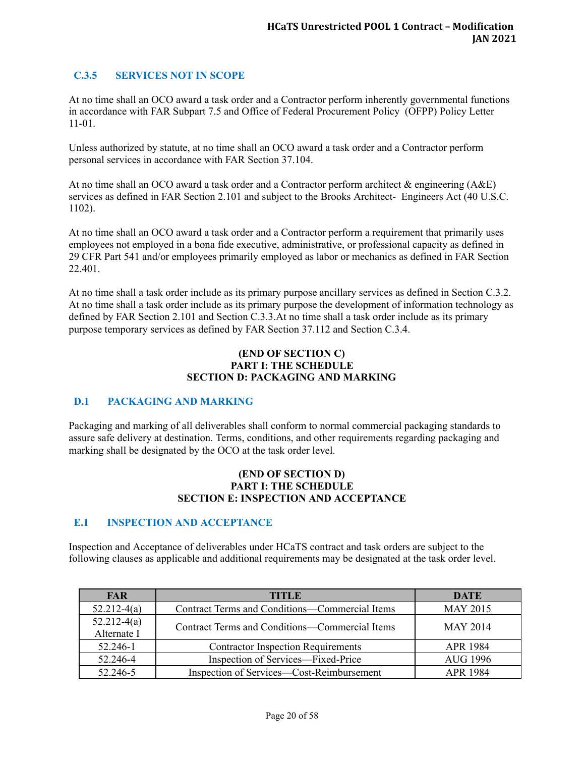## <span id="page-19-0"></span>**C.3.5 SERVICES NOT IN SCOPE**

At no time shall an OCO award a task order and a Contractor perform inherently governmental functions in accordance with FAR Subpart 7.5 and Office of Federal Procurement Policy (OFPP) Policy Letter 11-01.

Unless authorized by statute, at no time shall an OCO award a task order and a Contractor perform personal services in accordance with FAR Section 37.104.

At no time shall an OCO award a task order and a Contractor perform architect & engineering (A&E) services as defined in FAR Section 2.101 and subject to the Brooks Architect- Engineers Act (40 U.S.C. 1102).

At no time shall an OCO award a task order and a Contractor perform a requirement that primarily uses employees not employed in a bona fide executive, administrative, or professional capacity as defined in 29 CFR Part 541 and/or employees primarily employed as labor or mechanics as defined in FAR Section 22.401.

At no time shall a task order include as its primary purpose ancillary services as defined in Section C.3.2. At no time shall a task order include as its primary purpose the development of information technology as defined by FAR Section 2.101 and Section C.3.3.At no time shall a task order include as its primary purpose temporary services as defined by FAR Section 37.112 and Section C.3.4.

#### **(END OF SECTION C) PART I: THE SCHEDULE SECTION D: PACKAGING AND MARKING**

### <span id="page-19-1"></span>**D.1 PACKAGING AND MARKING**

Packaging and marking of all deliverables shall conform to normal commercial packaging standards to assure safe delivery at destination. Terms, conditions, and other requirements regarding packaging and marking shall be designated by the OCO at the task order level.

#### **(END OF SECTION D) PART I: THE SCHEDULE SECTION E: INSPECTION AND ACCEPTANCE**

#### <span id="page-19-2"></span>**E.1 INSPECTION AND ACCEPTANCE**

Inspection and Acceptance of deliverables under HCaTS contract and task orders are subject to the following clauses as applicable and additional requirements may be designated at the task order level.

| <b>FAR</b>                     | TITLE                                          | <b>DATE</b>     |
|--------------------------------|------------------------------------------------|-----------------|
| $52.212-4(a)$                  | Contract Terms and Conditions-Commercial Items | <b>MAY 2015</b> |
| $52.212 - 4(a)$<br>Alternate I | Contract Terms and Conditions—Commercial Items | <b>MAY 2014</b> |
| 52.246-1                       | <b>Contractor Inspection Requirements</b>      | APR 1984        |
| 52.246-4                       | Inspection of Services—Fixed-Price             | <b>AUG 1996</b> |
| 52.246-5                       | Inspection of Services—Cost-Reimbursement      | <b>APR 1984</b> |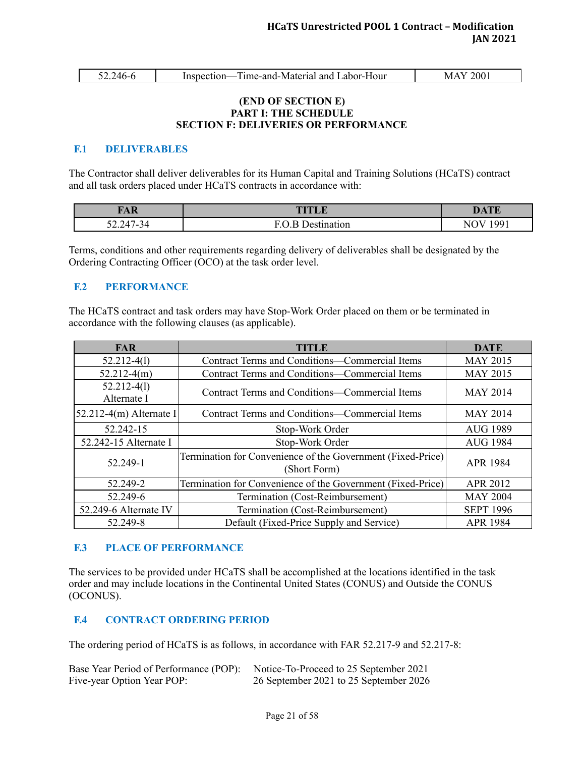| ◡-- | 'Δ6. | - Fime-and-Material and Labor-Hour<br>Inspection- | 200<br>$M_{\star}$ |
|-----|------|---------------------------------------------------|--------------------|
|     |      |                                                   |                    |

#### **(END OF SECTION E) PART I: THE SCHEDULE SECTION F: DELIVERIES OR PERFORMANCE**

#### <span id="page-20-0"></span>**F.1 DELIVERABLES**

The Contractor shall deliver deliverables for its Human Capital and Training Solutions (HCaTS) contract and all task orders placed under HCaTS contracts in accordance with:

| da d<br><b>TITT</b>   | <b>ALL THE ST</b> |
|-----------------------|-------------------|
| 52.247<br>$\sim$<br>∼ | 001<br>N.         |

Terms, conditions and other requirements regarding delivery of deliverables shall be designated by the Ordering Contracting Officer (OCO) at the task order level.

#### <span id="page-20-1"></span>**F.2 PERFORMANCE**

The HCaTS contract and task orders may have Stop-Work Order placed on them or be terminated in accordance with the following clauses (as applicable).

| <b>FAR</b>                                                | <b>TITLE</b>                                                                | <b>DATE</b>      |
|-----------------------------------------------------------|-----------------------------------------------------------------------------|------------------|
| $52.212 - 4(1)$                                           | Contract Terms and Conditions-Commercial Items                              | <b>MAY 2015</b>  |
| $52.212-4(m)$                                             | <b>Contract Terms and Conditions—Commercial Items</b>                       | <b>MAY 2015</b>  |
| $52.212 - 4(1)$<br>Alternate I                            | Contract Terms and Conditions-Commercial Items                              |                  |
| 52.212-4 $(m)$ Alternate I                                | Contract Terms and Conditions—Commercial Items                              | <b>MAY 2014</b>  |
| 52.242-15                                                 | Stop-Work Order                                                             | <b>AUG 1989</b>  |
| 52.242-15 Alternate I                                     | Stop-Work Order                                                             | <b>AUG 1984</b>  |
| 52.249-1                                                  | Termination for Convenience of the Government (Fixed-Price)<br>(Short Form) | <b>APR 1984</b>  |
| 52.249-2                                                  | Termination for Convenience of the Government (Fixed-Price)                 | APR 2012         |
| 52.249-6                                                  | Termination (Cost-Reimbursement)                                            | <b>MAY 2004</b>  |
| Termination (Cost-Reimbursement)<br>52.249-6 Alternate IV |                                                                             | <b>SEPT 1996</b> |
| Default (Fixed-Price Supply and Service)<br>52.249-8      |                                                                             | <b>APR 1984</b>  |

#### <span id="page-20-2"></span>**F.3 PLACE OF PERFORMANCE**

The services to be provided under HCaTS shall be accomplished at the locations identified in the task order and may include locations in the Continental United States (CONUS) and Outside the CONUS (OCONUS).

### <span id="page-20-3"></span>**F.4 CONTRACT ORDERING PERIOD**

The ordering period of HCaTS is as follows, in accordance with FAR 52.217-9 and 52.217-8:

|                            | Base Year Period of Performance (POP): Notice-To-Proceed to 25 September 2021 |
|----------------------------|-------------------------------------------------------------------------------|
| Five-year Option Year POP: | 26 September 2021 to 25 September 2026                                        |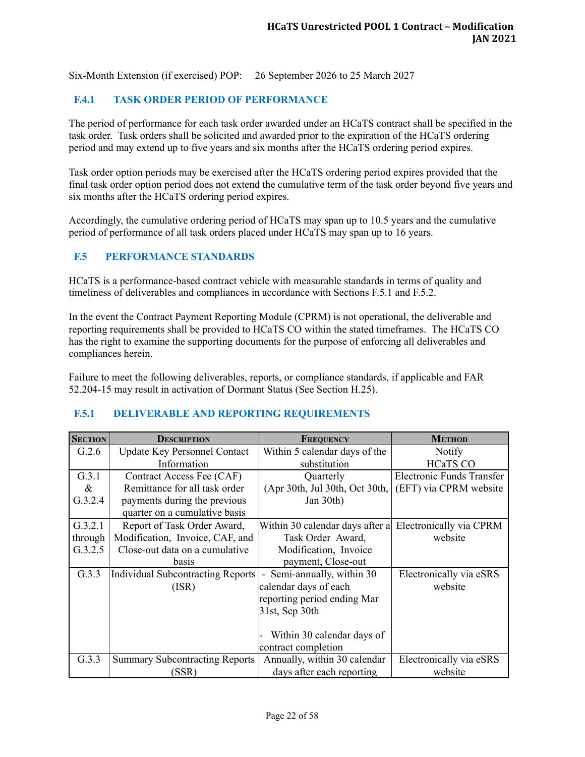Six-Month Extension (if exercised) POP: 26 September 2026 to 25 March 2027

## <span id="page-21-0"></span>**F.4.1 TASK ORDER PERIOD OF PERFORMANCE**

The period of performance for each task order awarded under an HCaTS contract shall be specified in the task order. Task orders shall be solicited and awarded prior to the expiration of the HCaTS ordering period and may extend up to five years and six months after the HCaTS ordering period expires.

Task order option periods may be exercised after the HCaTS ordering period expires provided that the final task order option period does not extend the cumulative term of the task order beyond five years and six months after the HCaTS ordering period expires.

Accordingly, the cumulative ordering period of HCaTS may span up to 10.5 years and the cumulative period of performance of all task orders placed under HCaTS may span up to 16 years.

#### <span id="page-21-1"></span>**F.5 PERFORMANCE STANDARDS**

HCaTS is a performance-based contract vehicle with measurable standards in terms of quality and timeliness of deliverables and compliances in accordance with Sections F.5.1 and F.5.2.

In the event the Contract Payment Reporting Module (CPRM) is not operational, the deliverable and reporting requirements shall be provided to HCaTS CO within the stated timeframes. The HCaTS CO has the right to examine the supporting documents for the purpose of enforcing all deliverables and compliances herein.

Failure to meet the following deliverables, reports, or compliance standards, if applicable and FAR 52.204-15 may result in activation of Dormant Status (See Section H.25).

#### <span id="page-21-2"></span>**F.5.1 DELIVERABLE AND REPORTING REQUIREMENTS**

| <b>SECTION</b> | <b>DESCRIPTION</b>                    | FREQUENCY                                  | <b>METHOD</b>             |
|----------------|---------------------------------------|--------------------------------------------|---------------------------|
| G.2.6          | <b>Update Key Personnel Contact</b>   | Within 5 calendar days of the              | Notify                    |
|                | Information                           | substitution                               | <b>HCaTS CO</b>           |
| G.3.1          | Contract Access Fee (CAF)             | Quarterly                                  | Electronic Funds Transfer |
| &              | Remittance for all task order         | (Apr 30th, Jul 30th, Oct 30th,             | (EFT) via CPRM website    |
| G.3.2.4        | payments during the previous          | Jan 30th)                                  |                           |
|                | quarter on a cumulative basis         |                                            |                           |
| G.3.2.1        | Report of Task Order Award,           | Within 30 calendar days after a            | Electronically via CPRM   |
| through        | Modification, Invoice, CAF, and       | Task Order Award,                          | website                   |
| G.3.2.5        | Close-out data on a cumulative        | Modification, Invoice                      |                           |
|                | basis                                 | payment, Close-out                         |                           |
| G.3.3          | Individual Subcontracting Reports     | Semi-annually, within 30<br>$\blacksquare$ | Electronically via eSRS   |
|                | (ISR)                                 | calendar days of each                      | website                   |
|                |                                       | reporting period ending Mar                |                           |
|                |                                       | 31st, Sep 30th                             |                           |
|                |                                       |                                            |                           |
|                |                                       | Within 30 calendar days of                 |                           |
|                |                                       | contract completion                        |                           |
| G.3.3          | <b>Summary Subcontracting Reports</b> | Annually, within 30 calendar               | Electronically via eSRS   |
|                | (SSR)                                 | days after each reporting                  | website                   |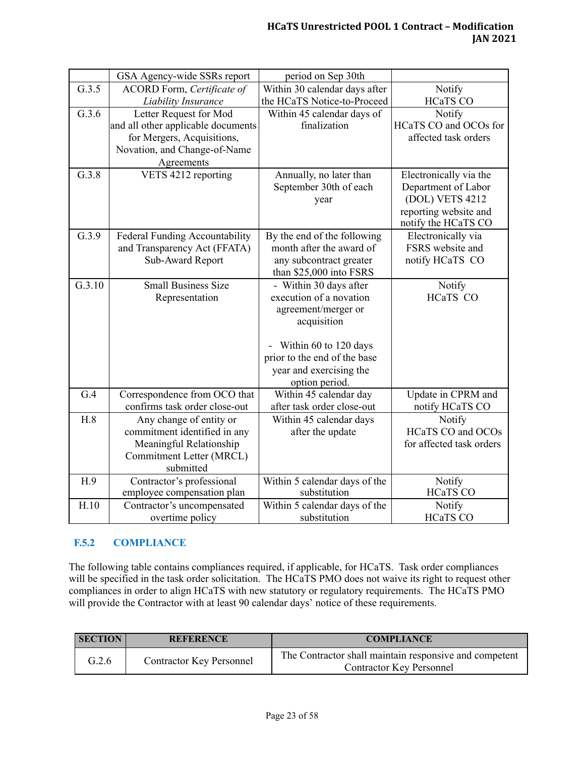|        | GSA Agency-wide SSRs report        | period on Sep 30th            |                          |
|--------|------------------------------------|-------------------------------|--------------------------|
| G.3.5  | ACORD Form, Certificate of         | Within 30 calendar days after | Notify                   |
|        | Liability Insurance                | the HCaTS Notice-to-Proceed   | <b>HCaTS CO</b>          |
| G.3.6  | Letter Request for Mod             | Within 45 calendar days of    | Notify                   |
|        | and all other applicable documents | finalization                  | HCaTS CO and OCOs for    |
|        | for Mergers, Acquisitions,         |                               | affected task orders     |
|        | Novation, and Change-of-Name       |                               |                          |
|        | Agreements                         |                               |                          |
| G.3.8  | VETS 4212 reporting                | Annually, no later than       | Electronically via the   |
|        |                                    | September 30th of each        | Department of Labor      |
|        |                                    | year                          | (DOL) VETS 4212          |
|        |                                    |                               | reporting website and    |
|        |                                    |                               | notify the HCaTS CO      |
| G.3.9  | Federal Funding Accountability     | By the end of the following   | Electronically via       |
|        | and Transparency Act (FFATA)       | month after the award of      | FSRS website and         |
|        | Sub-Award Report                   | any subcontract greater       | notify HCaTS CO          |
|        |                                    | than \$25,000 into FSRS       |                          |
| G.3.10 | <b>Small Business Size</b>         | - Within 30 days after        | Notify                   |
|        | Representation                     | execution of a novation       | HCaTS CO                 |
|        |                                    | agreement/merger or           |                          |
|        |                                    | acquisition                   |                          |
|        |                                    | - Within 60 to 120 days       |                          |
|        |                                    | prior to the end of the base  |                          |
|        |                                    | year and exercising the       |                          |
|        |                                    | option period.                |                          |
| G.4    | Correspondence from OCO that       | Within 45 calendar day        | Update in CPRM and       |
|        | confirms task order close-out      | after task order close-out    | notify HCaTS CO          |
| H.8    | Any change of entity or            | Within 45 calendar days       | Notify                   |
|        | commitment identified in any       | after the update              | <b>HCaTS CO and OCOs</b> |
|        | Meaningful Relationship            |                               | for affected task orders |
|        | Commitment Letter (MRCL)           |                               |                          |
|        | submitted                          |                               |                          |
| H.9    | Contractor's professional          | Within 5 calendar days of the | Notify                   |
|        | employee compensation plan         | substitution                  | <b>HCaTS CO</b>          |
| H.10   | Contractor's uncompensated         | Within 5 calendar days of the | Notify                   |
|        | overtime policy                    | substitution                  | <b>HCaTS CO</b>          |

### <span id="page-22-0"></span>**F.5.2 COMPLIANCE**

The following table contains compliances required, if applicable, for HCaTS. Task order compliances will be specified in the task order solicitation. The HCaTS PMO does not waive its right to request other compliances in order to align HCaTS with new statutory or regulatory requirements. The HCaTS PMO will provide the Contractor with at least 90 calendar days' notice of these requirements.

| <b>SECTION</b> | <b>REFERENCE</b>                | <b>COMPLIANCE</b>                                                                         |
|----------------|---------------------------------|-------------------------------------------------------------------------------------------|
| G.2.6          | <b>Contractor Key Personnel</b> | The Contractor shall maintain responsive and competent<br><b>Contractor Key Personnel</b> |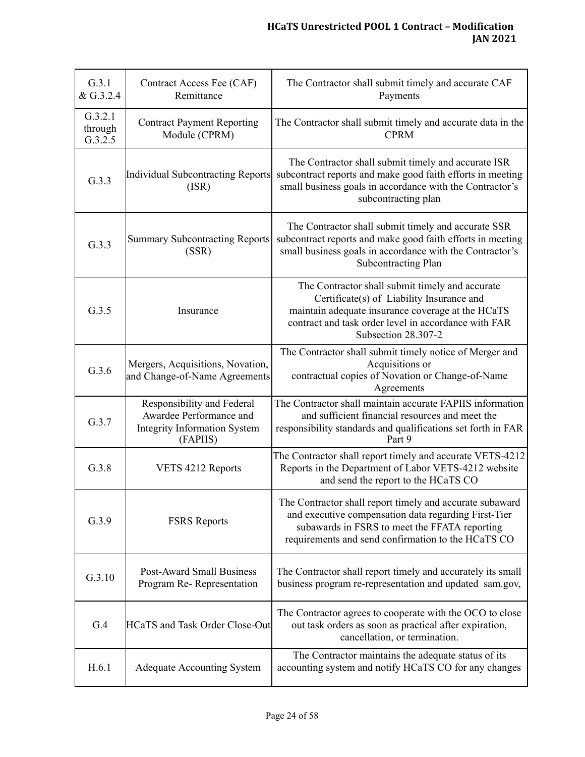| G.3.1<br>& G.3.2.4            | Contract Access Fee (CAF)<br>Remittance                                                                  | The Contractor shall submit timely and accurate CAF<br>Payments                                                                                                                                                                  |
|-------------------------------|----------------------------------------------------------------------------------------------------------|----------------------------------------------------------------------------------------------------------------------------------------------------------------------------------------------------------------------------------|
| G.3.2.1<br>through<br>G.3.2.5 | <b>Contract Payment Reporting</b><br>Module (CPRM)                                                       | The Contractor shall submit timely and accurate data in the<br><b>CPRM</b>                                                                                                                                                       |
| G.3.3                         | Individual Subcontracting Reports<br>(ISR)                                                               | The Contractor shall submit timely and accurate ISR<br>subcontract reports and make good faith efforts in meeting<br>small business goals in accordance with the Contractor's<br>subcontracting plan                             |
| G.3.3                         | <b>Summary Subcontracting Reports</b><br>(SSR)                                                           | The Contractor shall submit timely and accurate SSR<br>subcontract reports and make good faith efforts in meeting<br>small business goals in accordance with the Contractor's<br>Subcontracting Plan                             |
| G.3.5                         | Insurance                                                                                                | The Contractor shall submit timely and accurate<br>Certificate(s) of Liability Insurance and<br>maintain adequate insurance coverage at the HCaTS<br>contract and task order level in accordance with FAR<br>Subsection 28.307-2 |
| G.3.6                         | Mergers, Acquisitions, Novation,<br>and Change-of-Name Agreements                                        | The Contractor shall submit timely notice of Merger and<br>Acquisitions or<br>contractual copies of Novation or Change-of-Name<br>Agreements                                                                                     |
| G.3.7                         | Responsibility and Federal<br>Awardee Performance and<br><b>Integrity Information System</b><br>(FAPIIS) | The Contractor shall maintain accurate FAPIIS information<br>and sufficient financial resources and meet the<br>responsibility standards and qualifications set forth in FAR<br>Part 9                                           |
| G.3.8                         | VETS 4212 Reports                                                                                        | The Contractor shall report timely and accurate VETS-4212<br>Reports in the Department of Labor VETS-4212 website<br>and send the report to the HCaTS CO                                                                         |
| G.3.9                         | <b>FSRS</b> Reports                                                                                      | The Contractor shall report timely and accurate subaward<br>and executive compensation data regarding First-Tier<br>subawards in FSRS to meet the FFATA reporting<br>requirements and send confirmation to the HCaTS CO          |
| G.3.10                        | <b>Post-Award Small Business</b><br>Program Re-Representation                                            | The Contractor shall report timely and accurately its small<br>business program re-representation and updated sam.gov,                                                                                                           |
| G.4                           | <b>HCaTS</b> and Task Order Close-Out                                                                    | The Contractor agrees to cooperate with the OCO to close<br>out task orders as soon as practical after expiration,<br>cancellation, or termination.                                                                              |
| H.6.1                         | <b>Adequate Accounting System</b>                                                                        | The Contractor maintains the adequate status of its<br>accounting system and notify HCaTS CO for any changes                                                                                                                     |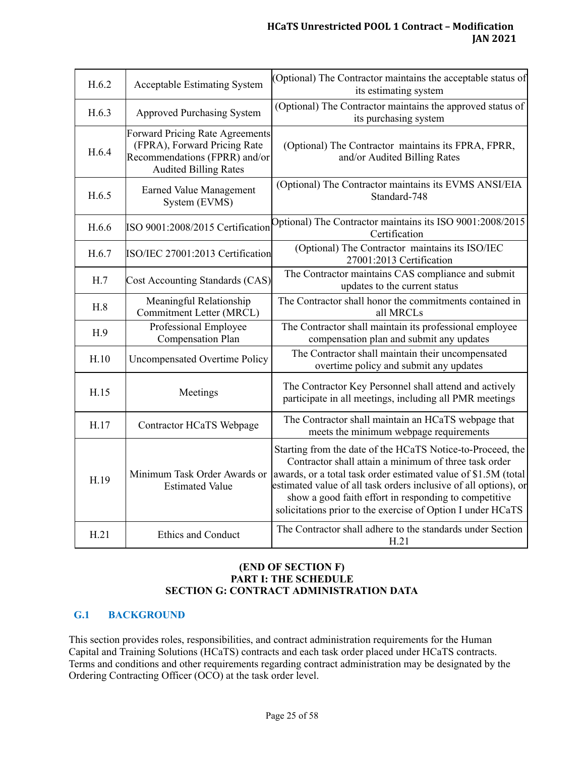## **HCaTS Unrestricted POOL 1 Contract – Modiication JAN 2021**

| H.6.2 | Acceptable Estimating System                                                                                                     | (Optional) The Contractor maintains the acceptable status of<br>its estimating system                                                                                                                                                                                                                                                                                             |
|-------|----------------------------------------------------------------------------------------------------------------------------------|-----------------------------------------------------------------------------------------------------------------------------------------------------------------------------------------------------------------------------------------------------------------------------------------------------------------------------------------------------------------------------------|
| H.6.3 | <b>Approved Purchasing System</b>                                                                                                | (Optional) The Contractor maintains the approved status of<br>its purchasing system                                                                                                                                                                                                                                                                                               |
| H.6.4 | Forward Pricing Rate Agreements<br>(FPRA), Forward Pricing Rate<br>Recommendations (FPRR) and/or<br><b>Audited Billing Rates</b> | (Optional) The Contractor maintains its FPRA, FPRR,<br>and/or Audited Billing Rates                                                                                                                                                                                                                                                                                               |
| H.6.5 | <b>Earned Value Management</b><br>System (EVMS)                                                                                  | (Optional) The Contractor maintains its EVMS ANSI/EIA<br>Standard-748                                                                                                                                                                                                                                                                                                             |
| H.6.6 | ISO 9001:2008/2015 Certification                                                                                                 | Optional) The Contractor maintains its ISO 9001:2008/2015<br>Certification                                                                                                                                                                                                                                                                                                        |
| H.6.7 | ISO/IEC 27001:2013 Certification                                                                                                 | (Optional) The Contractor maintains its ISO/IEC<br>27001:2013 Certification                                                                                                                                                                                                                                                                                                       |
| H.7   | Cost Accounting Standards (CAS)                                                                                                  | The Contractor maintains CAS compliance and submit<br>updates to the current status                                                                                                                                                                                                                                                                                               |
| H.8   | Meaningful Relationship<br>Commitment Letter (MRCL)                                                                              | The Contractor shall honor the commitments contained in<br>all MRCLs                                                                                                                                                                                                                                                                                                              |
| H.9   | Professional Employee<br><b>Compensation Plan</b>                                                                                | The Contractor shall maintain its professional employee<br>compensation plan and submit any updates                                                                                                                                                                                                                                                                               |
| H.10  | <b>Uncompensated Overtime Policy</b>                                                                                             | The Contractor shall maintain their uncompensated<br>overtime policy and submit any updates                                                                                                                                                                                                                                                                                       |
| H.15  | Meetings                                                                                                                         | The Contractor Key Personnel shall attend and actively<br>participate in all meetings, including all PMR meetings                                                                                                                                                                                                                                                                 |
| H.17  | Contractor HCaTS Webpage                                                                                                         | The Contractor shall maintain an HCaTS webpage that<br>meets the minimum webpage requirements                                                                                                                                                                                                                                                                                     |
| H.19  | Minimum Task Order Awards or<br><b>Estimated Value</b>                                                                           | Starting from the date of the HCaTS Notice-to-Proceed, the<br>Contractor shall attain a minimum of three task order<br>awards, or a total task order estimated value of \$1.5M (total<br>estimated value of all task orders inclusive of all options), or<br>show a good faith effort in responding to competitive<br>solicitations prior to the exercise of Option I under HCaTS |
| H.21  | <b>Ethics and Conduct</b>                                                                                                        | The Contractor shall adhere to the standards under Section<br>H.21                                                                                                                                                                                                                                                                                                                |

#### **(END OF SECTION F) PART I: THE SCHEDULE SECTION G: CONTRACT ADMINISTRATION DATA**

## <span id="page-24-0"></span>**G.1 BACKGROUND**

This section provides roles, responsibilities, and contract administration requirements for the Human Capital and Training Solutions (HCaTS) contracts and each task order placed under HCaTS contracts. Terms and conditions and other requirements regarding contract administration may be designated by the Ordering Contracting Officer (OCO) at the task order level.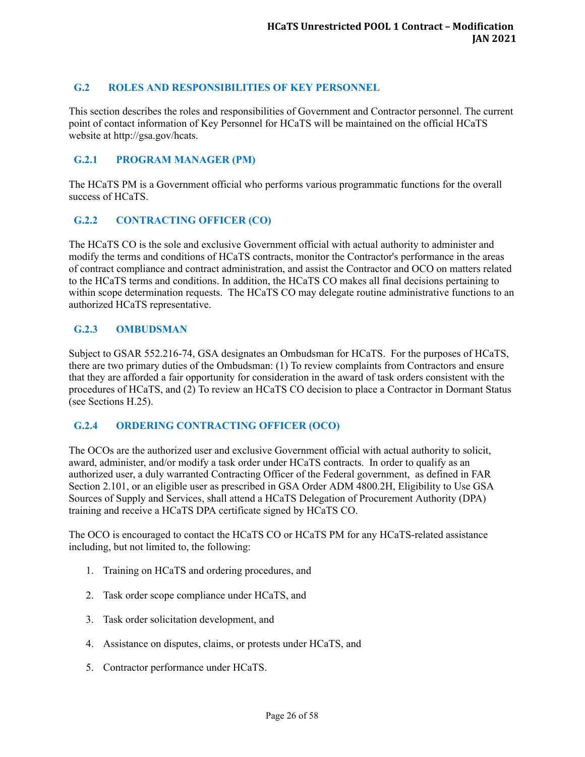#### <span id="page-25-0"></span>**G.2 ROLES AND RESPONSIBILITIES OF KEY PERSONNEL**

This section describes the roles and responsibilities of Government and Contractor personnel. The current point of contact information of Key Personnel for HCaTS will be maintained on the official HCaTS website at http://gsa.gov/hcats.

### <span id="page-25-1"></span>**G.2.1 PROGRAM MANAGER (PM)**

The HCaTS PM is a Government official who performs various programmatic functions for the overall success of HCaTS.

### <span id="page-25-2"></span>**G.2.2 CONTRACTING OFFICER (CO)**

The HCaTS CO is the sole and exclusive Government official with actual authority to administer and modify the terms and conditions of HCaTS contracts, monitor the Contractor's performance in the areas of contract compliance and contract administration, and assist the Contractor and OCO on matters related to the HCaTS terms and conditions. In addition, the HCaTS CO makes all final decisions pertaining to within scope determination requests. The HCaTS CO may delegate routine administrative functions to an authorized HCaTS representative.

#### <span id="page-25-3"></span>**G.2.3 OMBUDSMAN**

Subject to GSAR 552.216-74, GSA designates an Ombudsman for HCaTS. For the purposes of HCaTS, there are two primary duties of the Ombudsman: (1) To review complaints from Contractors and ensure that they are afforded a fair opportunity for consideration in the award of task orders consistent with the procedures of HCaTS, and (2) To review an HCaTS CO decision to place a Contractor in Dormant Status (see Sections H.25).

#### <span id="page-25-4"></span>**G.2.4 ORDERING CONTRACTING OFFICER (OCO)**

The OCOs are the authorized user and exclusive Government official with actual authority to solicit, award, administer, and/or modify a task order under HCaTS contracts. In order to qualify as an authorized user, a duly warranted Contracting Officer of the Federal government, as defined in FAR Section 2.101, or an eligible user as prescribed in GSA Order ADM 4800.2H, Eligibility to Use GSA Sources of Supply and Services, shall attend a HCaTS Delegation of Procurement Authority (DPA) training and receive a HCaTS DPA certificate signed by HCaTS CO.

The OCO is encouraged to contact the HCaTS CO or HCaTS PM for any HCaTS-related assistance including, but not limited to, the following:

- 1. Training on HCaTS and ordering procedures, and
- 2. Task order scope compliance under HCaTS, and
- 3. Task order solicitation development, and
- 4. Assistance on disputes, claims, or protests under HCaTS, and
- 5. Contractor performance under HCaTS.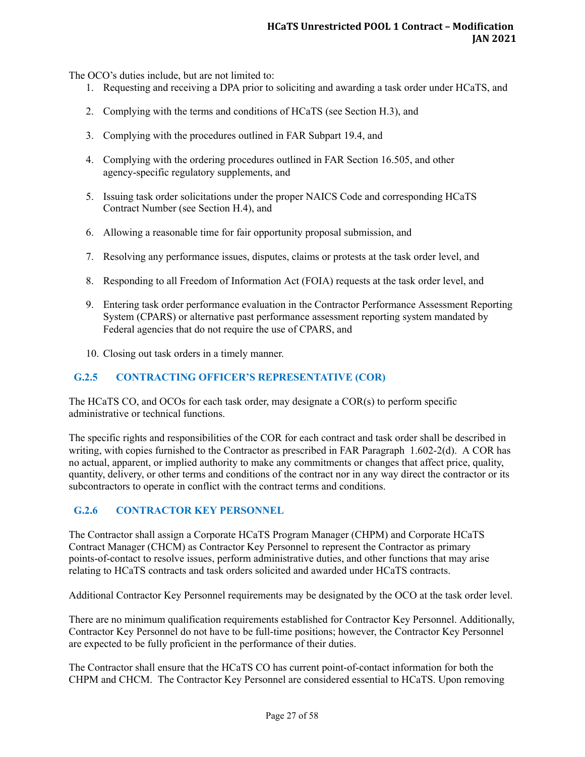The OCO's duties include, but are not limited to:

- 1. Requesting and receiving a DPA prior to soliciting and awarding a task order under HCaTS, and
- 2. Complying with the terms and conditions of HCaTS (see Section H.3), and
- 3. Complying with the procedures outlined in FAR Subpart 19.4, and
- 4. Complying with the ordering procedures outlined in FAR Section 16.505, and other agency-specific regulatory supplements, and
- 5. Issuing task order solicitations under the proper NAICS Code and corresponding HCaTS Contract Number (see Section H.4), and
- 6. Allowing a reasonable time for fair opportunity proposal submission, and
- 7. Resolving any performance issues, disputes, claims or protests at the task order level, and
- 8. Responding to all Freedom of Information Act (FOIA) requests at the task order level, and
- 9. Entering task order performance evaluation in the Contractor Performance Assessment Reporting System (CPARS) or alternative past performance assessment reporting system mandated by Federal agencies that do not require the use of CPARS, and
- 10. Closing out task orders in a timely manner.

#### <span id="page-26-0"></span>**G.2.5 CONTRACTING OFFICER'S REPRESENTATIVE (COR)**

The HCaTS CO, and OCOs for each task order, may designate a COR(s) to perform specific administrative or technical functions.

The specific rights and responsibilities of the COR for each contract and task order shall be described in writing, with copies furnished to the Contractor as prescribed in FAR Paragraph 1.602-2(d). A COR has no actual, apparent, or implied authority to make any commitments or changes that affect price, quality, quantity, delivery, or other terms and conditions of the contract nor in any way direct the contractor or its subcontractors to operate in conflict with the contract terms and conditions.

### <span id="page-26-1"></span>**G.2.6 CONTRACTOR KEY PERSONNEL**

The Contractor shall assign a Corporate HCaTS Program Manager (CHPM) and Corporate HCaTS Contract Manager (CHCM) as Contractor Key Personnel to represent the Contractor as primary points-of-contact to resolve issues, perform administrative duties, and other functions that may arise relating to HCaTS contracts and task orders solicited and awarded under HCaTS contracts.

Additional Contractor Key Personnel requirements may be designated by the OCO at the task order level.

There are no minimum qualification requirements established for Contractor Key Personnel. Additionally, Contractor Key Personnel do not have to be full-time positions; however, the Contractor Key Personnel are expected to be fully proficient in the performance of their duties.

The Contractor shall ensure that the HCaTS CO has current point-of-contact information for both the CHPM and CHCM. The Contractor Key Personnel are considered essential to HCaTS. Upon removing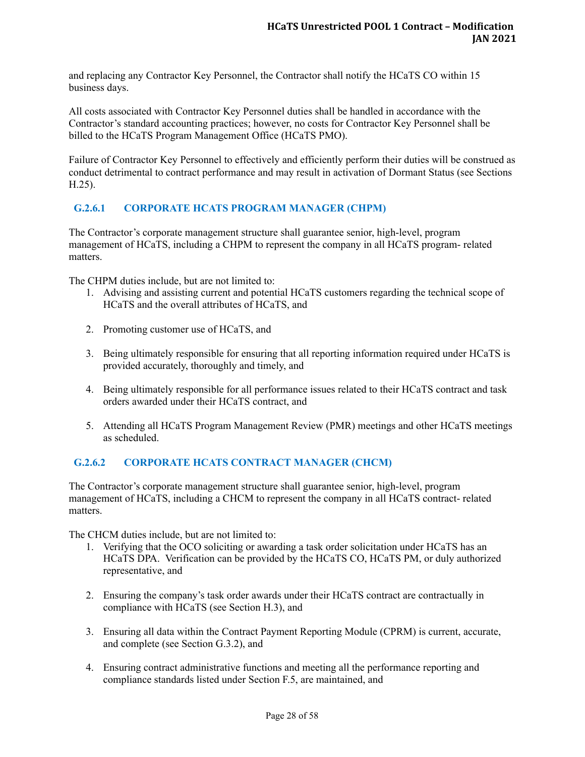and replacing any Contractor Key Personnel, the Contractor shall notify the HCaTS CO within 15 business days.

All costs associated with Contractor Key Personnel duties shall be handled in accordance with the Contractor's standard accounting practices; however, no costs for Contractor Key Personnel shall be billed to the HCaTS Program Management Office (HCaTS PMO).

Failure of Contractor Key Personnel to effectively and efficiently perform their duties will be construed as conduct detrimental to contract performance and may result in activation of Dormant Status (see Sections H.25).

### <span id="page-27-0"></span>**G.2.6.1 CORPORATE HCATS PROGRAM MANAGER (CHPM)**

The Contractor's corporate management structure shall guarantee senior, high-level, program management of HCaTS, including a CHPM to represent the company in all HCaTS program- related matters.

The CHPM duties include, but are not limited to:

- 1. Advising and assisting current and potential HCaTS customers regarding the technical scope of HCaTS and the overall attributes of HCaTS, and
- 2. Promoting customer use of HCaTS, and
- 3. Being ultimately responsible for ensuring that all reporting information required under HCaTS is provided accurately, thoroughly and timely, and
- 4. Being ultimately responsible for all performance issues related to their HCaTS contract and task orders awarded under their HCaTS contract, and
- 5. Attending all HCaTS Program Management Review (PMR) meetings and other HCaTS meetings as scheduled.

### <span id="page-27-1"></span>**G.2.6.2 CORPORATE HCATS CONTRACT MANAGER (CHCM)**

The Contractor's corporate management structure shall guarantee senior, high-level, program management of HCaTS, including a CHCM to represent the company in all HCaTS contract- related matters.

The CHCM duties include, but are not limited to:

- 1. Verifying that the OCO soliciting or awarding a task order solicitation under HCaTS has an HCaTS DPA. Verification can be provided by the HCaTS CO, HCaTS PM, or duly authorized representative, and
- 2. Ensuring the company's task order awards under their HCaTS contract are contractually in compliance with HCaTS (see Section H.3), and
- 3. Ensuring all data within the Contract Payment Reporting Module (CPRM) is current, accurate, and complete (see Section G.3.2), and
- 4. Ensuring contract administrative functions and meeting all the performance reporting and compliance standards listed under Section F.5, are maintained, and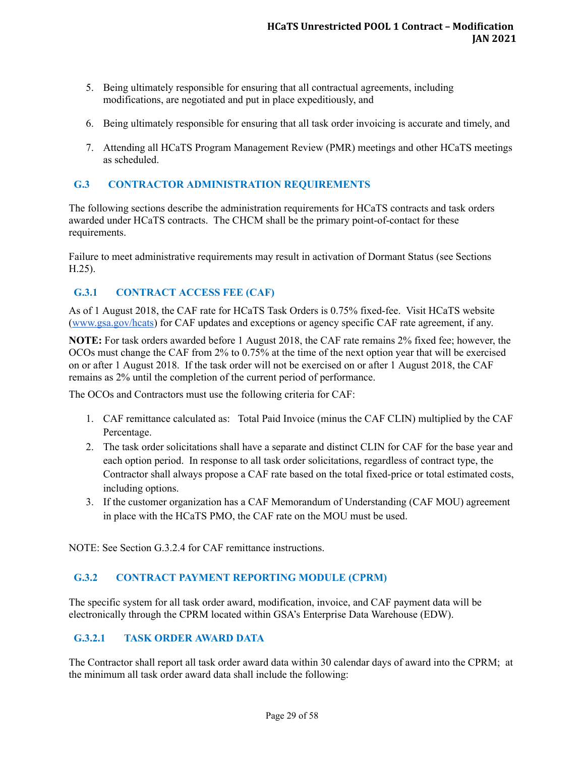- 5. Being ultimately responsible for ensuring that all contractual agreements, including modifications, are negotiated and put in place expeditiously, and
- 6. Being ultimately responsible for ensuring that all task order invoicing is accurate and timely, and
- 7. Attending all HCaTS Program Management Review (PMR) meetings and other HCaTS meetings as scheduled.

## <span id="page-28-0"></span>**G.3 CONTRACTOR ADMINISTRATION REQUIREMENTS**

The following sections describe the administration requirements for HCaTS contracts and task orders awarded under HCaTS contracts. The CHCM shall be the primary point-of-contact for these requirements.

Failure to meet administrative requirements may result in activation of Dormant Status (see Sections H.25).

## <span id="page-28-1"></span>**G.3.1 CONTRACT ACCESS FEE (CAF)**

As of 1 August 2018, the CAF rate for HCaTS Task Orders is 0.75% fixed-fee. Visit HCaTS website ([www.gsa.gov/hcats](http://www.gsa.gov/hcats)) for CAF updates and exceptions or agency specific CAF rate agreement, if any.

**NOTE:** For task orders awarded before 1 August 2018, the CAF rate remains 2% fixed fee; however, the OCOs must change the CAF from 2% to 0.75% at the time of the next option year that will be exercised on or after 1 August 2018. If the task order will not be exercised on or after 1 August 2018, the CAF remains as 2% until the completion of the current period of performance.

The OCOs and Contractors must use the following criteria for CAF:

- 1. CAF remittance calculated as: Total Paid Invoice (minus the CAF CLIN) multiplied by the CAF Percentage.
- 2. The task order solicitations shall have a separate and distinct CLIN for CAF for the base year and each option period. In response to all task order solicitations, regardless of contract type, the Contractor shall always propose a CAF rate based on the total fixed-price or total estimated costs, including options.
- 3. If the customer organization has a CAF Memorandum of Understanding (CAF MOU) agreement in place with the HCaTS PMO, the CAF rate on the MOU must be used.

NOTE: See Section G.3.2.4 for CAF remittance instructions.

### <span id="page-28-2"></span>**G.3.2 CONTRACT PAYMENT REPORTING MODULE (CPRM)**

The specific system for all task order award, modification, invoice, and CAF payment data will be electronically through the CPRM located within GSA's Enterprise Data Warehouse (EDW).

### <span id="page-28-3"></span>**G.3.2.1 TASK ORDER AWARD DATA**

The Contractor shall report all task order award data within 30 calendar days of award into the CPRM; at the minimum all task order award data shall include the following: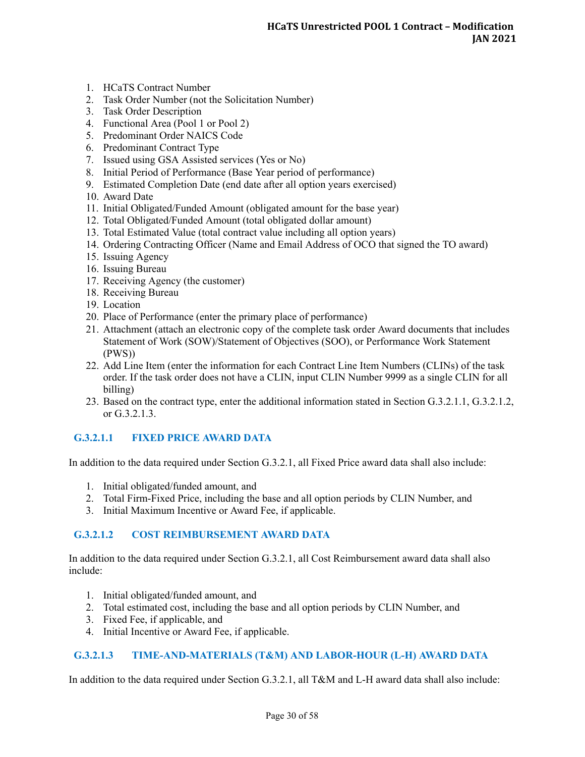- 1. HCaTS Contract Number
- 2. Task Order Number (not the Solicitation Number)
- 3. Task Order Description
- 4. Functional Area (Pool 1 or Pool 2)
- 5. Predominant Order NAICS Code
- 6. Predominant Contract Type
- 7. Issued using GSA Assisted services (Yes or No)
- 8. Initial Period of Performance (Base Year period of performance)
- 9. Estimated Completion Date (end date after all option years exercised)
- 10. Award Date
- 11. Initial Obligated/Funded Amount (obligated amount for the base year)
- 12. Total Obligated/Funded Amount (total obligated dollar amount)
- 13. Total Estimated Value (total contract value including all option years)
- 14. Ordering Contracting Officer (Name and Email Address of OCO that signed the TO award)
- 15. Issuing Agency
- 16. Issuing Bureau
- 17. Receiving Agency (the customer)
- 18. Receiving Bureau
- 19. Location
- 20. Place of Performance (enter the primary place of performance)
- 21. Attachment (attach an electronic copy of the complete task order Award documents that includes Statement of Work (SOW)/Statement of Objectives (SOO), or Performance Work Statement (PWS))
- 22. Add Line Item (enter the information for each Contract Line Item Numbers (CLINs) of the task order. If the task order does not have a CLIN, input CLIN Number 9999 as a single CLIN for all billing)
- 23. Based on the contract type, enter the additional information stated in Section G.3.2.1.1, G.3.2.1.2, or G.3.2.1.3.

## <span id="page-29-0"></span>**G.3.2.1.1 FIXED PRICE AWARD DATA**

In addition to the data required under Section G.3.2.1, all Fixed Price award data shall also include:

- 1. Initial obligated/funded amount, and
- 2. Total Firm-Fixed Price, including the base and all option periods by CLIN Number, and
- 3. Initial Maximum Incentive or Award Fee, if applicable.

### <span id="page-29-1"></span>**G.3.2.1.2 COST REIMBURSEMENT AWARD DATA**

In addition to the data required under Section G.3.2.1, all Cost Reimbursement award data shall also include:

- 1. Initial obligated/funded amount, and
- 2. Total estimated cost, including the base and all option periods by CLIN Number, and
- 3. Fixed Fee, if applicable, and
- 4. Initial Incentive or Award Fee, if applicable.

## <span id="page-29-2"></span>**G.3.2.1.3 TIME-AND-MATERIALS (T&M) AND LABOR-HOUR (L-H) AWARD DATA**

In addition to the data required under Section G.3.2.1, all T&M and L-H award data shall also include: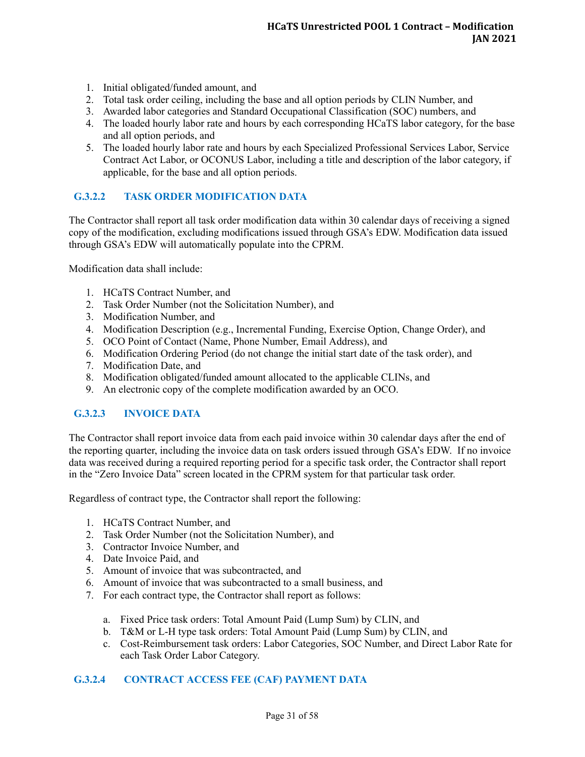- 1. Initial obligated/funded amount, and
- 2. Total task order ceiling, including the base and all option periods by CLIN Number, and
- 3. Awarded labor categories and Standard Occupational Classification (SOC) numbers, and
- 4. The loaded hourly labor rate and hours by each corresponding HCaTS labor category, for the base and all option periods, and
- 5. The loaded hourly labor rate and hours by each Specialized Professional Services Labor, Service Contract Act Labor, or OCONUS Labor, including a title and description of the labor category, if applicable, for the base and all option periods.

### <span id="page-30-0"></span>**G.3.2.2 TASK ORDER MODIFICATION DATA**

The Contractor shall report all task order modification data within 30 calendar days of receiving a signed copy of the modification, excluding modifications issued through GSA's EDW. Modification data issued through GSA's EDW will automatically populate into the CPRM.

Modification data shall include:

- 1. HCaTS Contract Number, and
- 2. Task Order Number (not the Solicitation Number), and
- 3. Modification Number, and
- 4. Modification Description (e.g., Incremental Funding, Exercise Option, Change Order), and
- 5. OCO Point of Contact (Name, Phone Number, Email Address), and
- 6. Modification Ordering Period (do not change the initial start date of the task order), and
- 7. Modification Date, and
- 8. Modification obligated/funded amount allocated to the applicable CLINs, and
- 9. An electronic copy of the complete modification awarded by an OCO.

#### <span id="page-30-1"></span>**G.3.2.3 INVOICE DATA**

The Contractor shall report invoice data from each paid invoice within 30 calendar days after the end of the reporting quarter, including the invoice data on task orders issued through GSA's EDW. If no invoice data was received during a required reporting period for a specific task order, the Contractor shall report in the "Zero Invoice Data" screen located in the CPRM system for that particular task order.

Regardless of contract type, the Contractor shall report the following:

- 1. HCaTS Contract Number, and
- 2. Task Order Number (not the Solicitation Number), and
- 3. Contractor Invoice Number, and
- 4. Date Invoice Paid, and
- 5. Amount of invoice that was subcontracted, and
- 6. Amount of invoice that was subcontracted to a small business, and
- 7. For each contract type, the Contractor shall report as follows:
	- a. Fixed Price task orders: Total Amount Paid (Lump Sum) by CLIN, and
	- b. T&M or L-H type task orders: Total Amount Paid (Lump Sum) by CLIN, and
	- c. Cost-Reimbursement task orders: Labor Categories, SOC Number, and Direct Labor Rate for each Task Order Labor Category.

#### <span id="page-30-2"></span>**G.3.2.4 CONTRACT ACCESS FEE (CAF) PAYMENT DATA**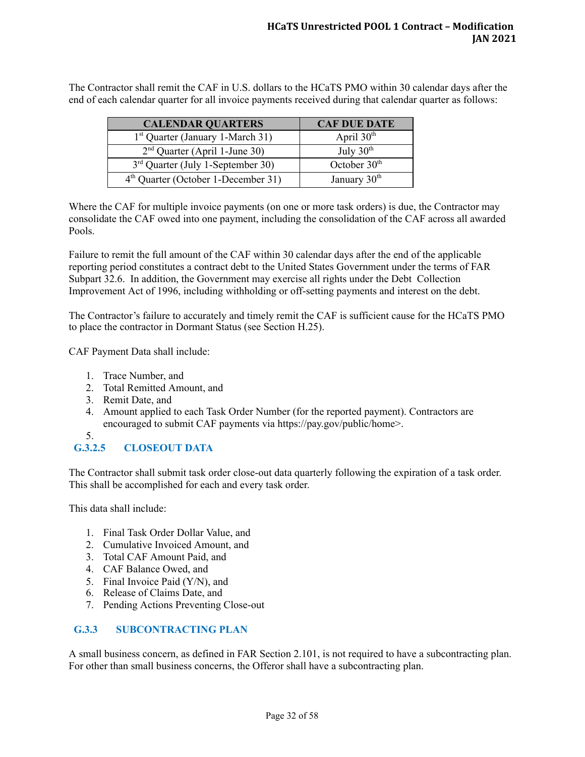The Contractor shall remit the CAF in U.S. dollars to the HCaTS PMO within 30 calendar days after the end of each calendar quarter for all invoice payments received during that calendar quarter as follows:

| <b>CALENDAR QUARTERS</b>                     | <b>CAF DUE DATE</b>      |
|----------------------------------------------|--------------------------|
| 1 <sup>st</sup> Quarter (January 1-March 31) | April $30th$             |
| $2nd$ Quarter (April 1-June 30)              | July $30th$              |
| $3rd$ Quarter (July 1-September 30)          | October 30 <sup>th</sup> |
| $4th$ Quarter (October 1-December 31)        | January 30 <sup>th</sup> |

Where the CAF for multiple invoice payments (on one or more task orders) is due, the Contractor may consolidate the CAF owed into one payment, including the consolidation of the CAF across all awarded Pools.

Failure to remit the full amount of the CAF within 30 calendar days after the end of the applicable reporting period constitutes a contract debt to the United States Government under the terms of FAR Subpart 32.6. In addition, the Government may exercise all rights under the Debt Collection Improvement Act of 1996, including withholding or off-setting payments and interest on the debt.

The Contractor's failure to accurately and timely remit the CAF is sufficient cause for the HCaTS PMO to place the contractor in Dormant Status (see Section H.25).

CAF Payment Data shall include:

- 1. Trace Number, and
- 2. Total Remitted Amount, and
- 3. Remit Date, and
- 4. Amount applied to each Task Order Number (for the reported payment). Contractors are encouraged to submit CAF payments via https://pay.gov/public/home>.
- 5.

## <span id="page-31-0"></span>**G.3.2.5 CLOSEOUT DATA**

The Contractor shall submit task order close-out data quarterly following the expiration of a task order. This shall be accomplished for each and every task order.

This data shall include:

- 1. Final Task Order Dollar Value, and
- 2. Cumulative Invoiced Amount, and
- 3. Total CAF Amount Paid, and
- 4. CAF Balance Owed, and
- 5. Final Invoice Paid (Y/N), and
- 6. Release of Claims Date, and
- 7. Pending Actions Preventing Close-out

#### <span id="page-31-1"></span>**G.3.3 SUBCONTRACTING PLAN**

A small business concern, as defined in FAR Section 2.101, is not required to have a subcontracting plan. For other than small business concerns, the Offeror shall have a subcontracting plan.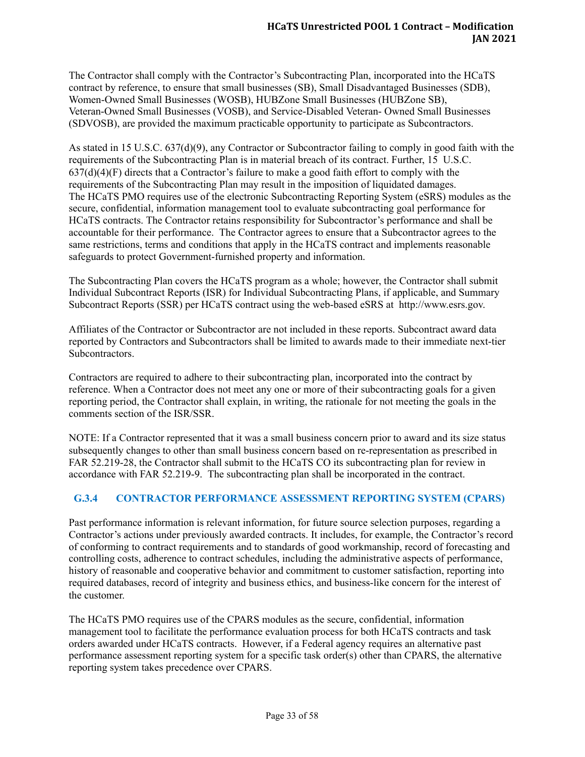The Contractor shall comply with the Contractor's Subcontracting Plan, incorporated into the HCaTS contract by reference, to ensure that small businesses (SB), Small Disadvantaged Businesses (SDB), Women-Owned Small Businesses (WOSB), HUBZone Small Businesses (HUBZone SB), Veteran-Owned Small Businesses (VOSB), and Service-Disabled Veteran- Owned Small Businesses (SDVOSB), are provided the maximum practicable opportunity to participate as Subcontractors.

As stated in 15 U.S.C. 637(d)(9), any Contractor or Subcontractor failing to comply in good faith with the requirements of the Subcontracting Plan is in material breach of its contract. Further, 15 U.S.C.  $637(d)(4)(F)$  directs that a Contractor's failure to make a good faith effort to comply with the requirements of the Subcontracting Plan may result in the imposition of liquidated damages. The HCaTS PMO requires use of the electronic Subcontracting Reporting System (eSRS) modules as the secure, confidential, information management tool to evaluate subcontracting goal performance for HCaTS contracts. The Contractor retains responsibility for Subcontractor's performance and shall be accountable for their performance. The Contractor agrees to ensure that a Subcontractor agrees to the same restrictions, terms and conditions that apply in the HCaTS contract and implements reasonable safeguards to protect Government-furnished property and information.

The Subcontracting Plan covers the HCaTS program as a whole; however, the Contractor shall submit Individual Subcontract Reports (ISR) for Individual Subcontracting Plans, if applicable, and Summary Subcontract Reports (SSR) per HCaTS contract using the web-based eSRS at http://www.esrs.gov.

Affiliates of the Contractor or Subcontractor are not included in these reports. Subcontract award data reported by Contractors and Subcontractors shall be limited to awards made to their immediate next-tier Subcontractors.

Contractors are required to adhere to their subcontracting plan, incorporated into the contract by reference. When a Contractor does not meet any one or more of their subcontracting goals for a given reporting period, the Contractor shall explain, in writing, the rationale for not meeting the goals in the comments section of the ISR/SSR.

NOTE: If a Contractor represented that it was a small business concern prior to award and its size status subsequently changes to other than small business concern based on re-representation as prescribed in FAR 52.219-28, the Contractor shall submit to the HCaTS CO its subcontracting plan for review in accordance with FAR 52.219-9. The subcontracting plan shall be incorporated in the contract.

### <span id="page-32-0"></span>**G.3.4 CONTRACTOR PERFORMANCE ASSESSMENT REPORTING SYSTEM (CPARS)**

Past performance information is relevant information, for future source selection purposes, regarding a Contractor's actions under previously awarded contracts. It includes, for example, the Contractor's record of conforming to contract requirements and to standards of good workmanship, record of forecasting and controlling costs, adherence to contract schedules, including the administrative aspects of performance, history of reasonable and cooperative behavior and commitment to customer satisfaction, reporting into required databases, record of integrity and business ethics, and business-like concern for the interest of the customer.

The HCaTS PMO requires use of the CPARS modules as the secure, confidential, information management tool to facilitate the performance evaluation process for both HCaTS contracts and task orders awarded under HCaTS contracts. However, if a Federal agency requires an alternative past performance assessment reporting system for a specific task order(s) other than CPARS, the alternative reporting system takes precedence over CPARS.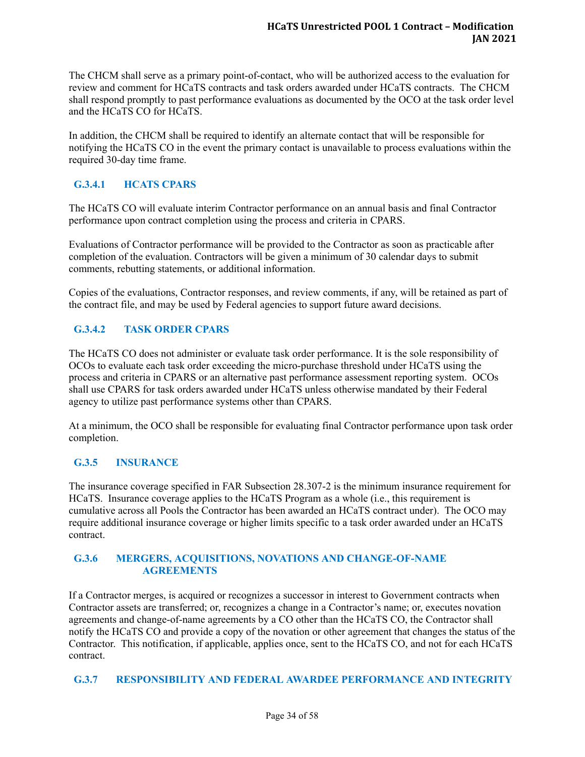The CHCM shall serve as a primary point-of-contact, who will be authorized access to the evaluation for review and comment for HCaTS contracts and task orders awarded under HCaTS contracts. The CHCM shall respond promptly to past performance evaluations as documented by the OCO at the task order level and the HCaTS CO for HCaTS.

In addition, the CHCM shall be required to identify an alternate contact that will be responsible for notifying the HCaTS CO in the event the primary contact is unavailable to process evaluations within the required 30-day time frame.

## <span id="page-33-0"></span>**G.3.4.1 HCATS CPARS**

The HCaTS CO will evaluate interim Contractor performance on an annual basis and final Contractor performance upon contract completion using the process and criteria in CPARS.

Evaluations of Contractor performance will be provided to the Contractor as soon as practicable after completion of the evaluation. Contractors will be given a minimum of 30 calendar days to submit comments, rebutting statements, or additional information.

Copies of the evaluations, Contractor responses, and review comments, if any, will be retained as part of the contract file, and may be used by Federal agencies to support future award decisions.

### <span id="page-33-1"></span>**G.3.4.2 TASK ORDER CPARS**

The HCaTS CO does not administer or evaluate task order performance. It is the sole responsibility of OCOs to evaluate each task order exceeding the micro-purchase threshold under HCaTS using the process and criteria in CPARS or an alternative past performance assessment reporting system. OCOs shall use CPARS for task orders awarded under HCaTS unless otherwise mandated by their Federal agency to utilize past performance systems other than CPARS.

At a minimum, the OCO shall be responsible for evaluating final Contractor performance upon task order completion.

### <span id="page-33-2"></span>**G.3.5 INSURANCE**

The insurance coverage specified in FAR Subsection 28.307-2 is the minimum insurance requirement for HCaTS. Insurance coverage applies to the HCaTS Program as a whole (i.e., this requirement is cumulative across all Pools the Contractor has been awarded an HCaTS contract under). The OCO may require additional insurance coverage or higher limits specific to a task order awarded under an HCaTS contract.

#### <span id="page-33-3"></span>**G.3.6 MERGERS, ACQUISITIONS, NOVATIONS AND CHANGE-OF-NAME AGREEMENTS**

If a Contractor merges, is acquired or recognizes a successor in interest to Government contracts when Contractor assets are transferred; or, recognizes a change in a Contractor's name; or, executes novation agreements and change-of-name agreements by a CO other than the HCaTS CO, the Contractor shall notify the HCaTS CO and provide a copy of the novation or other agreement that changes the status of the Contractor. This notification, if applicable, applies once, sent to the HCaTS CO, and not for each HCaTS contract.

#### <span id="page-33-4"></span>**G.3.7 RESPONSIBILITY AND FEDERAL AWARDEE PERFORMANCE AND INTEGRITY**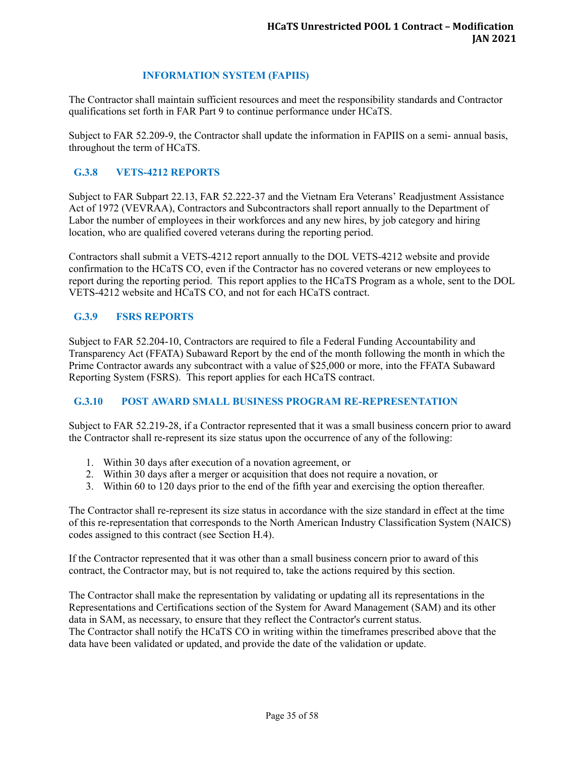#### **INFORMATION SYSTEM (FAPIIS)**

The Contractor shall maintain sufficient resources and meet the responsibility standards and Contractor qualifications set forth in FAR Part 9 to continue performance under HCaTS.

Subject to FAR 52.209-9, the Contractor shall update the information in FAPIIS on a semi- annual basis, throughout the term of HCaTS.

#### <span id="page-34-0"></span>**G.3.8 VETS-4212 REPORTS**

Subject to FAR Subpart 22.13, FAR 52.222-37 and the Vietnam Era Veterans' Readjustment Assistance Act of 1972 (VEVRAA), Contractors and Subcontractors shall report annually to the Department of Labor the number of employees in their workforces and any new hires, by job category and hiring location, who are qualified covered veterans during the reporting period.

Contractors shall submit a VETS-4212 report annually to the DOL VETS-4212 website and provide confirmation to the HCaTS CO, even if the Contractor has no covered veterans or new employees to report during the reporting period. This report applies to the HCaTS Program as a whole, sent to the DOL VETS-4212 website and HCaTS CO, and not for each HCaTS contract.

#### <span id="page-34-1"></span>**G.3.9 FSRS REPORTS**

Subject to FAR 52.204-10, Contractors are required to file a Federal Funding Accountability and Transparency Act (FFATA) Subaward Report by the end of the month following the month in which the Prime Contractor awards any subcontract with a value of \$25,000 or more, into the FFATA Subaward Reporting System (FSRS). This report applies for each HCaTS contract.

#### <span id="page-34-2"></span>**G.3.10 POST AWARD SMALL BUSINESS PROGRAM RE-REPRESENTATION**

Subject to FAR 52.219-28, if a Contractor represented that it was a small business concern prior to award the Contractor shall re-represent its size status upon the occurrence of any of the following:

- 1. Within 30 days after execution of a novation agreement, or
- 2. Within 30 days after a merger or acquisition that does not require a novation, or
- 3. Within 60 to 120 days prior to the end of the fifth year and exercising the option thereafter.

The Contractor shall re-represent its size status in accordance with the size standard in effect at the time of this re-representation that corresponds to the North American Industry Classification System (NAICS) codes assigned to this contract (see Section H.4).

If the Contractor represented that it was other than a small business concern prior to award of this contract, the Contractor may, but is not required to, take the actions required by this section.

The Contractor shall make the representation by validating or updating all its representations in the Representations and Certifications section of the System for Award Management (SAM) and its other data in SAM, as necessary, to ensure that they reflect the Contractor's current status. The Contractor shall notify the HCaTS CO in writing within the timeframes prescribed above that the data have been validated or updated, and provide the date of the validation or update.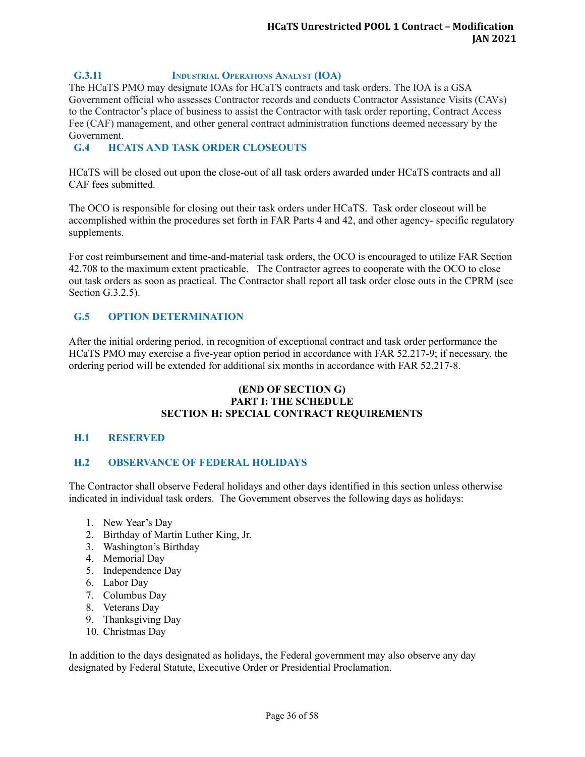#### <span id="page-35-0"></span>**G.3.11 INDUSTRIAL OPERATIONS ANALYST (IOA)**

The HCaTS PMO may designate IOAs for HCaTS contracts and task orders. The IOA is a GSA Government official who assesses Contractor records and conducts Contractor Assistance Visits (CAVs) to the Contractor's place of business to assist the Contractor with task order reporting, Contract Access Fee (CAF) management, and other general contract administration functions deemed necessary by the Government.

#### <span id="page-35-1"></span>**G.4 HCATS AND TASK ORDER CLOSEOUTS**

HCaTS will be closed out upon the close-out of all task orders awarded under HCaTS contracts and all CAF fees submitted.

The OCO is responsible for closing out their task orders under HCaTS. Task order closeout will be accomplished within the procedures set forth in FAR Parts 4 and 42, and other agency- specific regulatory supplements.

For cost reimbursement and time-and-material task orders, the OCO is encouraged to utilize FAR Section 42.708 to the maximum extent practicable. The Contractor agrees to cooperate with the OCO to close out task orders as soon as practical. The Contractor shall report all task order close outs in the CPRM (see Section G.3.2.5).

#### <span id="page-35-2"></span>**G.5 OPTION DETERMINATION**

After the initial ordering period, in recognition of exceptional contract and task order performance the HCaTS PMO may exercise a five-year option period in accordance with FAR 52.217-9; if necessary, the ordering period will be extended for additional six months in accordance with FAR 52.217-8.

#### **(END OF SECTION G) PART I: THE SCHEDULE SECTION H: SPECIAL CONTRACT REQUIREMENTS**

#### <span id="page-35-3"></span>**H.1 RESERVED**

#### <span id="page-35-4"></span>**H.2 OBSERVANCE OF FEDERAL HOLIDAYS**

The Contractor shall observe Federal holidays and other days identified in this section unless otherwise indicated in individual task orders. The Government observes the following days as holidays:

- 1. New Year's Day
- 2. Birthday of Martin Luther King, Jr.
- 3. Washington's Birthday
- 4. Memorial Day
- 5. Independence Day
- 6. Labor Day
- 7. Columbus Day
- 8. Veterans Day
- 9. Thanksgiving Day
- 10. Christmas Day

In addition to the days designated as holidays, the Federal government may also observe any day designated by Federal Statute, Executive Order or Presidential Proclamation.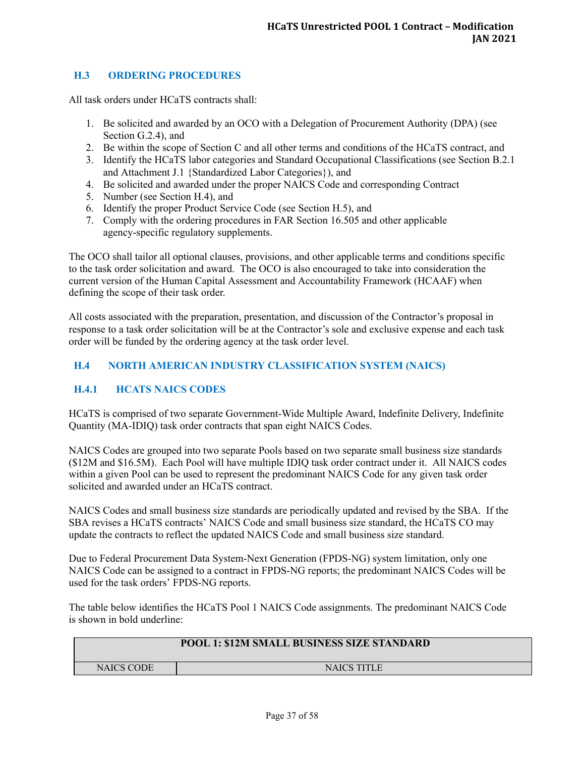#### <span id="page-36-0"></span>**H.3 ORDERING PROCEDURES**

All task orders under HCaTS contracts shall:

- 1. Be solicited and awarded by an OCO with a Delegation of Procurement Authority (DPA) (see Section G.2.4), and
- 2. Be within the scope of Section C and all other terms and conditions of the HCaTS contract, and
- 3. Identify the HCaTS labor categories and Standard Occupational Classifications (see Section B.2.1 and Attachment J.1 {Standardized Labor Categories}), and
- 4. Be solicited and awarded under the proper NAICS Code and corresponding Contract
- 5. Number (see Section H.4), and
- 6. Identify the proper Product Service Code (see Section H.5), and
- 7. Comply with the ordering procedures in FAR Section 16.505 and other applicable agency-specific regulatory supplements.

The OCO shall tailor all optional clauses, provisions, and other applicable terms and conditions specific to the task order solicitation and award. The OCO is also encouraged to take into consideration the current version of the Human Capital Assessment and Accountability Framework (HCAAF) when defining the scope of their task order.

All costs associated with the preparation, presentation, and discussion of the Contractor's proposal in response to a task order solicitation will be at the Contractor's sole and exclusive expense and each task order will be funded by the ordering agency at the task order level.

#### <span id="page-36-1"></span>**H.4 NORTH AMERICAN INDUSTRY CLASSIFICATION SYSTEM (NAICS)**

### <span id="page-36-2"></span>**H.4.1 HCATS NAICS CODES**

HCaTS is comprised of two separate Government-Wide Multiple Award, Indefinite Delivery, Indefinite Quantity (MA-IDIQ) task order contracts that span eight NAICS Codes.

NAICS Codes are grouped into two separate Pools based on two separate small business size standards (\$12M and \$16.5M). Each Pool will have multiple IDIQ task order contract under it. All NAICS codes within a given Pool can be used to represent the predominant NAICS Code for any given task order solicited and awarded under an HCaTS contract.

NAICS Codes and small business size standards are periodically updated and revised by the SBA. If the SBA revises a HCaTS contracts' NAICS Code and small business size standard, the HCaTS CO may update the contracts to reflect the updated NAICS Code and small business size standard.

Due to Federal Procurement Data System-Next Generation (FPDS-NG) system limitation, only one NAICS Code can be assigned to a contract in FPDS-NG reports; the predominant NAICS Codes will be used for the task orders' FPDS-NG reports.

The table below identifies the HCaTS Pool 1 NAICS Code assignments. The predominant NAICS Code is shown in bold underline:

|            | <b>POOL 1: \$12M SMALL BUSINESS SIZE STANDARD</b> |
|------------|---------------------------------------------------|
| NAICS CODE | <b>NAICS TITLE</b>                                |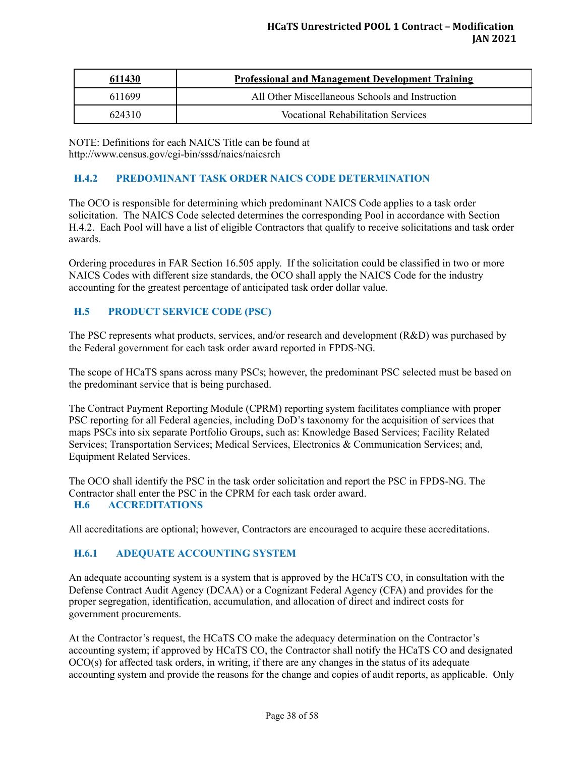| 611430 | <b>Professional and Management Development Training</b> |
|--------|---------------------------------------------------------|
| 611699 | All Other Miscellaneous Schools and Instruction         |
| 624310 | Vocational Rehabilitation Services                      |

NOTE: Definitions for each NAICS Title can be found at http://www.census.gov/cgi-bin/sssd/naics/naicsrch

### <span id="page-37-0"></span>**H.4.2 PREDOMINANT TASK ORDER NAICS CODE DETERMINATION**

The OCO is responsible for determining which predominant NAICS Code applies to a task order solicitation. The NAICS Code selected determines the corresponding Pool in accordance with Section H.4.2. Each Pool will have a list of eligible Contractors that qualify to receive solicitations and task order awards.

Ordering procedures in FAR Section 16.505 apply. If the solicitation could be classified in two or more NAICS Codes with different size standards, the OCO shall apply the NAICS Code for the industry accounting for the greatest percentage of anticipated task order dollar value.

### <span id="page-37-1"></span>**H.5 PRODUCT SERVICE CODE (PSC)**

The PSC represents what products, services, and/or research and development (R&D) was purchased by the Federal government for each task order award reported in FPDS-NG.

The scope of HCaTS spans across many PSCs; however, the predominant PSC selected must be based on the predominant service that is being purchased.

The Contract Payment Reporting Module (CPRM) reporting system facilitates compliance with proper PSC reporting for all Federal agencies, including DoD's taxonomy for the acquisition of services that maps PSCs into six separate Portfolio Groups, such as: Knowledge Based Services; Facility Related Services; Transportation Services; Medical Services, Electronics & Communication Services; and, Equipment Related Services.

<span id="page-37-2"></span>The OCO shall identify the PSC in the task order solicitation and report the PSC in FPDS-NG. The Contractor shall enter the PSC in the CPRM for each task order award. **H.6 ACCREDITATIONS**

All accreditations are optional; however, Contractors are encouraged to acquire these accreditations.

#### <span id="page-37-3"></span>**H.6.1 ADEQUATE ACCOUNTING SYSTEM**

An adequate accounting system is a system that is approved by the HCaTS CO, in consultation with the Defense Contract Audit Agency (DCAA) or a Cognizant Federal Agency (CFA) and provides for the proper segregation, identification, accumulation, and allocation of direct and indirect costs for government procurements.

At the Contractor's request, the HCaTS CO make the adequacy determination on the Contractor's accounting system; if approved by HCaTS CO, the Contractor shall notify the HCaTS CO and designated OCO(s) for affected task orders, in writing, if there are any changes in the status of its adequate accounting system and provide the reasons for the change and copies of audit reports, as applicable. Only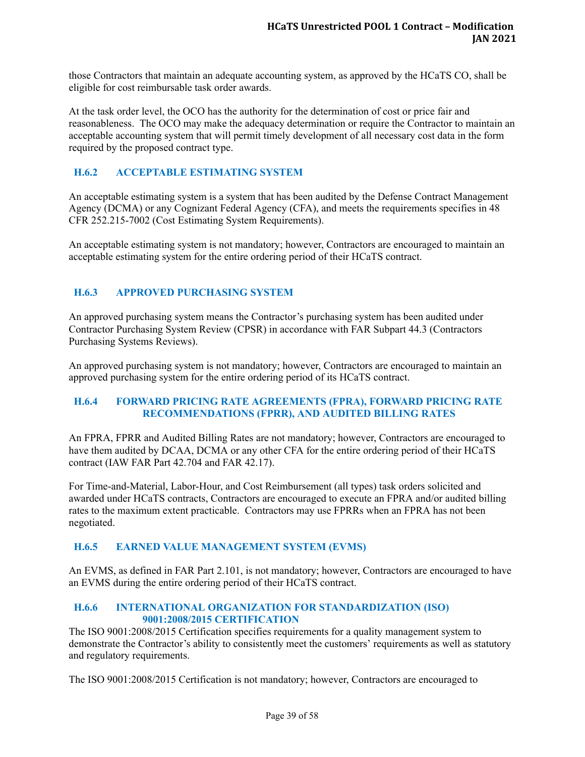those Contractors that maintain an adequate accounting system, as approved by the HCaTS CO, shall be eligible for cost reimbursable task order awards.

At the task order level, the OCO has the authority for the determination of cost or price fair and reasonableness. The OCO may make the adequacy determination or require the Contractor to maintain an acceptable accounting system that will permit timely development of all necessary cost data in the form required by the proposed contract type.

#### <span id="page-38-0"></span>**H.6.2 ACCEPTABLE ESTIMATING SYSTEM**

An acceptable estimating system is a system that has been audited by the Defense Contract Management Agency (DCMA) or any Cognizant Federal Agency (CFA), and meets the requirements specifies in 48 CFR 252.215-7002 (Cost Estimating System Requirements).

An acceptable estimating system is not mandatory; however, Contractors are encouraged to maintain an acceptable estimating system for the entire ordering period of their HCaTS contract.

### <span id="page-38-1"></span>**H.6.3 APPROVED PURCHASING SYSTEM**

An approved purchasing system means the Contractor's purchasing system has been audited under Contractor Purchasing System Review (CPSR) in accordance with FAR Subpart 44.3 (Contractors Purchasing Systems Reviews).

An approved purchasing system is not mandatory; however, Contractors are encouraged to maintain an approved purchasing system for the entire ordering period of its HCaTS contract.

#### <span id="page-38-2"></span>**H.6.4 FORWARD PRICING RATE AGREEMENTS (FPRA), FORWARD PRICING RATE RECOMMENDATIONS (FPRR), AND AUDITED BILLING RATES**

An FPRA, FPRR and Audited Billing Rates are not mandatory; however, Contractors are encouraged to have them audited by DCAA, DCMA or any other CFA for the entire ordering period of their HCaTS contract (IAW FAR Part 42.704 and FAR 42.17).

For Time-and-Material, Labor-Hour, and Cost Reimbursement (all types) task orders solicited and awarded under HCaTS contracts, Contractors are encouraged to execute an FPRA and/or audited billing rates to the maximum extent practicable. Contractors may use FPRRs when an FPRA has not been negotiated.

#### <span id="page-38-3"></span>**H.6.5 EARNED VALUE MANAGEMENT SYSTEM (EVMS)**

An EVMS, as defined in FAR Part 2.101, is not mandatory; however, Contractors are encouraged to have an EVMS during the entire ordering period of their HCaTS contract.

#### <span id="page-38-4"></span>**H.6.6 INTERNATIONAL ORGANIZATION FOR STANDARDIZATION (ISO) 9001:2008/2015 CERTIFICATION**

The ISO 9001:2008/2015 Certification specifies requirements for a quality management system to demonstrate the Contractor's ability to consistently meet the customers' requirements as well as statutory and regulatory requirements.

The ISO 9001:2008/2015 Certification is not mandatory; however, Contractors are encouraged to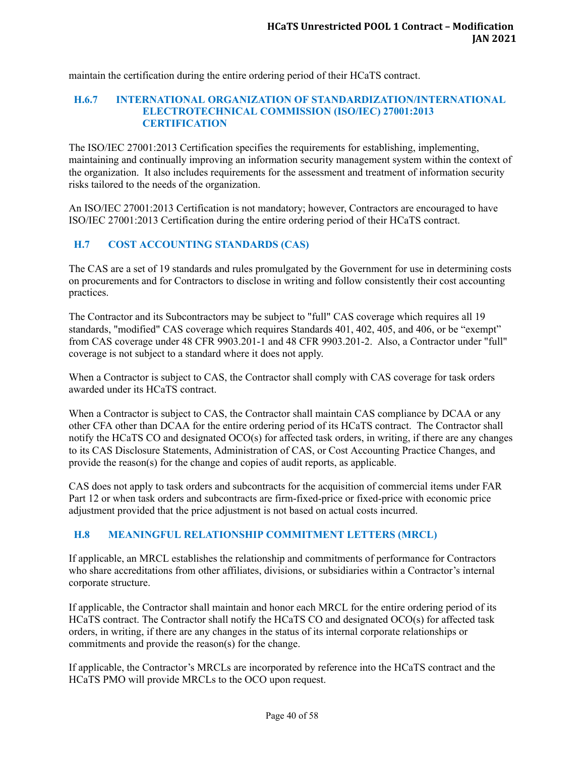maintain the certification during the entire ordering period of their HCaTS contract.

#### <span id="page-39-0"></span>**H.6.7 INTERNATIONAL ORGANIZATION OF STANDARDIZATION/INTERNATIONAL ELECTROTECHNICAL COMMISSION (ISO/IEC) 27001:2013 CERTIFICATION**

The ISO/IEC 27001:2013 Certification specifies the requirements for establishing, implementing, maintaining and continually improving an information security management system within the context of the organization. It also includes requirements for the assessment and treatment of information security risks tailored to the needs of the organization.

An ISO/IEC 27001:2013 Certification is not mandatory; however, Contractors are encouraged to have ISO/IEC 27001:2013 Certification during the entire ordering period of their HCaTS contract.

#### <span id="page-39-1"></span>**H.7 COST ACCOUNTING STANDARDS (CAS)**

The CAS are a set of 19 standards and rules promulgated by the Government for use in determining costs on procurements and for Contractors to disclose in writing and follow consistently their cost accounting practices.

The Contractor and its Subcontractors may be subject to "full" CAS coverage which requires all 19 standards, "modified" CAS coverage which requires Standards 401, 402, 405, and 406, or be "exempt" from CAS coverage under 48 CFR 9903.201-1 and 48 CFR 9903.201-2. Also, a Contractor under "full" coverage is not subject to a standard where it does not apply.

When a Contractor is subject to CAS, the Contractor shall comply with CAS coverage for task orders awarded under its HCaTS contract.

When a Contractor is subject to CAS, the Contractor shall maintain CAS compliance by DCAA or any other CFA other than DCAA for the entire ordering period of its HCaTS contract. The Contractor shall notify the HCaTS CO and designated OCO(s) for affected task orders, in writing, if there are any changes to its CAS Disclosure Statements, Administration of CAS, or Cost Accounting Practice Changes, and provide the reason(s) for the change and copies of audit reports, as applicable.

CAS does not apply to task orders and subcontracts for the acquisition of commercial items under FAR Part 12 or when task orders and subcontracts are firm-fixed-price or fixed-price with economic price adjustment provided that the price adjustment is not based on actual costs incurred.

#### <span id="page-39-2"></span>**H.8 MEANINGFUL RELATIONSHIP COMMITMENT LETTERS (MRCL)**

If applicable, an MRCL establishes the relationship and commitments of performance for Contractors who share accreditations from other affiliates, divisions, or subsidiaries within a Contractor's internal corporate structure.

If applicable, the Contractor shall maintain and honor each MRCL for the entire ordering period of its HCaTS contract. The Contractor shall notify the HCaTS CO and designated OCO(s) for affected task orders, in writing, if there are any changes in the status of its internal corporate relationships or commitments and provide the reason(s) for the change.

If applicable, the Contractor's MRCLs are incorporated by reference into the HCaTS contract and the HCaTS PMO will provide MRCLs to the OCO upon request.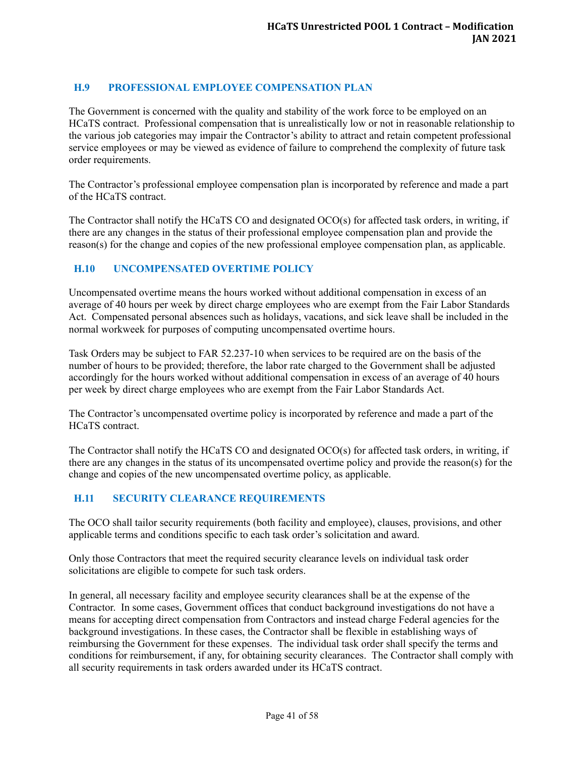### <span id="page-40-0"></span>**H.9 PROFESSIONAL EMPLOYEE COMPENSATION PLAN**

The Government is concerned with the quality and stability of the work force to be employed on an HCaTS contract. Professional compensation that is unrealistically low or not in reasonable relationship to the various job categories may impair the Contractor's ability to attract and retain competent professional service employees or may be viewed as evidence of failure to comprehend the complexity of future task order requirements.

The Contractor's professional employee compensation plan is incorporated by reference and made a part of the HCaTS contract.

The Contractor shall notify the HCaTS CO and designated OCO(s) for affected task orders, in writing, if there are any changes in the status of their professional employee compensation plan and provide the reason(s) for the change and copies of the new professional employee compensation plan, as applicable.

#### <span id="page-40-1"></span>**H.10 UNCOMPENSATED OVERTIME POLICY**

Uncompensated overtime means the hours worked without additional compensation in excess of an average of 40 hours per week by direct charge employees who are exempt from the Fair Labor Standards Act. Compensated personal absences such as holidays, vacations, and sick leave shall be included in the normal workweek for purposes of computing uncompensated overtime hours.

Task Orders may be subject to FAR 52.237-10 when services to be required are on the basis of the number of hours to be provided; therefore, the labor rate charged to the Government shall be adjusted accordingly for the hours worked without additional compensation in excess of an average of 40 hours per week by direct charge employees who are exempt from the Fair Labor Standards Act.

The Contractor's uncompensated overtime policy is incorporated by reference and made a part of the HCaTS contract.

The Contractor shall notify the HCaTS CO and designated OCO(s) for affected task orders, in writing, if there are any changes in the status of its uncompensated overtime policy and provide the reason(s) for the change and copies of the new uncompensated overtime policy, as applicable.

#### <span id="page-40-2"></span>**H.11 SECURITY CLEARANCE REQUIREMENTS**

The OCO shall tailor security requirements (both facility and employee), clauses, provisions, and other applicable terms and conditions specific to each task order's solicitation and award.

Only those Contractors that meet the required security clearance levels on individual task order solicitations are eligible to compete for such task orders.

In general, all necessary facility and employee security clearances shall be at the expense of the Contractor. In some cases, Government offices that conduct background investigations do not have a means for accepting direct compensation from Contractors and instead charge Federal agencies for the background investigations. In these cases, the Contractor shall be flexible in establishing ways of reimbursing the Government for these expenses. The individual task order shall specify the terms and conditions for reimbursement, if any, for obtaining security clearances. The Contractor shall comply with all security requirements in task orders awarded under its HCaTS contract.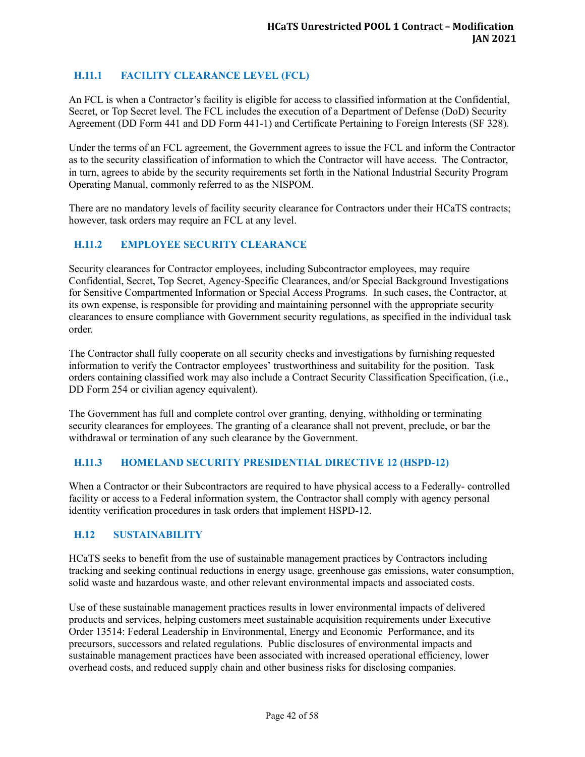## <span id="page-41-0"></span>**H.11.1 FACILITY CLEARANCE LEVEL (FCL)**

An FCL is when a Contractor's facility is eligible for access to classified information at the Confidential, Secret, or Top Secret level. The FCL includes the execution of a Department of Defense (DoD) Security Agreement (DD Form 441 and DD Form 441-1) and Certificate Pertaining to Foreign Interests (SF 328).

Under the terms of an FCL agreement, the Government agrees to issue the FCL and inform the Contractor as to the security classification of information to which the Contractor will have access. The Contractor, in turn, agrees to abide by the security requirements set forth in the National Industrial Security Program Operating Manual, commonly referred to as the NISPOM.

There are no mandatory levels of facility security clearance for Contractors under their HCaTS contracts; however, task orders may require an FCL at any level.

## <span id="page-41-1"></span>**H.11.2 EMPLOYEE SECURITY CLEARANCE**

Security clearances for Contractor employees, including Subcontractor employees, may require Confidential, Secret, Top Secret, Agency-Specific Clearances, and/or Special Background Investigations for Sensitive Compartmented Information or Special Access Programs. In such cases, the Contractor, at its own expense, is responsible for providing and maintaining personnel with the appropriate security clearances to ensure compliance with Government security regulations, as specified in the individual task order.

The Contractor shall fully cooperate on all security checks and investigations by furnishing requested information to verify the Contractor employees' trustworthiness and suitability for the position. Task orders containing classified work may also include a Contract Security Classification Specification, (i.e., DD Form 254 or civilian agency equivalent).

The Government has full and complete control over granting, denying, withholding or terminating security clearances for employees. The granting of a clearance shall not prevent, preclude, or bar the withdrawal or termination of any such clearance by the Government.

### <span id="page-41-2"></span>**H.11.3 HOMELAND SECURITY PRESIDENTIAL DIRECTIVE 12 (HSPD-12)**

When a Contractor or their Subcontractors are required to have physical access to a Federally- controlled facility or access to a Federal information system, the Contractor shall comply with agency personal identity verification procedures in task orders that implement HSPD-12.

### <span id="page-41-3"></span>**H.12 SUSTAINABILITY**

HCaTS seeks to benefit from the use of sustainable management practices by Contractors including tracking and seeking continual reductions in energy usage, greenhouse gas emissions, water consumption, solid waste and hazardous waste, and other relevant environmental impacts and associated costs.

Use of these sustainable management practices results in lower environmental impacts of delivered products and services, helping customers meet sustainable acquisition requirements under Executive Order 13514: Federal Leadership in Environmental, Energy and Economic Performance, and its precursors, successors and related regulations. Public disclosures of environmental impacts and sustainable management practices have been associated with increased operational efficiency, lower overhead costs, and reduced supply chain and other business risks for disclosing companies.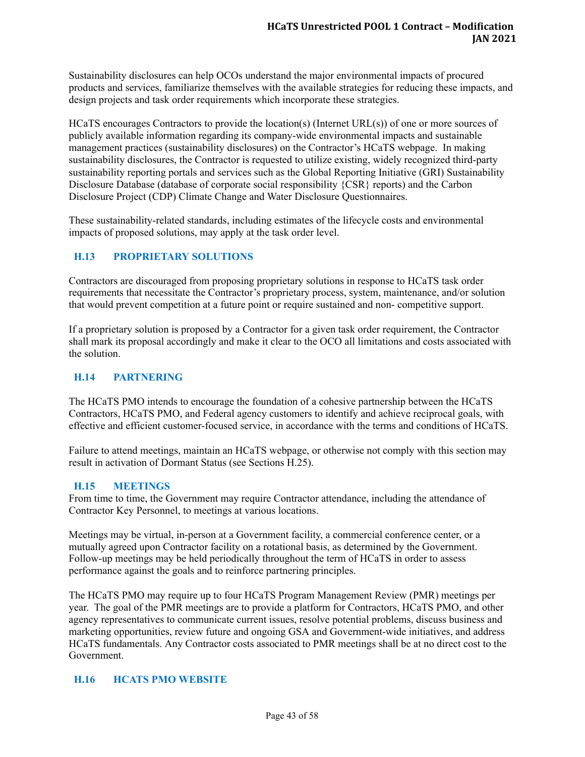Sustainability disclosures can help OCOs understand the major environmental impacts of procured products and services, familiarize themselves with the available strategies for reducing these impacts, and design projects and task order requirements which incorporate these strategies.

HCaTS encourages Contractors to provide the location(s) (Internet URL(s)) of one or more sources of publicly available information regarding its company-wide environmental impacts and sustainable management practices (sustainability disclosures) on the Contractor's HCaTS webpage. In making sustainability disclosures, the Contractor is requested to utilize existing, widely recognized third-party sustainability reporting portals and services such as the Global Reporting Initiative (GRI) Sustainability Disclosure Database (database of corporate social responsibility {CSR} reports) and the Carbon Disclosure Project (CDP) Climate Change and Water Disclosure Questionnaires.

These sustainability-related standards, including estimates of the lifecycle costs and environmental impacts of proposed solutions, may apply at the task order level.

### <span id="page-42-0"></span>**H.13 PROPRIETARY SOLUTIONS**

Contractors are discouraged from proposing proprietary solutions in response to HCaTS task order requirements that necessitate the Contractor's proprietary process, system, maintenance, and/or solution that would prevent competition at a future point or require sustained and non- competitive support.

If a proprietary solution is proposed by a Contractor for a given task order requirement, the Contractor shall mark its proposal accordingly and make it clear to the OCO all limitations and costs associated with the solution.

#### <span id="page-42-1"></span>**H.14 PARTNERING**

The HCaTS PMO intends to encourage the foundation of a cohesive partnership between the HCaTS Contractors, HCaTS PMO, and Federal agency customers to identify and achieve reciprocal goals, with effective and efficient customer-focused service, in accordance with the terms and conditions of HCaTS.

Failure to attend meetings, maintain an HCaTS webpage, or otherwise not comply with this section may result in activation of Dormant Status (see Sections H.25).

### <span id="page-42-2"></span>**H.15 MEETINGS**

From time to time, the Government may require Contractor attendance, including the attendance of Contractor Key Personnel, to meetings at various locations.

Meetings may be virtual, in-person at a Government facility, a commercial conference center, or a mutually agreed upon Contractor facility on a rotational basis, as determined by the Government. Follow-up meetings may be held periodically throughout the term of HCaTS in order to assess performance against the goals and to reinforce partnering principles.

The HCaTS PMO may require up to four HCaTS Program Management Review (PMR) meetings per year. The goal of the PMR meetings are to provide a platform for Contractors, HCaTS PMO, and other agency representatives to communicate current issues, resolve potential problems, discuss business and marketing opportunities, review future and ongoing GSA and Government-wide initiatives, and address HCaTS fundamentals. Any Contractor costs associated to PMR meetings shall be at no direct cost to the Government.

#### <span id="page-42-3"></span>**H.16 HCATS PMO WEBSITE**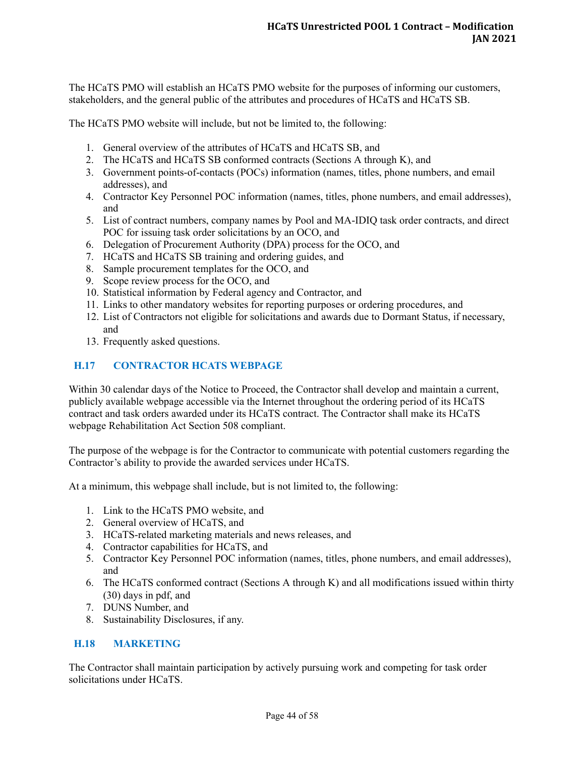The HCaTS PMO will establish an HCaTS PMO website for the purposes of informing our customers, stakeholders, and the general public of the attributes and procedures of HCaTS and HCaTS SB.

The HCaTS PMO website will include, but not be limited to, the following:

- 1. General overview of the attributes of HCaTS and HCaTS SB, and
- 2. The HCaTS and HCaTS SB conformed contracts (Sections A through K), and
- 3. Government points-of-contacts (POCs) information (names, titles, phone numbers, and email addresses), and
- 4. Contractor Key Personnel POC information (names, titles, phone numbers, and email addresses), and
- 5. List of contract numbers, company names by Pool and MA-IDIQ task order contracts, and direct POC for issuing task order solicitations by an OCO, and
- 6. Delegation of Procurement Authority (DPA) process for the OCO, and
- 7. HCaTS and HCaTS SB training and ordering guides, and
- 8. Sample procurement templates for the OCO, and
- 9. Scope review process for the OCO, and
- 10. Statistical information by Federal agency and Contractor, and
- 11. Links to other mandatory websites for reporting purposes or ordering procedures, and
- 12. List of Contractors not eligible for solicitations and awards due to Dormant Status, if necessary, and
- 13. Frequently asked questions.

### <span id="page-43-0"></span>**H.17 CONTRACTOR HCATS WEBPAGE**

Within 30 calendar days of the Notice to Proceed, the Contractor shall develop and maintain a current, publicly available webpage accessible via the Internet throughout the ordering period of its HCaTS contract and task orders awarded under its HCaTS contract. The Contractor shall make its HCaTS webpage Rehabilitation Act Section 508 compliant.

The purpose of the webpage is for the Contractor to communicate with potential customers regarding the Contractor's ability to provide the awarded services under HCaTS.

At a minimum, this webpage shall include, but is not limited to, the following:

- 1. Link to the HCaTS PMO website, and
- 2. General overview of HCaTS, and
- 3. HCaTS-related marketing materials and news releases, and
- 4. Contractor capabilities for HCaTS, and
- 5. Contractor Key Personnel POC information (names, titles, phone numbers, and email addresses), and
- 6. The HCaTS conformed contract (Sections A through K) and all modifications issued within thirty (30) days in pdf, and
- 7. DUNS Number, and
- 8. Sustainability Disclosures, if any.

### <span id="page-43-1"></span>**H.18 MARKETING**

The Contractor shall maintain participation by actively pursuing work and competing for task order solicitations under HCaTS.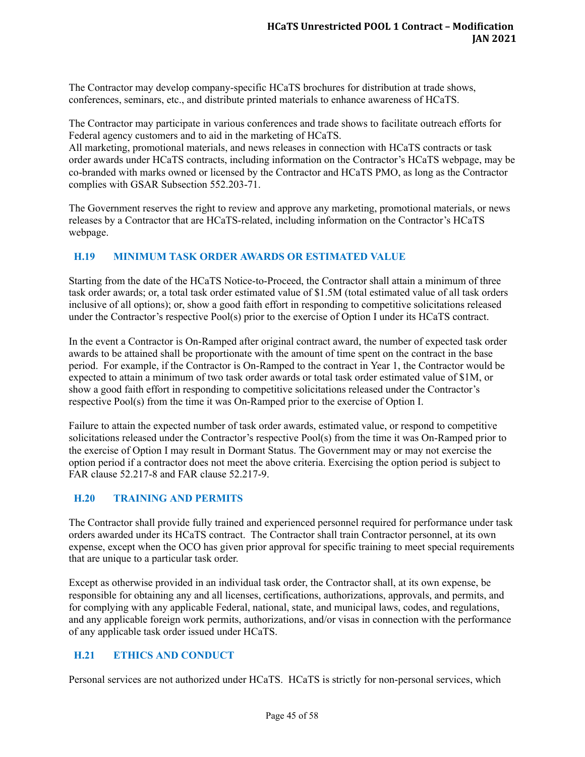The Contractor may develop company-specific HCaTS brochures for distribution at trade shows, conferences, seminars, etc., and distribute printed materials to enhance awareness of HCaTS.

The Contractor may participate in various conferences and trade shows to facilitate outreach efforts for Federal agency customers and to aid in the marketing of HCaTS.

All marketing, promotional materials, and news releases in connection with HCaTS contracts or task order awards under HCaTS contracts, including information on the Contractor's HCaTS webpage, may be co-branded with marks owned or licensed by the Contractor and HCaTS PMO, as long as the Contractor complies with GSAR Subsection 552.203-71.

The Government reserves the right to review and approve any marketing, promotional materials, or news releases by a Contractor that are HCaTS-related, including information on the Contractor's HCaTS webpage.

### <span id="page-44-0"></span>**H.19 MINIMUM TASK ORDER AWARDS OR ESTIMATED VALUE**

Starting from the date of the HCaTS Notice-to-Proceed, the Contractor shall attain a minimum of three task order awards; or, a total task order estimated value of \$1.5M (total estimated value of all task orders inclusive of all options); or, show a good faith effort in responding to competitive solicitations released under the Contractor's respective Pool(s) prior to the exercise of Option I under its HCaTS contract.

In the event a Contractor is On-Ramped after original contract award, the number of expected task order awards to be attained shall be proportionate with the amount of time spent on the contract in the base period. For example, if the Contractor is On-Ramped to the contract in Year 1, the Contractor would be expected to attain a minimum of two task order awards or total task order estimated value of \$1M, or show a good faith effort in responding to competitive solicitations released under the Contractor's respective Pool(s) from the time it was On-Ramped prior to the exercise of Option I.

Failure to attain the expected number of task order awards, estimated value, or respond to competitive solicitations released under the Contractor's respective Pool(s) from the time it was On-Ramped prior to the exercise of Option I may result in Dormant Status. The Government may or may not exercise the option period if a contractor does not meet the above criteria. Exercising the option period is subject to FAR clause 52.217-8 and FAR clause 52.217-9.

#### <span id="page-44-1"></span>**H.20 TRAINING AND PERMITS**

The Contractor shall provide fully trained and experienced personnel required for performance under task orders awarded under its HCaTS contract. The Contractor shall train Contractor personnel, at its own expense, except when the OCO has given prior approval for specific training to meet special requirements that are unique to a particular task order.

Except as otherwise provided in an individual task order, the Contractor shall, at its own expense, be responsible for obtaining any and all licenses, certifications, authorizations, approvals, and permits, and for complying with any applicable Federal, national, state, and municipal laws, codes, and regulations, and any applicable foreign work permits, authorizations, and/or visas in connection with the performance of any applicable task order issued under HCaTS.

### <span id="page-44-2"></span>**H.21 ETHICS AND CONDUCT**

Personal services are not authorized under HCaTS. HCaTS is strictly for non-personal services, which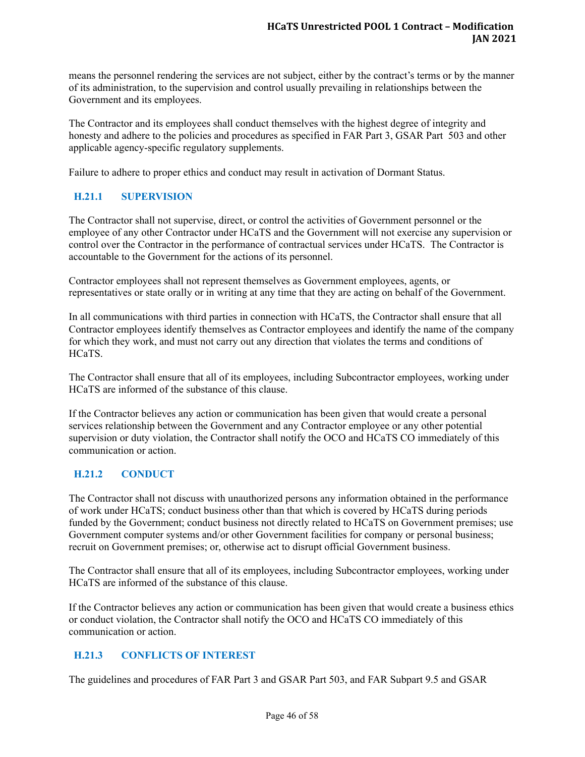means the personnel rendering the services are not subject, either by the contract's terms or by the manner of its administration, to the supervision and control usually prevailing in relationships between the Government and its employees.

The Contractor and its employees shall conduct themselves with the highest degree of integrity and honesty and adhere to the policies and procedures as specified in FAR Part 3, GSAR Part 503 and other applicable agency-specific regulatory supplements.

Failure to adhere to proper ethics and conduct may result in activation of Dormant Status.

## <span id="page-45-0"></span>**H.21.1 SUPERVISION**

The Contractor shall not supervise, direct, or control the activities of Government personnel or the employee of any other Contractor under HCaTS and the Government will not exercise any supervision or control over the Contractor in the performance of contractual services under HCaTS. The Contractor is accountable to the Government for the actions of its personnel.

Contractor employees shall not represent themselves as Government employees, agents, or representatives or state orally or in writing at any time that they are acting on behalf of the Government.

In all communications with third parties in connection with HCaTS, the Contractor shall ensure that all Contractor employees identify themselves as Contractor employees and identify the name of the company for which they work, and must not carry out any direction that violates the terms and conditions of HCaTS.

The Contractor shall ensure that all of its employees, including Subcontractor employees, working under HCaTS are informed of the substance of this clause.

If the Contractor believes any action or communication has been given that would create a personal services relationship between the Government and any Contractor employee or any other potential supervision or duty violation, the Contractor shall notify the OCO and HCaTS CO immediately of this communication or action.

## <span id="page-45-1"></span>**H.21.2 CONDUCT**

The Contractor shall not discuss with unauthorized persons any information obtained in the performance of work under HCaTS; conduct business other than that which is covered by HCaTS during periods funded by the Government; conduct business not directly related to HCaTS on Government premises; use Government computer systems and/or other Government facilities for company or personal business; recruit on Government premises; or, otherwise act to disrupt official Government business.

The Contractor shall ensure that all of its employees, including Subcontractor employees, working under HCaTS are informed of the substance of this clause.

If the Contractor believes any action or communication has been given that would create a business ethics or conduct violation, the Contractor shall notify the OCO and HCaTS CO immediately of this communication or action.

### <span id="page-45-2"></span>**H.21.3 CONFLICTS OF INTEREST**

The guidelines and procedures of FAR Part 3 and GSAR Part 503, and FAR Subpart 9.5 and GSAR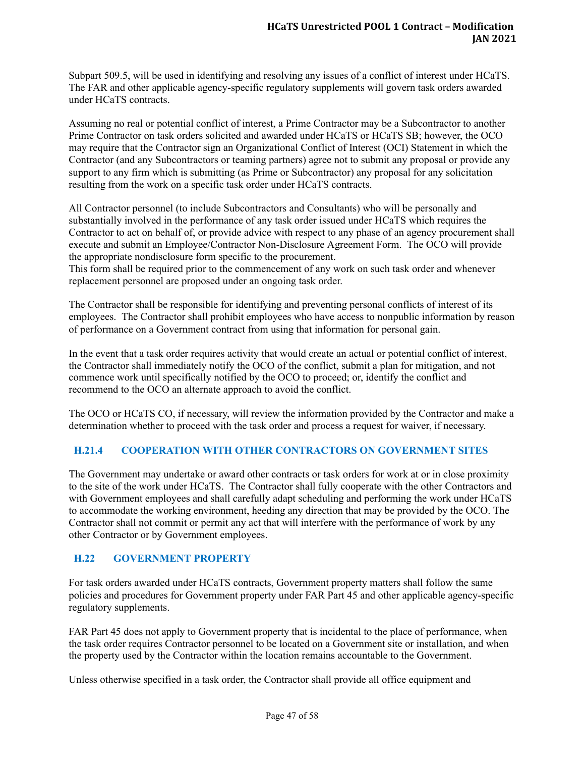Subpart 509.5, will be used in identifying and resolving any issues of a conflict of interest under HCaTS. The FAR and other applicable agency-specific regulatory supplements will govern task orders awarded under HCaTS contracts.

Assuming no real or potential conflict of interest, a Prime Contractor may be a Subcontractor to another Prime Contractor on task orders solicited and awarded under HCaTS or HCaTS SB; however, the OCO may require that the Contractor sign an Organizational Conflict of Interest (OCI) Statement in which the Contractor (and any Subcontractors or teaming partners) agree not to submit any proposal or provide any support to any firm which is submitting (as Prime or Subcontractor) any proposal for any solicitation resulting from the work on a specific task order under HCaTS contracts.

All Contractor personnel (to include Subcontractors and Consultants) who will be personally and substantially involved in the performance of any task order issued under HCaTS which requires the Contractor to act on behalf of, or provide advice with respect to any phase of an agency procurement shall execute and submit an Employee/Contractor Non-Disclosure Agreement Form. The OCO will provide the appropriate nondisclosure form specific to the procurement.

This form shall be required prior to the commencement of any work on such task order and whenever replacement personnel are proposed under an ongoing task order.

The Contractor shall be responsible for identifying and preventing personal conflicts of interest of its employees. The Contractor shall prohibit employees who have access to nonpublic information by reason of performance on a Government contract from using that information for personal gain.

In the event that a task order requires activity that would create an actual or potential conflict of interest, the Contractor shall immediately notify the OCO of the conflict, submit a plan for mitigation, and not commence work until specifically notified by the OCO to proceed; or, identify the conflict and recommend to the OCO an alternate approach to avoid the conflict.

The OCO or HCaTS CO, if necessary, will review the information provided by the Contractor and make a determination whether to proceed with the task order and process a request for waiver, if necessary.

## <span id="page-46-0"></span>**H.21.4 COOPERATION WITH OTHER CONTRACTORS ON GOVERNMENT SITES**

The Government may undertake or award other contracts or task orders for work at or in close proximity to the site of the work under HCaTS. The Contractor shall fully cooperate with the other Contractors and with Government employees and shall carefully adapt scheduling and performing the work under HCaTS to accommodate the working environment, heeding any direction that may be provided by the OCO. The Contractor shall not commit or permit any act that will interfere with the performance of work by any other Contractor or by Government employees.

### <span id="page-46-1"></span>**H.22 GOVERNMENT PROPERTY**

For task orders awarded under HCaTS contracts, Government property matters shall follow the same policies and procedures for Government property under FAR Part 45 and other applicable agency-specific regulatory supplements.

FAR Part 45 does not apply to Government property that is incidental to the place of performance, when the task order requires Contractor personnel to be located on a Government site or installation, and when the property used by the Contractor within the location remains accountable to the Government.

Unless otherwise specified in a task order, the Contractor shall provide all office equipment and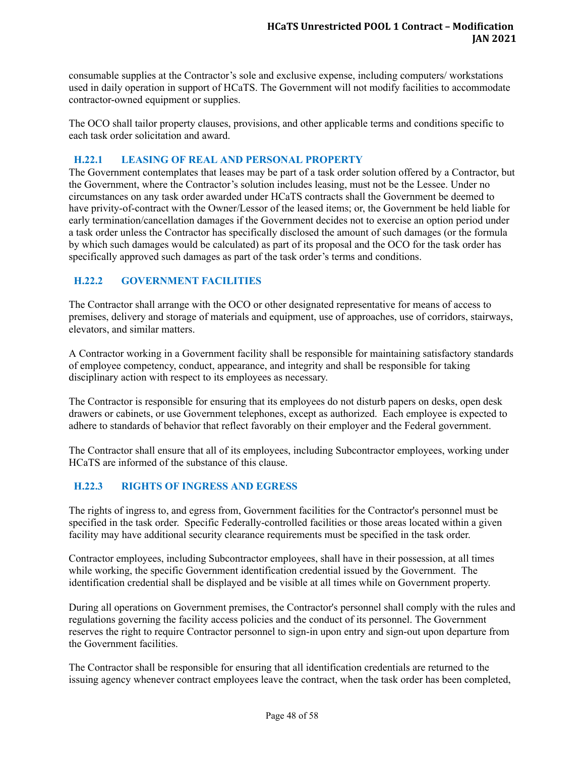consumable supplies at the Contractor's sole and exclusive expense, including computers/ workstations used in daily operation in support of HCaTS. The Government will not modify facilities to accommodate contractor-owned equipment or supplies.

The OCO shall tailor property clauses, provisions, and other applicable terms and conditions specific to each task order solicitation and award.

#### <span id="page-47-0"></span>**H.22.1 LEASING OF REAL AND PERSONAL PROPERTY**

The Government contemplates that leases may be part of a task order solution offered by a Contractor, but the Government, where the Contractor's solution includes leasing, must not be the Lessee. Under no circumstances on any task order awarded under HCaTS contracts shall the Government be deemed to have privity-of-contract with the Owner/Lessor of the leased items; or, the Government be held liable for early termination/cancellation damages if the Government decides not to exercise an option period under a task order unless the Contractor has specifically disclosed the amount of such damages (or the formula by which such damages would be calculated) as part of its proposal and the OCO for the task order has specifically approved such damages as part of the task order's terms and conditions.

### <span id="page-47-1"></span>**H.22.2 GOVERNMENT FACILITIES**

The Contractor shall arrange with the OCO or other designated representative for means of access to premises, delivery and storage of materials and equipment, use of approaches, use of corridors, stairways, elevators, and similar matters.

A Contractor working in a Government facility shall be responsible for maintaining satisfactory standards of employee competency, conduct, appearance, and integrity and shall be responsible for taking disciplinary action with respect to its employees as necessary.

The Contractor is responsible for ensuring that its employees do not disturb papers on desks, open desk drawers or cabinets, or use Government telephones, except as authorized. Each employee is expected to adhere to standards of behavior that reflect favorably on their employer and the Federal government.

The Contractor shall ensure that all of its employees, including Subcontractor employees, working under HCaTS are informed of the substance of this clause.

### <span id="page-47-2"></span>**H.22.3 RIGHTS OF INGRESS AND EGRESS**

The rights of ingress to, and egress from, Government facilities for the Contractor's personnel must be specified in the task order. Specific Federally-controlled facilities or those areas located within a given facility may have additional security clearance requirements must be specified in the task order.

Contractor employees, including Subcontractor employees, shall have in their possession, at all times while working, the specific Government identification credential issued by the Government. The identification credential shall be displayed and be visible at all times while on Government property.

During all operations on Government premises, the Contractor's personnel shall comply with the rules and regulations governing the facility access policies and the conduct of its personnel. The Government reserves the right to require Contractor personnel to sign-in upon entry and sign-out upon departure from the Government facilities.

The Contractor shall be responsible for ensuring that all identification credentials are returned to the issuing agency whenever contract employees leave the contract, when the task order has been completed,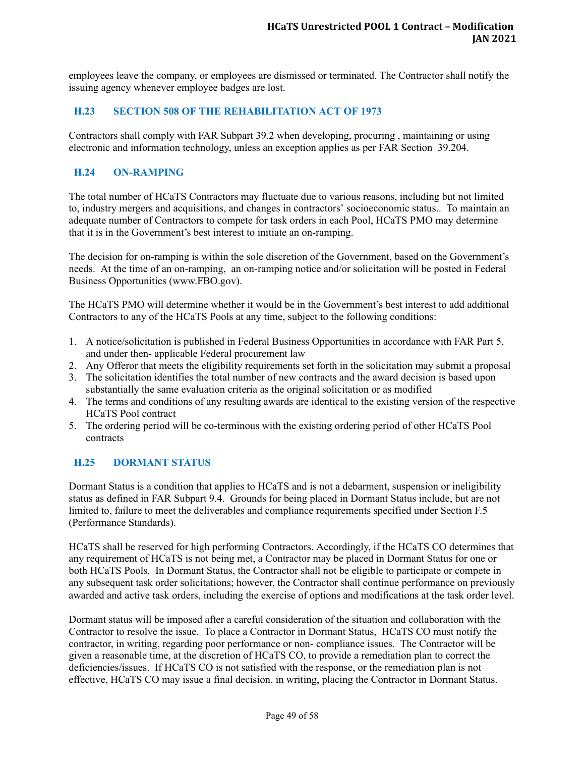employees leave the company, or employees are dismissed or terminated. The Contractor shall notify the issuing agency whenever employee badges are lost.

#### <span id="page-48-0"></span>**H.23 SECTION 508 OF THE REHABILITATION ACT OF 1973**

Contractors shall comply with FAR Subpart 39.2 when developing, procuring , maintaining or using electronic and information technology, unless an exception applies as per FAR Section 39.204.

#### <span id="page-48-1"></span>**H.24 ON-RAMPING**

The total number of HCaTS Contractors may fluctuate due to various reasons, including but not limited to, industry mergers and acquisitions, and changes in contractors' socioeconomic status.. To maintain an adequate number of Contractors to compete for task orders in each Pool, HCaTS PMO may determine that it is in the Government's best interest to initiate an on-ramping.

The decision for on-ramping is within the sole discretion of the Government, based on the Government's needs. At the time of an on-ramping, an on-ramping notice and/or solicitation will be posted in Federal Business Opportunities (www.FBO.gov).

The HCaTS PMO will determine whether it would be in the Government's best interest to add additional Contractors to any of the HCaTS Pools at any time, subject to the following conditions:

- 1. A notice/solicitation is published in Federal Business Opportunities in accordance with FAR Part 5, and under then- applicable Federal procurement law
- 2. Any Offeror that meets the eligibility requirements set forth in the solicitation may submit a proposal
- 3. The solicitation identifies the total number of new contracts and the award decision is based upon substantially the same evaluation criteria as the original solicitation or as modified
- 4. The terms and conditions of any resulting awards are identical to the existing version of the respective HCaTS Pool contract
- 5. The ordering period will be co-terminous with the existing ordering period of other HCaTS Pool contracts

### <span id="page-48-2"></span>**H.25 DORMANT STATUS**

Dormant Status is a condition that applies to HCaTS and is not a debarment, suspension or ineligibility status as defined in FAR Subpart 9.4. Grounds for being placed in Dormant Status include, but are not limited to, failure to meet the deliverables and compliance requirements specified under Section F.5 (Performance Standards).

HCaTS shall be reserved for high performing Contractors. Accordingly, if the HCaTS CO determines that any requirement of HCaTS is not being met, a Contractor may be placed in Dormant Status for one or both HCaTS Pools. In Dormant Status, the Contractor shall not be eligible to participate or compete in any subsequent task order solicitations; however, the Contractor shall continue performance on previously awarded and active task orders, including the exercise of options and modifications at the task order level.

Dormant status will be imposed after a careful consideration of the situation and collaboration with the Contractor to resolve the issue. To place a Contractor in Dormant Status, HCaTS CO must notify the contractor, in writing, regarding poor performance or non- compliance issues. The Contractor will be given a reasonable time, at the discretion of HCaTS CO, to provide a remediation plan to correct the deficiencies/issues. If HCaTS CO is not satisfied with the response, or the remediation plan is not effective, HCaTS CO may issue a final decision, in writing, placing the Contractor in Dormant Status.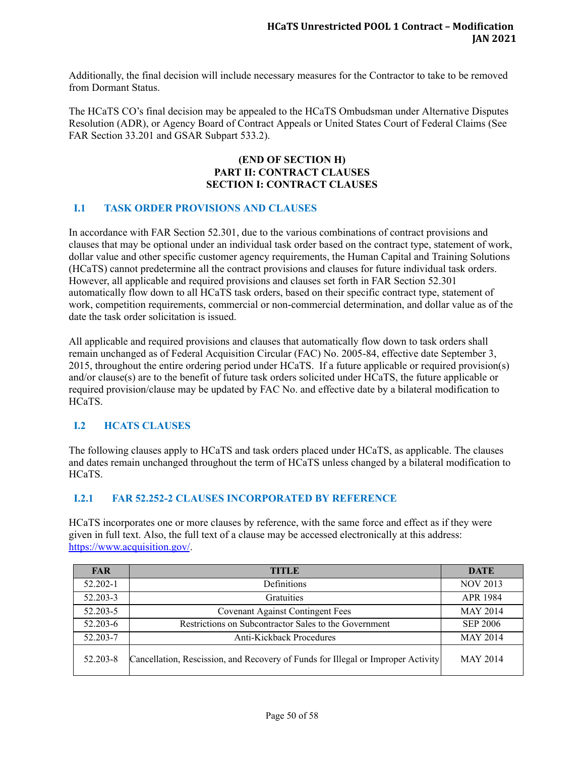Additionally, the final decision will include necessary measures for the Contractor to take to be removed from Dormant Status.

The HCaTS CO's final decision may be appealed to the HCaTS Ombudsman under Alternative Disputes Resolution (ADR), or Agency Board of Contract Appeals or United States Court of Federal Claims (See FAR Section 33.201 and GSAR Subpart 533.2).

#### **(END OF SECTION H) PART II: CONTRACT CLAUSES SECTION I: CONTRACT CLAUSES**

### <span id="page-49-0"></span>**I.1 TASK ORDER PROVISIONS AND CLAUSES**

In accordance with FAR Section 52.301, due to the various combinations of contract provisions and clauses that may be optional under an individual task order based on the contract type, statement of work, dollar value and other specific customer agency requirements, the Human Capital and Training Solutions (HCaTS) cannot predetermine all the contract provisions and clauses for future individual task orders. However, all applicable and required provisions and clauses set forth in FAR Section 52.301 automatically flow down to all HCaTS task orders, based on their specific contract type, statement of work, competition requirements, commercial or non-commercial determination, and dollar value as of the date the task order solicitation is issued.

All applicable and required provisions and clauses that automatically flow down to task orders shall remain unchanged as of Federal Acquisition Circular (FAC) No. 2005-84, effective date September 3, 2015, throughout the entire ordering period under HCaTS. If a future applicable or required provision(s) and/or clause(s) are to the benefit of future task orders solicited under HCaTS, the future applicable or required provision/clause may be updated by FAC No. and effective date by a bilateral modification to HCaTS.

#### <span id="page-49-1"></span>**I.2 HCATS CLAUSES**

The following clauses apply to HCaTS and task orders placed under HCaTS, as applicable. The clauses and dates remain unchanged throughout the term of HCaTS unless changed by a bilateral modification to HCaTS.

#### <span id="page-49-2"></span>**I.2.1 FAR 52.252-2 CLAUSES INCORPORATED BY REFERENCE**

HCaTS incorporates one or more clauses by reference, with the same force and effect as if they were given in full text. Also, the full text of a clause may be accessed electronically at this address: [https://www.acquisition.gov/.](https://www.acquisition.gov/)

| <b>FAR</b>   | <b>TITLE</b>                                                                     | <b>DATE</b>     |
|--------------|----------------------------------------------------------------------------------|-----------------|
| 52.202-1     | Definitions                                                                      | <b>NOV 2013</b> |
| 52.203-3     | <b>Gratuities</b>                                                                | <b>APR 1984</b> |
| 52.203-5     | <b>Covenant Against Contingent Fees</b>                                          | <b>MAY 2014</b> |
| $52.203 - 6$ | Restrictions on Subcontractor Sales to the Government                            | <b>SEP 2006</b> |
| 52.203-7     | Anti-Kickback Procedures                                                         | <b>MAY 2014</b> |
| 52.203-8     | Cancellation, Rescission, and Recovery of Funds for Illegal or Improper Activity | <b>MAY 2014</b> |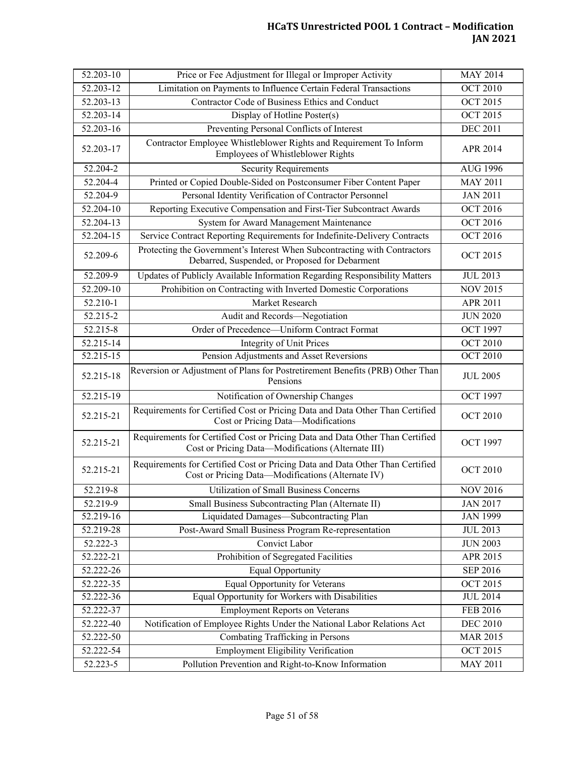## **HCaTS Unrestricted POOL 1 Contract – Modiication JAN 2021**

| $\overline{52.203} - 10$ | Price or Fee Adjustment for Illegal or Improper Activity                                                                            | <b>MAY 2014</b> |
|--------------------------|-------------------------------------------------------------------------------------------------------------------------------------|-----------------|
| $52.203 - 12$            | Limitation on Payments to Influence Certain Federal Transactions                                                                    | <b>OCT 2010</b> |
| 52.203-13                | Contractor Code of Business Ethics and Conduct                                                                                      | <b>OCT 2015</b> |
| 52.203-14                | Display of Hotline Poster(s)                                                                                                        | <b>OCT 2015</b> |
| 52.203-16                | Preventing Personal Conflicts of Interest                                                                                           | <b>DEC 2011</b> |
| 52.203-17                | Contractor Employee Whistleblower Rights and Requirement To Inform<br>Employees of Whistleblower Rights                             | APR 2014        |
| 52.204-2                 | <b>Security Requirements</b>                                                                                                        | <b>AUG 1996</b> |
| 52.204-4                 | Printed or Copied Double-Sided on Postconsumer Fiber Content Paper                                                                  | <b>MAY 2011</b> |
| 52.204-9                 | Personal Identity Verification of Contractor Personnel                                                                              | <b>JAN 2011</b> |
| 52.204-10                | Reporting Executive Compensation and First-Tier Subcontract Awards                                                                  | <b>OCT 2016</b> |
| 52.204-13                | System for Award Management Maintenance                                                                                             | <b>OCT 2016</b> |
| 52.204-15                | Service Contract Reporting Requirements for Indefinite-Delivery Contracts                                                           | <b>OCT 2016</b> |
| 52.209-6                 | Protecting the Government's Interest When Subcontracting with Contractors<br>Debarred, Suspended, or Proposed for Debarment         | <b>OCT 2015</b> |
| 52.209-9                 | Updates of Publicly Available Information Regarding Responsibility Matters                                                          | <b>JUL 2013</b> |
| 52.209-10                | Prohibition on Contracting with Inverted Domestic Corporations                                                                      | <b>NOV 2015</b> |
| 52.210-1                 | Market Research                                                                                                                     | APR 2011        |
| 52.215-2                 | Audit and Records-Negotiation                                                                                                       | <b>JUN 2020</b> |
| 52.215-8                 | Order of Precedence-Uniform Contract Format                                                                                         | <b>OCT 1997</b> |
| 52.215-14                | Integrity of Unit Prices                                                                                                            | <b>OCT 2010</b> |
| 52.215-15                | Pension Adjustments and Asset Reversions                                                                                            | <b>OCT 2010</b> |
| 52.215-18                | Reversion or Adjustment of Plans for Postretirement Benefits (PRB) Other Than<br>Pensions                                           | <b>JUL 2005</b> |
| 52.215-19                | Notification of Ownership Changes                                                                                                   | <b>OCT 1997</b> |
| 52.215-21                | Requirements for Certified Cost or Pricing Data and Data Other Than Certified<br>Cost or Pricing Data-Modifications                 | <b>OCT 2010</b> |
| 52.215-21                | Requirements for Certified Cost or Pricing Data and Data Other Than Certified<br>Cost or Pricing Data-Modifications (Alternate III) | <b>OCT 1997</b> |
| 52.215-21                | Requirements for Certified Cost or Pricing Data and Data Other Than Certified<br>Cost or Pricing Data-Modifications (Alternate IV)  | <b>OCT 2010</b> |
| 52.219-8                 | <b>Utilization of Small Business Concerns</b>                                                                                       | <b>NOV 2016</b> |
| 52.219-9                 | Small Business Subcontracting Plan (Alternate II)                                                                                   | <b>JAN 2017</b> |
| 52.219-16                | Liquidated Damages-Subcontracting Plan                                                                                              | <b>JAN 1999</b> |
| 52.219-28                | Post-Award Small Business Program Re-representation                                                                                 | <b>JUL 2013</b> |
| 52.222-3                 | Convict Labor                                                                                                                       | <b>JUN 2003</b> |
| 52.222-21                | Prohibition of Segregated Facilities                                                                                                | APR 2015        |
| 52.222-26                | <b>Equal Opportunity</b>                                                                                                            | <b>SEP 2016</b> |
| 52.222-35                | <b>Equal Opportunity for Veterans</b>                                                                                               | <b>OCT 2015</b> |
| $\overline{52.222} - 36$ | Equal Opportunity for Workers with Disabilities                                                                                     | <b>JUL 2014</b> |
| 52.222-37                | <b>Employment Reports on Veterans</b>                                                                                               | <b>FEB 2016</b> |
| 52.222-40                | Notification of Employee Rights Under the National Labor Relations Act                                                              | <b>DEC 2010</b> |
| 52.222-50                | Combating Trafficking in Persons                                                                                                    | <b>MAR 2015</b> |
| 52.222-54                | Employment Eligibility Verification                                                                                                 | <b>OCT 2015</b> |
| 52.223-5                 | Pollution Prevention and Right-to-Know Information                                                                                  | <b>MAY 2011</b> |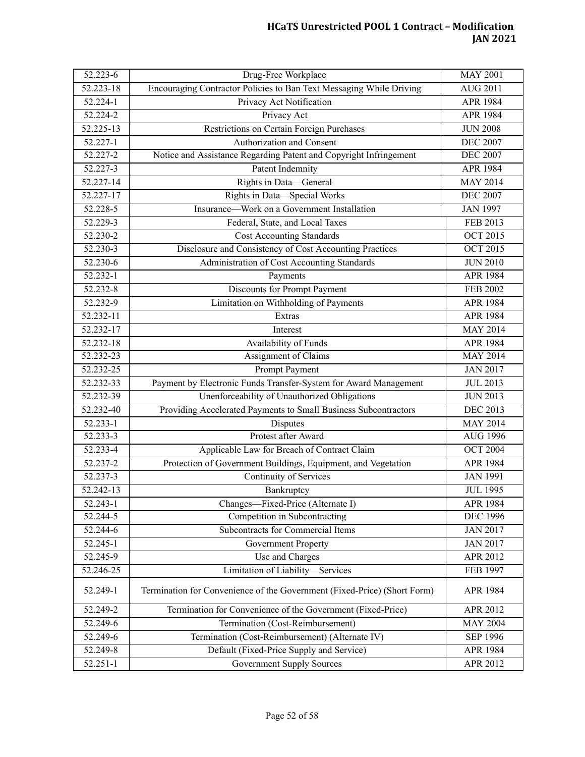## **HCaTS Unrestricted POOL 1 Contract – Modiication JAN 2021**

| 52.223-6      | Drug-Free Workplace                                                      | <b>MAY 2001</b> |
|---------------|--------------------------------------------------------------------------|-----------------|
| 52.223-18     | Encouraging Contractor Policies to Ban Text Messaging While Driving      | <b>AUG 2011</b> |
| 52.224-1      | Privacy Act Notification                                                 | APR 1984        |
| 52.224-2      | Privacy Act                                                              | APR 1984        |
| $52.225 - 13$ | Restrictions on Certain Foreign Purchases                                | <b>JUN 2008</b> |
| 52.227-1      | Authorization and Consent                                                | <b>DEC 2007</b> |
| 52.227-2      | Notice and Assistance Regarding Patent and Copyright Infringement        | <b>DEC 2007</b> |
| 52.227-3      | Patent Indemnity                                                         | APR 1984        |
| 52.227-14     | Rights in Data-General                                                   | <b>MAY 2014</b> |
| 52.227-17     | Rights in Data-Special Works                                             | <b>DEC 2007</b> |
| 52.228-5      | Insurance—Work on a Government Installation                              | <b>JAN 1997</b> |
| 52.229-3      | Federal, State, and Local Taxes                                          | FEB 2013        |
| 52.230-2      | <b>Cost Accounting Standards</b>                                         | <b>OCT 2015</b> |
| 52.230-3      | Disclosure and Consistency of Cost Accounting Practices                  | <b>OCT 2015</b> |
| 52.230-6      | Administration of Cost Accounting Standards                              | <b>JUN 2010</b> |
| 52.232-1      | Payments                                                                 | APR 1984        |
| 52.232-8      | Discounts for Prompt Payment                                             | <b>FEB 2002</b> |
| 52.232-9      | Limitation on Withholding of Payments                                    | APR 1984        |
| 52.232-11     | Extras                                                                   | APR 1984        |
| 52.232-17     | Interest                                                                 | <b>MAY 2014</b> |
| 52.232-18     | Availability of Funds                                                    | APR 1984        |
| 52.232-23     | Assignment of Claims                                                     | <b>MAY 2014</b> |
| 52.232-25     | Prompt Payment                                                           | <b>JAN 2017</b> |
| 52.232-33     | Payment by Electronic Funds Transfer-System for Award Management         | <b>JUL 2013</b> |
| 52.232-39     | Unenforceability of Unauthorized Obligations                             | <b>JUN 2013</b> |
| 52.232-40     | Providing Accelerated Payments to Small Business Subcontractors          | <b>DEC 2013</b> |
| 52.233-1      | Disputes                                                                 | <b>MAY 2014</b> |
| 52.233-3      | Protest after Award                                                      | <b>AUG 1996</b> |
| 52.233-4      | Applicable Law for Breach of Contract Claim                              | <b>OCT 2004</b> |
| 52.237-2      | Protection of Government Buildings, Equipment, and Vegetation            | APR 1984        |
| 52.237-3      | Continuity of Services                                                   | <b>JAN 1991</b> |
| 52.242-13     | Bankruptcy                                                               | <b>JUL 1995</b> |
| 52.243-1      | Changes-Fixed-Price (Alternate I)                                        | APR 1984        |
| 52.244-5      | Competition in Subcontracting                                            | <b>DEC 1996</b> |
| 52.244-6      | <b>Subcontracts for Commercial Items</b>                                 | <b>JAN 2017</b> |
| 52.245-1      | <b>Government Property</b>                                               | <b>JAN 2017</b> |
| 52.245-9      | Use and Charges                                                          | APR 2012        |
| 52.246-25     | Limitation of Liability-Services                                         | FEB 1997        |
| 52.249-1      | Termination for Convenience of the Government (Fixed-Price) (Short Form) | APR 1984        |
| 52.249-2      | Termination for Convenience of the Government (Fixed-Price)              | APR 2012        |
| 52.249-6      | Termination (Cost-Reimbursement)                                         | <b>MAY 2004</b> |
| 52.249-6      | Termination (Cost-Reimbursement) (Alternate IV)                          | <b>SEP 1996</b> |
| 52.249-8      | Default (Fixed-Price Supply and Service)                                 | APR 1984        |
| 52.251-1      | <b>Government Supply Sources</b>                                         | APR 2012        |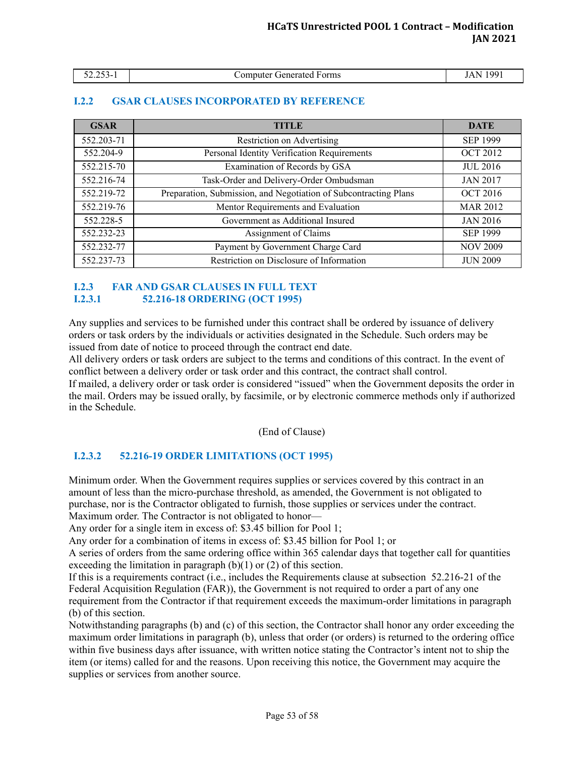| $\mathbf{A} = \mathbf{A}$<br>$\overline{\phantom{a}}$<br>''<br>◝-<br>$1 + 1$<br>_____ | Generated Forms<br>computer'<br>the contract of the contract of the contract of the contract of the contract of the contract of the contract of | $\overline{a}$<br>N<br>л |
|---------------------------------------------------------------------------------------|-------------------------------------------------------------------------------------------------------------------------------------------------|--------------------------|

#### <span id="page-52-0"></span>**I.2.2 GSAR CLAUSES INCORPORATED BY REFERENCE**

| <b>GSAR</b> | TITLE                                                            | <b>DATE</b>     |
|-------------|------------------------------------------------------------------|-----------------|
| 552.203-71  | Restriction on Advertising                                       | <b>SEP 1999</b> |
| 552.204-9   | Personal Identity Verification Requirements                      | <b>OCT 2012</b> |
| 552.215-70  | Examination of Records by GSA                                    | <b>JUL 2016</b> |
| 552.216-74  | Task-Order and Delivery-Order Ombudsman                          | <b>JAN 2017</b> |
| 552.219-72  | Preparation, Submission, and Negotiation of Subcontracting Plans | <b>OCT 2016</b> |
| 552.219-76  | Mentor Requirements and Evaluation                               | <b>MAR 2012</b> |
| 552.228-5   | Government as Additional Insured                                 | <b>JAN 2016</b> |
| 552.232-23  | Assignment of Claims                                             | <b>SEP 1999</b> |
| 552.232-77  | Payment by Government Charge Card                                | <b>NOV 2009</b> |
| 552.237-73  | Restriction on Disclosure of Information                         | <b>JUN 2009</b> |

#### <span id="page-52-2"></span><span id="page-52-1"></span>**I.2.3 FAR AND GSAR CLAUSES IN FULL TEXT I.2.3.1 52.216-18 ORDERING (OCT 1995)**

Any supplies and services to be furnished under this contract shall be ordered by issuance of delivery orders or task orders by the individuals or activities designated in the Schedule. Such orders may be issued from date of notice to proceed through the contract end date.

All delivery orders or task orders are subject to the terms and conditions of this contract. In the event of conflict between a delivery order or task order and this contract, the contract shall control.

If mailed, a delivery order or task order is considered "issued" when the Government deposits the order in the mail. Orders may be issued orally, by facsimile, or by electronic commerce methods only if authorized in the Schedule.

(End of Clause)

### <span id="page-52-3"></span>**I.2.3.2 52.216-19 ORDER LIMITATIONS (OCT 1995)**

Minimum order. When the Government requires supplies or services covered by this contract in an amount of less than the micro-purchase threshold, as amended, the Government is not obligated to purchase, nor is the Contractor obligated to furnish, those supplies or services under the contract. Maximum order. The Contractor is not obligated to honor—

Any order for a single item in excess of: \$3.45 billion for Pool 1;

Any order for a combination of items in excess of: \$3.45 billion for Pool 1; or

A series of orders from the same ordering office within 365 calendar days that together call for quantities exceeding the limitation in paragraph  $(b)(1)$  or  $(2)$  of this section.

If this is a requirements contract (i.e., includes the Requirements clause at subsection 52.216-21 of the Federal Acquisition Regulation (FAR)), the Government is not required to order a part of any one requirement from the Contractor if that requirement exceeds the maximum-order limitations in paragraph (b) of this section.

Notwithstanding paragraphs (b) and (c) of this section, the Contractor shall honor any order exceeding the maximum order limitations in paragraph (b), unless that order (or orders) is returned to the ordering office within five business days after issuance, with written notice stating the Contractor's intent not to ship the item (or items) called for and the reasons. Upon receiving this notice, the Government may acquire the supplies or services from another source.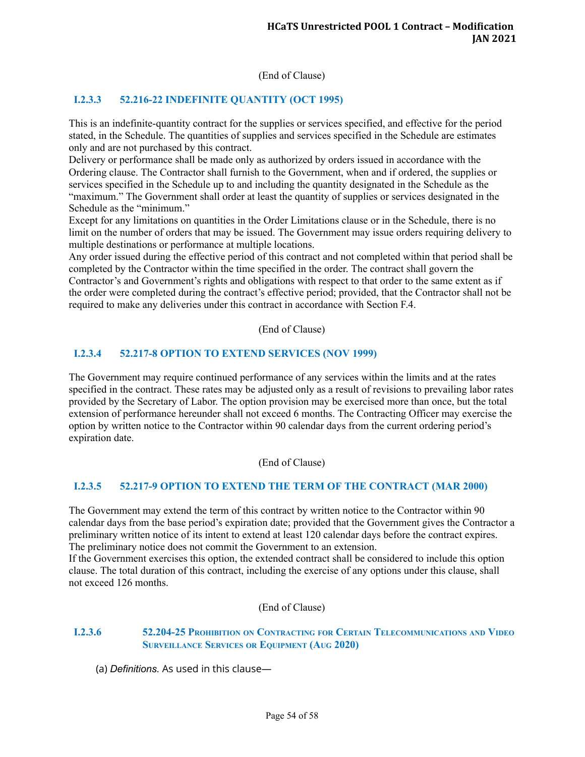(End of Clause)

## <span id="page-53-0"></span>**I.2.3.3 52.216-22 INDEFINITE QUANTITY (OCT 1995)**

This is an indefinite-quantity contract for the supplies or services specified, and effective for the period stated, in the Schedule. The quantities of supplies and services specified in the Schedule are estimates only and are not purchased by this contract.

Delivery or performance shall be made only as authorized by orders issued in accordance with the Ordering clause. The Contractor shall furnish to the Government, when and if ordered, the supplies or services specified in the Schedule up to and including the quantity designated in the Schedule as the "maximum." The Government shall order at least the quantity of supplies or services designated in the Schedule as the "minimum."

Except for any limitations on quantities in the Order Limitations clause or in the Schedule, there is no limit on the number of orders that may be issued. The Government may issue orders requiring delivery to multiple destinations or performance at multiple locations.

Any order issued during the effective period of this contract and not completed within that period shall be completed by the Contractor within the time specified in the order. The contract shall govern the Contractor's and Government's rights and obligations with respect to that order to the same extent as if the order were completed during the contract's effective period; provided, that the Contractor shall not be required to make any deliveries under this contract in accordance with Section F.4.

(End of Clause)

#### <span id="page-53-1"></span>**I.2.3.4 52.217-8 OPTION TO EXTEND SERVICES (NOV 1999)**

The Government may require continued performance of any services within the limits and at the rates specified in the contract. These rates may be adjusted only as a result of revisions to prevailing labor rates provided by the Secretary of Labor. The option provision may be exercised more than once, but the total extension of performance hereunder shall not exceed 6 months. The Contracting Officer may exercise the option by written notice to the Contractor within 90 calendar days from the current ordering period's expiration date.

(End of Clause)

### <span id="page-53-2"></span>**I.2.3.5 52.217-9 OPTION TO EXTEND THE TERM OF THE CONTRACT (MAR 2000)**

The Government may extend the term of this contract by written notice to the Contractor within 90 calendar days from the base period's expiration date; provided that the Government gives the Contractor a preliminary written notice of its intent to extend at least 120 calendar days before the contract expires. The preliminary notice does not commit the Government to an extension.

If the Government exercises this option, the extended contract shall be considered to include this option clause. The total duration of this contract, including the exercise of any options under this clause, shall not exceed 126 months.

(End of Clause)

#### <span id="page-53-3"></span>**I.2.3.6 52.204-25 PROHIBITION ON CONTRACTING FOR CERTAIN TELECOMMUNICATIONS AND VIDEO SURVEILLANCE SERVICES OR EQUIPMENT (AUG 2020)**

(a) *Definitions.*  As used in this clause—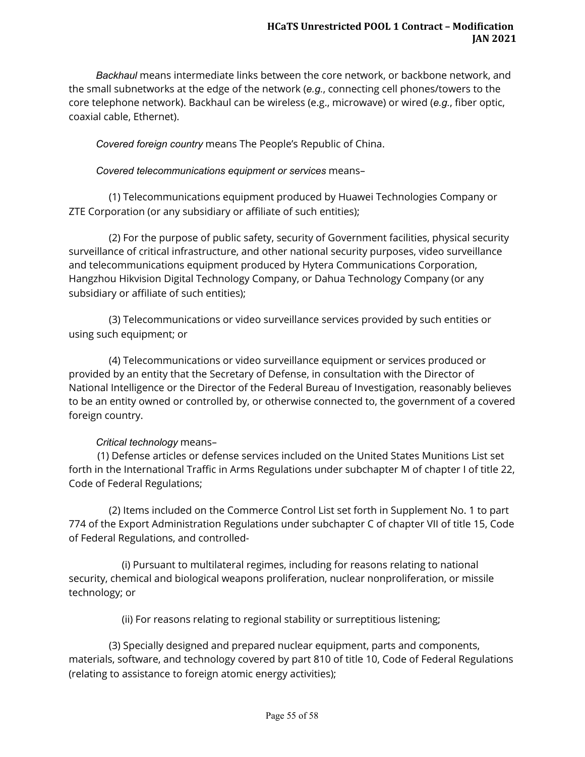*Backhaul*  means intermediate links between the core network, or backbone network, and the small subnetworks at the edge of the network ( *e.g.* , connecting cell phones/towers to the core telephone network). Backhaul can be wireless (e.g., microwave) or wired ( *e.g.* , fiber optic, coaxial cable, Ethernet).

*Covered foreign country*  means The People's Republic of China.

*Covered telecommunications equipment or services*  means–

 (1) Telecommunications equipment produced by Huawei Technologies Company or ZTE Corporation (or any subsidiary or affiliate of such entities);

 (2) For the purpose of public safety, security of Government facilities, physical security surveillance of critical infrastructure, and other national security purposes, video surveillance and telecommunications equipment produced by Hytera Communications Corporation, Hangzhou Hikvision Digital Technology Company, or Dahua Technology Company (or any subsidiary or affiliate of such entities);

 (3) Telecommunications or video surveillance services provided by such entities or using such equipment; or

 (4) Telecommunications or video surveillance equipment or services produced or provided by an entity that the Secretary of Defense, in consultation with the Director of National Intelligence or the Director of the Federal Bureau of Investigation, reasonably believes to be an entity owned or controlled by, or otherwise connected to, the government of a covered foreign country.

### *Critical technology*  means–

 (1) Defense articles or defense services included on the United States Munitions List set forth in the International Traffic in Arms Regulations under subchapter M of chapter I of title 22, Code of Federal Regulations;

 (2) Items included on the Commerce Control List set forth in Supplement No. 1 to part 774 of the Export Administration Regulations under subchapter C of chapter VII of title 15, Code of Federal Regulations, and controlled-

 (i) Pursuant to multilateral regimes, including for reasons relating to national security, chemical and biological weapons proliferation, nuclear nonproliferation, or missile technology; or

(ii) For reasons relating to regional stability or surreptitious listening;

 (3) Specially designed and prepared nuclear equipment, parts and components, materials, software, and technology covered by part 810 of title 10, Code of Federal Regulations (relating to assistance to foreign atomic energy activities);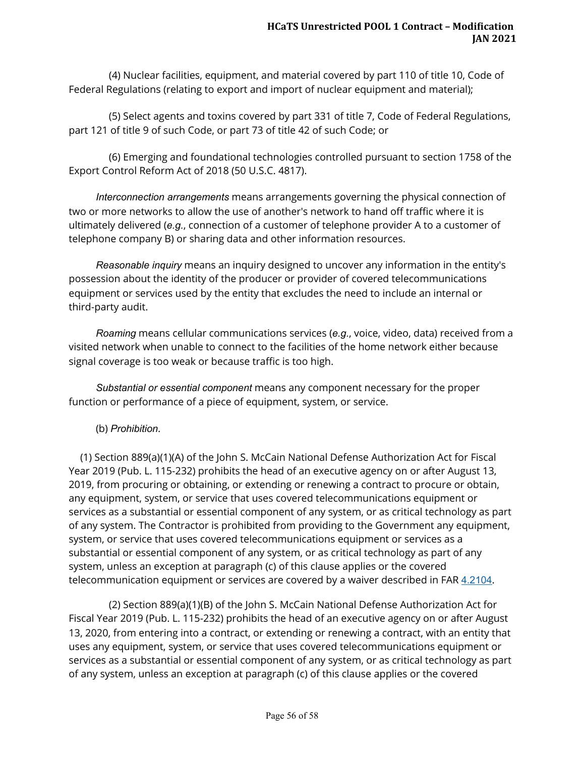(4) Nuclear facilities, equipment, and material covered by part 110 of title 10, Code of Federal Regulations (relating to export and import of nuclear equipment and material);

 (5) Select agents and toxins covered by part 331 of title 7, Code of Federal Regulations, part 121 of title 9 of such Code, or part 73 of title 42 of such Code; or

 (6) Emerging and foundational technologies controlled pursuant to section 1758 of the Export Control Reform Act of 2018 (50 U.S.C. 4817).

 *Interconnection arrangements*  means arrangements governing the physical connection of two or more networks to allow the use of another's network to hand off traffic where it is ultimately delivered ( *e.g.* , connection of a customer of telephone provider A to a customer of telephone company B) or sharing data and other information resources.

 *Reasonable inquiry*  means an inquiry designed to uncover any information in the entity's possession about the identity of the producer or provider of covered telecommunications equipment or services used by the entity that excludes the need to include an internal or third-party audit.

 *Roaming*  means cellular communications services ( *e.g.* , voice, video, data) received from a visited network when unable to connect to the facilities of the home network either because signal coverage is too weak or because traffic is too high.

 *Substantial or essential component*  means any component necessary for the proper function or performance of a piece of equipment, system, or service.

## (b) *Prohibition* .

(1) Section 889(a)(1)(A) of the John S. McCain National Defense Authorization Act for Fiscal Year 2019 (Pub. L. 115-232) prohibits the head of an executive agency on or after August 13, 2019, from procuring or obtaining, or extending or renewing a contract to procure or obtain, any equipment, system, or service that uses covered telecommunications equipment or services as a substantial or essential component of any system, or as critical technology as part of any system. The Contractor is prohibited from providing to the Government any equipment, system, or service that uses covered telecommunications equipment or services as a substantial or essential component of any system, or as critical technology as part of any system, unless an exception at paragraph (c) of this clause applies or the covered telecommunication equipment or services are covered by a waiver described in FAR [4.2104](https://www.acquisition.gov/far/4.2104#FAR_4_2104) .

 (2) Section 889(a)(1)(B) of the John S. McCain National Defense Authorization Act for Fiscal Year 2019 (Pub. L. 115-232) prohibits the head of an executive agency on or after August 13, 2020, from entering into a contract, or extending or renewing a contract, with an entity that uses any equipment, system, or service that uses covered telecommunications equipment or services as a substantial or essential component of any system, or as critical technology as part of any system, unless an exception at paragraph (c) of this clause applies or the covered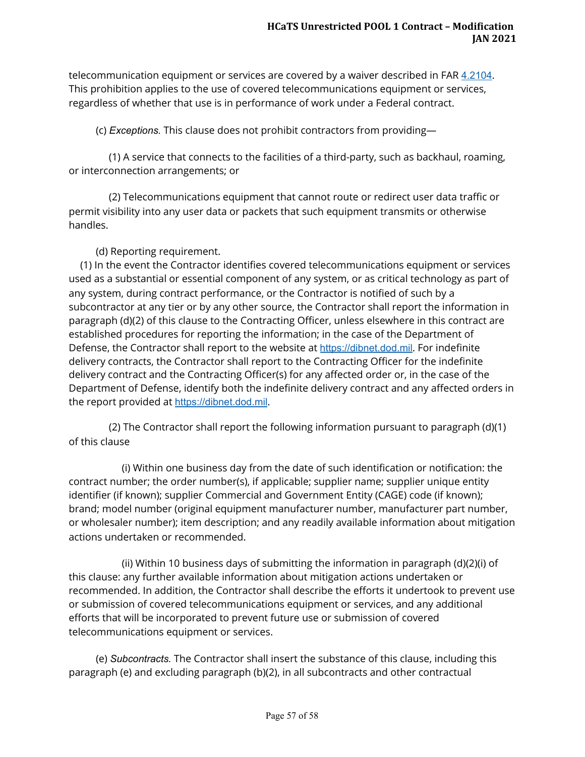telecommunication equipment or services are covered by a waiver described in FAR [4.2104](https://www.acquisition.gov/far/4.2104#FAR_4_2104) . This prohibition applies to the use of covered telecommunications equipment or services, regardless of whether that use is in performance of work under a Federal contract.

(c) *Exceptions.*  This clause does not prohibit contractors from providing—

 (1) A service that connects to the facilities of a third-party, such as backhaul, roaming, or interconnection arrangements; or

 (2) Telecommunications equipment that cannot route or redirect user data traffic or permit visibility into any user data or packets that such equipment transmits or otherwise handles.

(d) Reporting requirement.

(1) In the event the Contractor identifies covered telecommunications equipment or services used as a substantial or essential component of any system, or as critical technology as part of any system, during contract performance, or the Contractor is notified of such by a subcontractor at any tier or by any other source, the Contractor shall report the information in paragraph (d)(2) of this clause to the Contracting Officer, unless elsewhere in this contract are established procedures for reporting the information; in the case of the Department of Defense, the Contractor shall report to the website at https://dibnet.dod.mil. For indefinite delivery contracts, the Contractor shall report to the Contracting Officer for the indefinite delivery contract and the Contracting Officer(s) for any affected order or, in the case of the Department of Defense, identify both the indefinite delivery contract and any affected orders in the report provided at https://dibnet.dod.mil.

 (2) The Contractor shall report the following information pursuant to paragraph (d)(1) of this clause

 (i) Within one business day from the date of such identification or notification: the contract number; the order number(s), if applicable; supplier name; supplier unique entity identifier (if known); supplier Commercial and Government Entity (CAGE) code (if known); brand; model number (original equipment manufacturer number, manufacturer part number, or wholesaler number); item description; and any readily available information about mitigation actions undertaken or recommended.

 (ii) Within 10 business days of submitting the information in paragraph (d)(2)(i) of this clause: any further available information about mitigation actions undertaken or recommended. In addition, the Contractor shall describe the efforts it undertook to prevent use or submission of covered telecommunications equipment or services, and any additional efforts that will be incorporated to prevent future use or submission of covered telecommunications equipment or services.

 (e) *Subcontracts.*  The Contractor shall insert the substance of this clause, including this paragraph (e) and excluding paragraph (b)(2), in all subcontracts and other contractual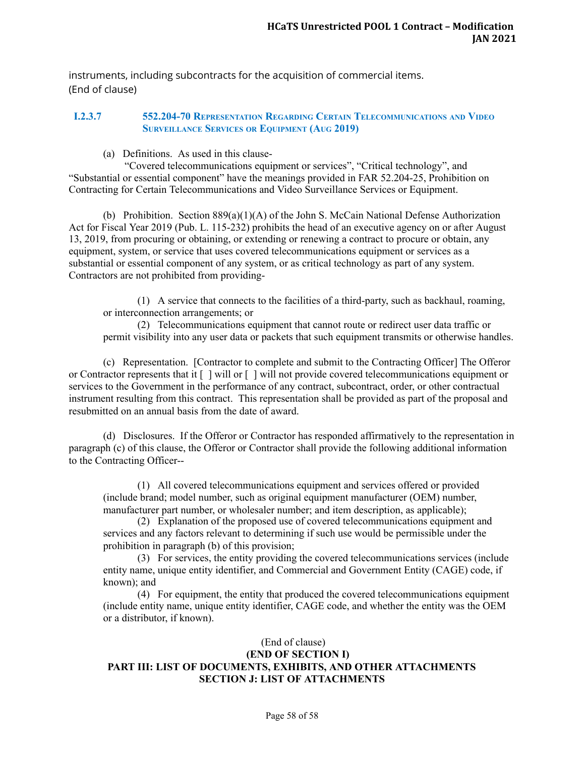instruments, including subcontracts for the acquisition of commercial items. (End of clause)

#### <span id="page-57-0"></span>**I.2.3.7 552.204-70 REPRESENTATION REGARDING CERTAIN TELECOMMUNICATIONS AND VIDEO SURVEILLANCE SERVICES OR EQUIPMENT (AUG 2019)**

#### (a) Definitions. As used in this clause-

"Covered telecommunications equipment or services", "Critical technology", and "Substantial or essential component" have the meanings provided in FAR 52.204-25, Prohibition on Contracting for Certain Telecommunications and Video Surveillance Services or Equipment.

(b) Prohibition. Section 889(a)(1)(A) of the John S. McCain National Defense Authorization Act for Fiscal Year 2019 (Pub. L. 115-232) prohibits the head of an executive agency on or after August 13, 2019, from procuring or obtaining, or extending or renewing a contract to procure or obtain, any equipment, system, or service that uses covered telecommunications equipment or services as a substantial or essential component of any system, or as critical technology as part of any system. Contractors are not prohibited from providing-

(1) A service that connects to the facilities of a third-party, such as backhaul, roaming, or interconnection arrangements; or

(2) Telecommunications equipment that cannot route or redirect user data traffic or permit visibility into any user data or packets that such equipment transmits or otherwise handles.

(c) Representation. [Contractor to complete and submit to the Contracting Officer] The Offeror or Contractor represents that it [ ] will or [ ] will not provide covered telecommunications equipment or services to the Government in the performance of any contract, subcontract, order, or other contractual instrument resulting from this contract. This representation shall be provided as part of the proposal and resubmitted on an annual basis from the date of award.

(d) Disclosures. If the Offeror or Contractor has responded affirmatively to the representation in paragraph (c) of this clause, the Offeror or Contractor shall provide the following additional information to the Contracting Officer--

(1) All covered telecommunications equipment and services offered or provided (include brand; model number, such as original equipment manufacturer (OEM) number, manufacturer part number, or wholesaler number; and item description, as applicable);

(2) Explanation of the proposed use of covered telecommunications equipment and services and any factors relevant to determining if such use would be permissible under the prohibition in paragraph (b) of this provision;

(3) For services, the entity providing the covered telecommunications services (include entity name, unique entity identifier, and Commercial and Government Entity (CAGE) code, if known); and

(4) For equipment, the entity that produced the covered telecommunications equipment (include entity name, unique entity identifier, CAGE code, and whether the entity was the OEM or a distributor, if known).

#### (End of clause) **(END OF SECTION I) PART III: LIST OF DOCUMENTS, EXHIBITS, AND OTHER ATTACHMENTS SECTION J: LIST OF ATTACHMENTS**